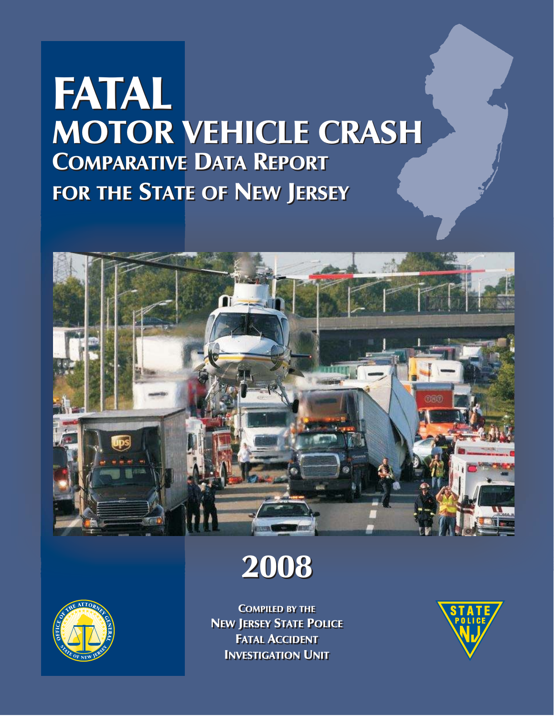# **MOTOR VEHICLE CRASH** COMPARATIVE DATA REPORT COMPARATIVE DATA REPORT FOR THE STATE OF NEW JERSEY FOR THE STATE OF NEW JERSEY FATAL







COMPILED BY THE COMPILED BY THE NEW JERSEY STATE POLICE NEW JERSEY STATE POLICE FATAL ACCIDENT FATAL ACCIDENT **INVESTIGATION UNIT** 

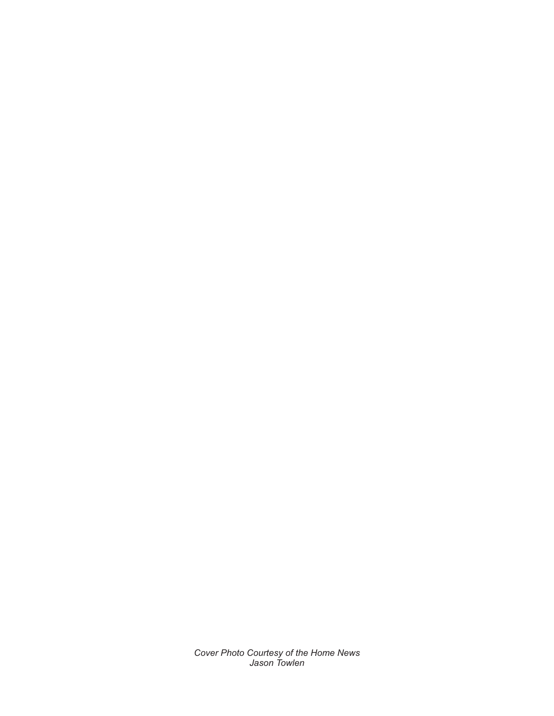*Cover Photo Courtesy of the Home News Jason Towlen*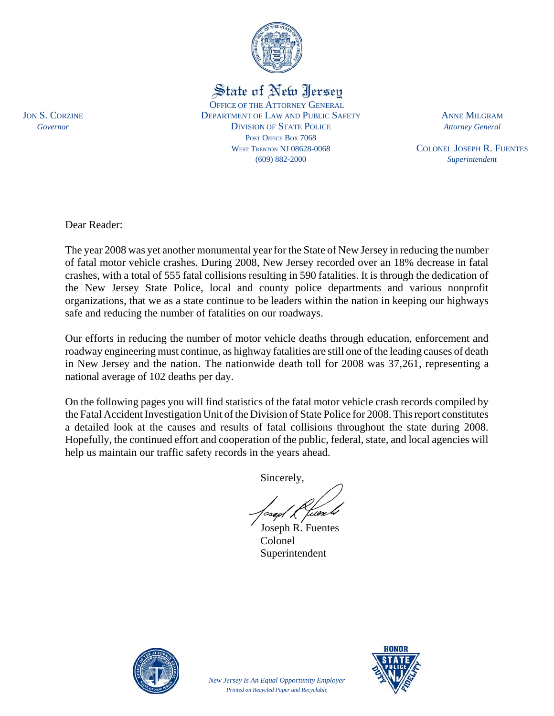

State of New Jersey

OFFICE OF THE ATTORNEY GENERAL JON S. CORZINE DEPARTMENT OF LAW AND PUBLIC SAFETY ANNE MILGRAM *Governor* DIVISION OF STATE POLICE *Attorney General* POST OFFICE BOX 7068 WEST TRENTON NJ 08628-0068 COLONEL JOSEPH R. FUENTES (609) 882-2000 *Superintendent*

Dear Reader:

The year 2008 was yet another monumental year for the State of New Jersey in reducing the number of fatal motor vehicle crashes. During 2008, New Jersey recorded over an 18% decrease in fatal crashes, with a total of 555 fatal collisions resulting in 590 fatalities. It is through the dedication of the New Jersey State Police, local and county police departments and various nonprofit organizations, that we as a state continue to be leaders within the nation in keeping our highways safe and reducing the number of fatalities on our roadways.

Our efforts in reducing the number of motor vehicle deaths through education, enforcement and roadway engineering must continue, as highway fatalities are still one of the leading causes of death in New Jersey and the nation. The nationwide death toll for 2008 was 37,261, representing a national average of 102 deaths per day.

On the following pages you will find statistics of the fatal motor vehicle crash records compiled by the Fatal Accident Investigation Unit of the Division of State Police for 2008. This report constitutes a detailed look at the causes and results of fatal collisions throughout the state during 2008. Hopefully, the continued effort and cooperation of the public, federal, state, and local agencies will help us maintain our traffic safety records in the years ahead.

Sincerely,

Joseph R. Fuentes Colonel Superintendent

*New Jersey Is An Equal Opportunity Employer Printed on Recycled Paper and Recyclable*



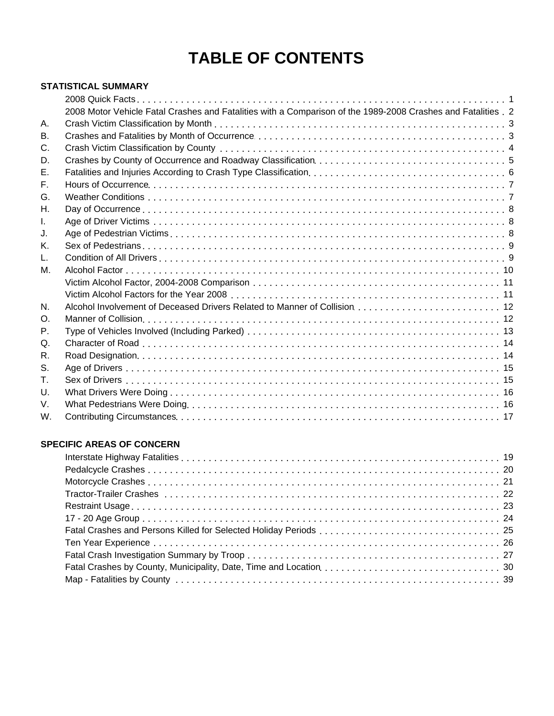## **TABLE OF CONTENTS**

#### **STATISTICAL SUMMARY**

| 2008 Motor Vehicle Fatal Crashes and Fatalities with a Comparison of the 1989-2008 Crashes and Fatalities . 2 |  |
|---------------------------------------------------------------------------------------------------------------|--|
|                                                                                                               |  |
|                                                                                                               |  |
|                                                                                                               |  |
|                                                                                                               |  |
|                                                                                                               |  |
|                                                                                                               |  |
|                                                                                                               |  |
|                                                                                                               |  |
|                                                                                                               |  |
|                                                                                                               |  |
|                                                                                                               |  |
|                                                                                                               |  |
|                                                                                                               |  |
|                                                                                                               |  |
|                                                                                                               |  |
|                                                                                                               |  |
|                                                                                                               |  |
|                                                                                                               |  |
|                                                                                                               |  |
|                                                                                                               |  |
|                                                                                                               |  |
|                                                                                                               |  |
|                                                                                                               |  |
|                                                                                                               |  |
|                                                                                                               |  |
|                                                                                                               |  |

#### **SPECIFIC AREAS OF CONCERN**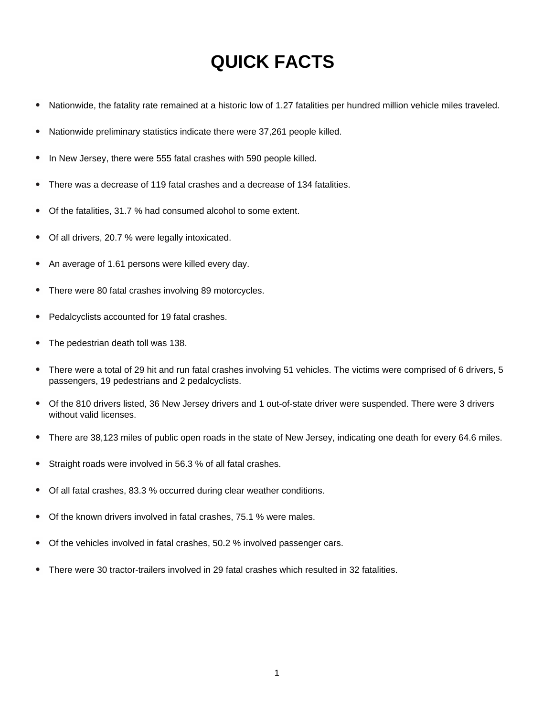## **QUICK FACTS**

- Nationwide, the fatality rate remained at a historic low of 1.27 fatalities per hundred million vehicle miles traveled.  $\bullet$
- Nationwide preliminary statistics indicate there were 37,261 people killed.
- In New Jersey, there were 555 fatal crashes with 590 people killed.
- There was a decrease of 119 fatal crashes and a decrease of 134 fatalities.
- Of the fatalities, 31.7 % had consumed alcohol to some extent.
- Of all drivers, 20.7 % were legally intoxicated.
- An average of 1.61 persons were killed every day.
- There were 80 fatal crashes involving 89 motorcycles.
- Pedalcyclists accounted for 19 fatal crashes.
- The pedestrian death toll was 138.
- There were a total of 29 hit and run fatal crashes involving 51 vehicles. The victims were comprised of 6 drivers, 5 passengers, 19 pedestrians and 2 pedalcyclists.
- Of the 810 drivers listed, 36 New Jersey drivers and 1 out-of-state driver were suspended. There were 3 drivers without valid licenses.
- There are 38,123 miles of public open roads in the state of New Jersey, indicating one death for every 64.6 miles.
- Straight roads were involved in 56.3 % of all fatal crashes.
- Of all fatal crashes, 83.3 % occurred during clear weather conditions.
- Of the known drivers involved in fatal crashes, 75.1 % were males.
- Of the vehicles involved in fatal crashes, 50.2 % involved passenger cars.
- There were 30 tractor-trailers involved in 29 fatal crashes which resulted in 32 fatalities.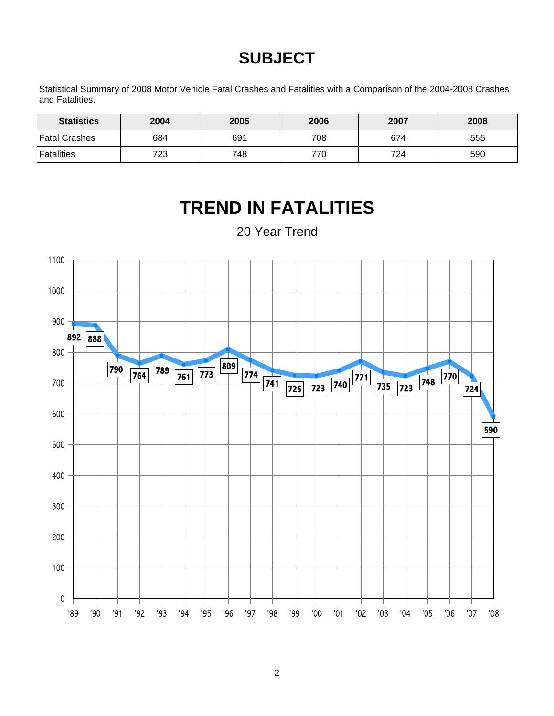## **SUBJECT**

Statistical Summary of 2008 Motor Vehicle Fatal Crashes and Fatalities with a Comparison of the 2004-2008 Crashes and Fatalities.

| <b>Statistics</b> | 2004 | 2005 | 2006 | 2007 | 2008 |
|-------------------|------|------|------|------|------|
| Fatal Crashes     | 684  | 691  | 708  | 674  | 555  |
| <b>Fatalities</b> | 723  | 748  | 770  | 724  | 590  |

#### **TREND IN FATALITIES** 20 Year Trend1100 1000 900 892 888 800 809 789 761 773 774 741 725 723 740 771 790  $\overline{764}$  $770$ 735 723  $\boxed{748}$ 700 724 600 590 500 400 300 200 100  $\mathbf 0$ '98 '89 '90  $91$  $92$  $'93$  $94$ '95 '96  $'97$ '99 '00  $'01$  $'02$  $'03$  $04'$  $'05$  $'06$  $'07$  $'08$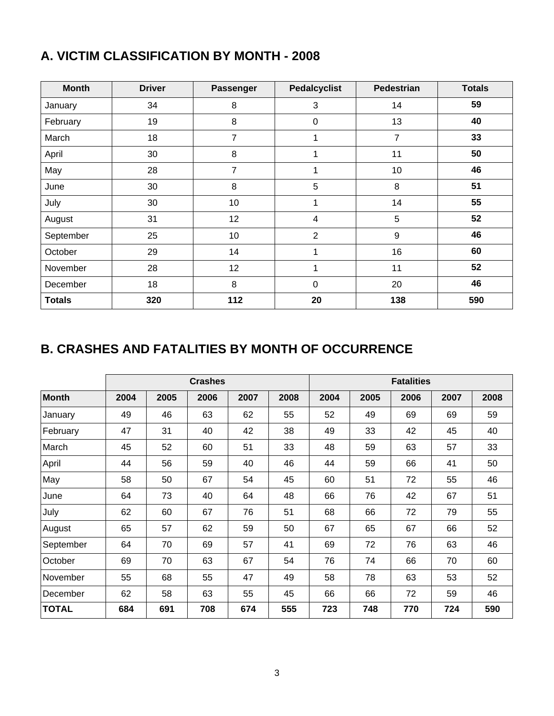| A. VICTIM CLASSIFICATION BY MONTH - 2008 |               |                  |                     |            |  |  |  |  |  |
|------------------------------------------|---------------|------------------|---------------------|------------|--|--|--|--|--|
| <b>Month</b>                             | <b>Driver</b> | <b>Passenger</b> | <b>Pedalcyclist</b> | Pedestrian |  |  |  |  |  |
|                                          |               |                  |                     |            |  |  |  |  |  |

### **A. VICTIM CLASSIFICATION BY MONTH - 2008**

| <b>Month</b>  | <b>Driver</b> | <b>Passenger</b> | <b>Pedalcyclist</b> | <b>Pedestrian</b> | <b>Totals</b> |
|---------------|---------------|------------------|---------------------|-------------------|---------------|
| January       | 34            | 8                | 3                   | 14                | 59            |
| February      | 19            | 8                | 0                   | 13                | 40            |
| March         | 18            | $\overline{7}$   | 1                   | $\overline{7}$    | 33            |
| April         | 30            | 8                | 1                   | 11                | 50            |
| May           | 28            | $\overline{7}$   | 1                   | 10                | 46            |
| June          | 30            | 8                | 5                   | 8                 | 51            |
| July          | 30            | 10               | 1                   | 14                | 55            |
| August        | 31            | 12               | 4                   | 5                 | 52            |
| September     | 25            | 10               | $\overline{2}$      | $\boldsymbol{9}$  | 46            |
| October       | 29            | 14               | 1                   | 16                | 60            |
| November      | 28            | 12               | 1                   | 11                | 52            |
| December      | 18            | 8                | $\mathbf 0$         | 20                | 46            |
| <b>Totals</b> | 320           | 112              | 20                  | 138               | 590           |

## **B. CRASHES AND FATALITIES BY MONTH OF OCCURRENCE**

|              |      |      | <b>Crashes</b> |      | <b>Fatalities</b> |      |      |      |      |      |
|--------------|------|------|----------------|------|-------------------|------|------|------|------|------|
| <b>Month</b> | 2004 | 2005 | 2006           | 2007 | 2008              | 2004 | 2005 | 2006 | 2007 | 2008 |
| January      | 49   | 46   | 63             | 62   | 55                | 52   | 49   | 69   | 69   | 59   |
| February     | 47   | 31   | 40             | 42   | 38                | 49   | 33   | 42   | 45   | 40   |
| March        | 45   | 52   | 60             | 51   | 33                | 48   | 59   | 63   | 57   | 33   |
| April        | 44   | 56   | 59             | 40   | 46                | 44   | 59   | 66   | 41   | 50   |
| May          | 58   | 50   | 67             | 54   | 45                | 60   | 51   | 72   | 55   | 46   |
| June         | 64   | 73   | 40             | 64   | 48                | 66   | 76   | 42   | 67   | 51   |
| July         | 62   | 60   | 67             | 76   | 51                | 68   | 66   | 72   | 79   | 55   |
| August       | 65   | 57   | 62             | 59   | 50                | 67   | 65   | 67   | 66   | 52   |
| September    | 64   | 70   | 69             | 57   | 41                | 69   | 72   | 76   | 63   | 46   |
| October      | 69   | 70   | 63             | 67   | 54                | 76   | 74   | 66   | 70   | 60   |
| November     | 55   | 68   | 55             | 47   | 49                | 58   | 78   | 63   | 53   | 52   |
| December     | 62   | 58   | 63             | 55   | 45                | 66   | 66   | 72   | 59   | 46   |
| <b>TOTAL</b> | 684  | 691  | 708            | 674  | 555               | 723  | 748  | 770  | 724  | 590  |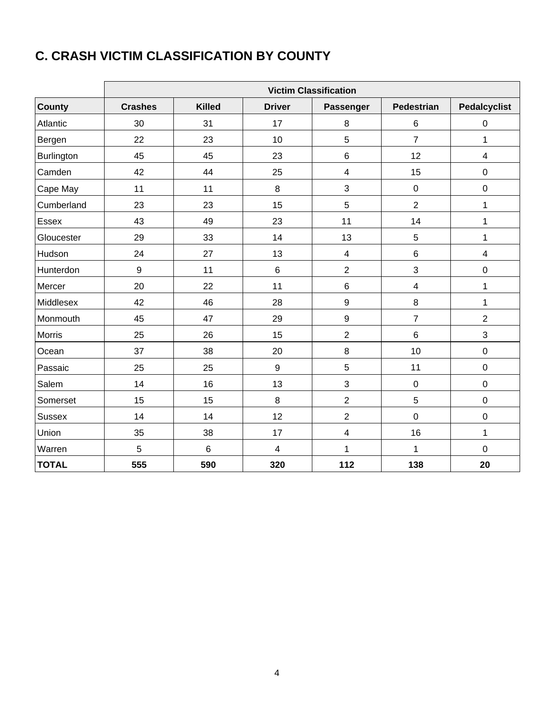## **C. CRASH VICTIM CLASSIFICATION BY COUNTY**

|               | <b>Victim Classification</b> |               |                         |                         |                         |                         |  |  |  |  |
|---------------|------------------------------|---------------|-------------------------|-------------------------|-------------------------|-------------------------|--|--|--|--|
| <b>County</b> | <b>Crashes</b>               | <b>Killed</b> | <b>Driver</b>           | Passenger               | <b>Pedestrian</b>       | <b>Pedalcyclist</b>     |  |  |  |  |
| Atlantic      | 30                           | 31            | 17                      | 8                       | $\,6$                   | $\pmb{0}$               |  |  |  |  |
| Bergen        | 22                           | 23            | 10                      | 5                       | $\overline{7}$          | $\mathbf{1}$            |  |  |  |  |
| Burlington    | 45                           | 45            | 23                      | 6                       | 12                      | $\overline{4}$          |  |  |  |  |
| Camden        | 42                           | 44            | 25                      | $\overline{\mathbf{4}}$ | 15                      | $\mathbf 0$             |  |  |  |  |
| Cape May      | 11                           | 11            | 8                       | 3                       | $\pmb{0}$               | $\pmb{0}$               |  |  |  |  |
| Cumberland    | 23                           | 23            | 15                      | 5                       | $\overline{2}$          | $\mathbf{1}$            |  |  |  |  |
| Essex         | 43                           | 49            | 23                      | 11                      | 14                      | $\mathbf{1}$            |  |  |  |  |
| Gloucester    | 29                           | 33            | 14                      | 13                      | 5                       | 1                       |  |  |  |  |
| Hudson        | 24                           | 27            | 13                      | $\overline{\mathbf{4}}$ | $6\phantom{1}$          | $\overline{\mathbf{4}}$ |  |  |  |  |
| Hunterdon     | $\boldsymbol{9}$             | 11            | 6                       | $\overline{2}$          | 3                       | $\pmb{0}$               |  |  |  |  |
| Mercer        | 20                           | 22            | 11                      | $\,6$                   | $\overline{\mathbf{4}}$ | $\mathbf{1}$            |  |  |  |  |
| Middlesex     | 42                           | 46            | 28                      | $\boldsymbol{9}$        | 8                       | $\mathbf{1}$            |  |  |  |  |
| Monmouth      | 45                           | 47            | 29                      | $\boldsymbol{9}$        | $\overline{7}$          | $\overline{2}$          |  |  |  |  |
| Morris        | 25                           | 26            | 15                      | $\overline{2}$          | $6\phantom{1}$          | 3                       |  |  |  |  |
| Ocean         | 37                           | 38            | 20                      | 8                       | 10                      | $\mathbf 0$             |  |  |  |  |
| Passaic       | 25                           | 25            | $\boldsymbol{9}$        | $\overline{5}$          | 11                      | $\pmb{0}$               |  |  |  |  |
| Salem         | 14                           | 16            | 13                      | 3                       | $\pmb{0}$               | $\pmb{0}$               |  |  |  |  |
| Somerset      | 15                           | 15            | 8                       | $\overline{2}$          | 5                       | $\pmb{0}$               |  |  |  |  |
| <b>Sussex</b> | 14                           | 14            | 12                      | $\overline{2}$          | $\mathbf 0$             | $\pmb{0}$               |  |  |  |  |
| Union         | 35                           | 38            | 17                      | $\overline{4}$          | 16                      | $\mathbf{1}$            |  |  |  |  |
| Warren        | 5                            | $\,6$         | $\overline{\mathbf{4}}$ | 1                       | 1                       | $\pmb{0}$               |  |  |  |  |
| <b>TOTAL</b>  | 555                          | 590           | 320                     | 112                     | 138                     | 20                      |  |  |  |  |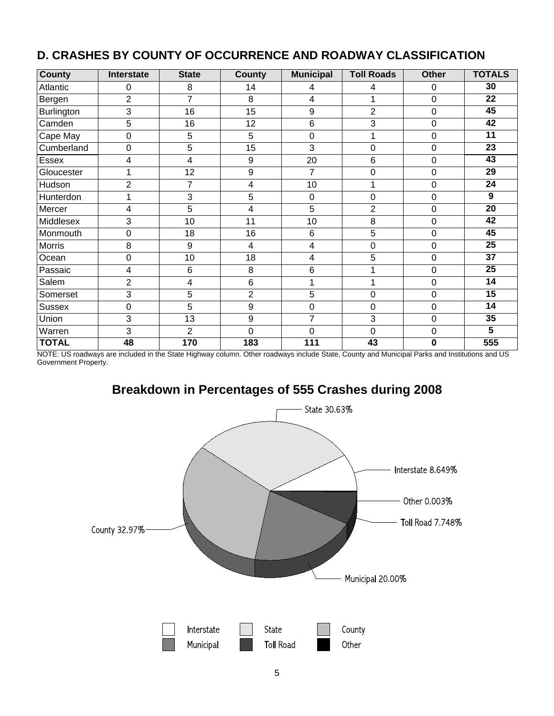| <b>County</b> | Interstate     | <b>State</b>   | <b>County</b>  | <b>Municipal</b> | <b>Toll Roads</b> | <b>Other</b> | <b>TOTALS</b>   |
|---------------|----------------|----------------|----------------|------------------|-------------------|--------------|-----------------|
| Atlantic      | 0              | 8              | 14             | 4                | 4                 | 0            | 30              |
| Bergen        | $\overline{2}$ | $\overline{7}$ | 8              | 4                | 1                 | 0            | $\overline{22}$ |
| Burlington    | 3              | 16             | 15             | 9                | $\overline{2}$    | $\mathbf 0$  | 45              |
| Camden        | 5              | 16             | 12             | 6                | 3                 | 0            | 42              |
| Cape May      | $\mathbf 0$    | 5              | 5              | $\mathbf 0$      | 1                 | 0            | 11              |
| Cumberland    | $\mathbf 0$    | 5              | 15             | 3                | 0                 | 0            | 23              |
| Essex         | 4              | $\overline{4}$ | 9              | 20               | 6                 | 0            | 43              |
| Gloucester    | 1              | 12             | 9              | $\overline{7}$   | 0                 | 0            | $\overline{29}$ |
| Hudson        | $\overline{2}$ | 7              | 4              | 10               | 1                 | 0            | 24              |
| Hunterdon     | 1              | 3              | $\sqrt{5}$     | $\mathbf 0$      | 0                 | 0            | 9               |
| Mercer        | 4              | 5              | 4              | 5                | $\overline{2}$    | 0            | 20              |
| Middlesex     | 3              | 10             | 11             | 10               | 8                 | 0            | $\overline{42}$ |
| Monmouth      | $\mathbf 0$    | 18             | 16             | 6                | 5                 | 0            | $\overline{45}$ |
| <b>Morris</b> | 8              | 9              | 4              | 4                | $\mathbf 0$       | 0            | $\overline{25}$ |
| Ocean         | $\mathbf 0$    | 10             | 18             | 4                | 5                 | 0            | 37              |
| Passaic       | 4              | $6\phantom{1}$ | 8              | 6                | 1                 | 0            | $\overline{25}$ |
| Salem         | $\overline{2}$ | 4              | 6              | 1                | 1                 | 0            | $\overline{14}$ |
| Somerset      | 3              | 5              | $\overline{2}$ | 5                | 0                 | 0            | $\overline{15}$ |
| <b>Sussex</b> | $\mathbf 0$    | 5              | 9              | $\mathbf 0$      | 0                 | 0            | 14              |
| Union         | 3              | 13             | 9              | $\overline{7}$   | 3                 | 0            | $\overline{35}$ |
| Warren        | 3              | $\overline{2}$ | $\overline{0}$ | $\overline{0}$   | $\overline{0}$    | 0            | 5               |
| <b>TOTAL</b>  | 48             | 170            | 183            | $\overline{111}$ | $\overline{43}$   | $\bf{0}$     | 555             |

#### **D. CRASHES BY COUNTY OF OCCURRENCE AND ROADWAY CLASSIFICATION**

NOTE: US roadways are included in the State Highway column. Other roadways include State, County and Municipal Parks and Institutions and US Government Property.

### **Breakdown in Percentages of 555 Crashes during 2008**

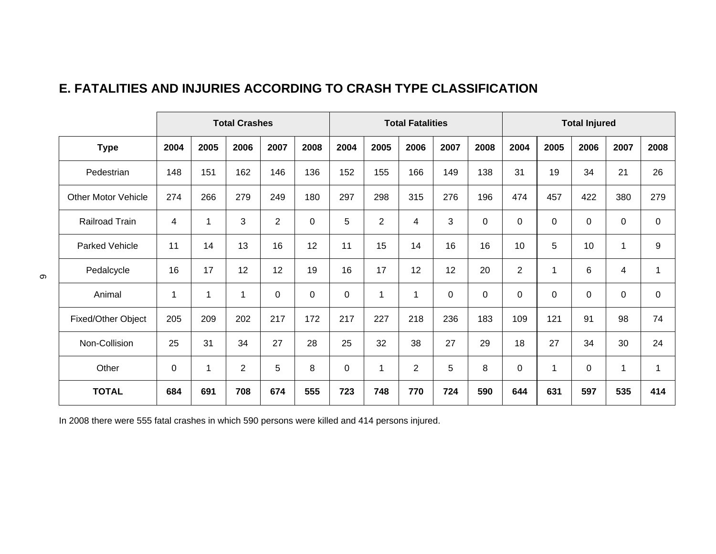### **E. FATALITIES AND INJURIES ACCORDING TO CRASH TYPE CLASSIFICATION**

|                            |      |              | <b>Total Crashes</b> |                |             |             |                | <b>Total Fatalities</b> |             |             |                |      | <b>Total Injured</b> |                         |             |
|----------------------------|------|--------------|----------------------|----------------|-------------|-------------|----------------|-------------------------|-------------|-------------|----------------|------|----------------------|-------------------------|-------------|
| <b>Type</b>                | 2004 | 2005         | 2006                 | 2007           | 2008        | 2004        | 2005           | 2006                    | 2007        | 2008        | 2004           | 2005 | 2006                 | 2007                    | 2008        |
| Pedestrian                 | 148  | 151          | 162                  | 146            | 136         | 152         | 155            | 166                     | 149         | 138         | 31             | 19   | 34                   | 21                      | 26          |
| <b>Other Motor Vehicle</b> | 274  | 266          | 279                  | 249            | 180         | 297         | 298            | 315                     | 276         | 196         | 474            | 457  | 422                  | 380                     | 279         |
| Railroad Train             | 4    | 1            | 3                    | $\overline{2}$ | $\mathbf 0$ | 5           | $\overline{2}$ | 4                       | 3           | 0           | 0              | 0    | $\pmb{0}$            | $\pmb{0}$               | $\mathbf 0$ |
| <b>Parked Vehicle</b>      | 11   | 14           | 13                   | 16             | 12          | 11          | 15             | 14                      | 16          | 16          | 10             | 5    | 10                   | 1                       | 9           |
| Pedalcycle                 | 16   | 17           | 12                   | 12             | 19          | 16          | 17             | 12                      | 12          | 20          | $\overline{2}$ | 1    | 6                    | $\overline{\mathbf{4}}$ | 1           |
| Animal                     | 1    | $\mathbf{1}$ | 1                    | $\mathbf 0$    | $\mathbf 0$ | $\mathbf 0$ | 1              | 1                       | $\mathbf 0$ | $\mathbf 0$ | 0              | 0    | 0                    | $\pmb{0}$               | $\mathbf 0$ |
| Fixed/Other Object         | 205  | 209          | 202                  | 217            | 172         | 217         | 227            | 218                     | 236         | 183         | 109            | 121  | 91                   | 98                      | 74          |
| Non-Collision              | 25   | 31           | 34                   | 27             | 28          | 25          | 32             | 38                      | 27          | 29          | 18             | 27   | 34                   | 30                      | 24          |
| Other                      | 0    | 1            | $\overline{c}$       | 5              | 8           | $\mathbf 0$ | 1              | $\overline{2}$          | 5           | 8           | 0              | 1    | $\pmb{0}$            | $\mathbf 1$             | $\mathbf 1$ |
| <b>TOTAL</b>               | 684  | 691          | 708                  | 674            | 555         | 723         | 748            | 770                     | 724         | 590         | 644            | 631  | 597                  | 535                     | 414         |

In 2008 there were 555 fatal crashes in which 590 persons were killed and 414 persons injured.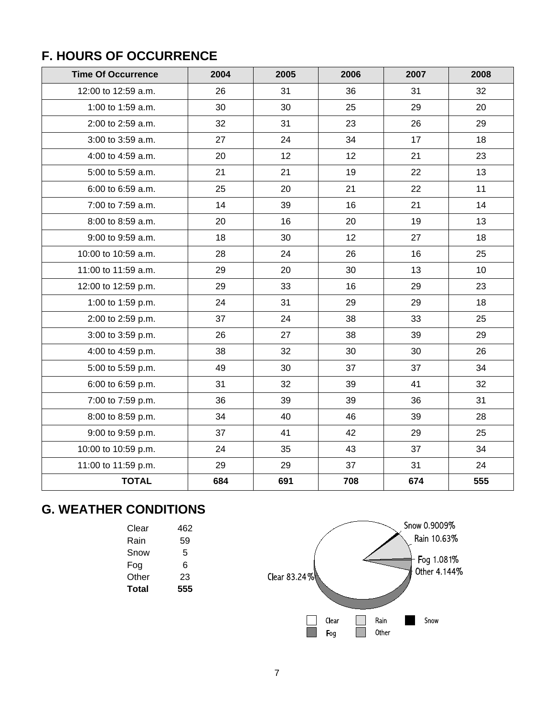## **F. HOURS OF OCCURRENCE**

| <b>Time Of Occurrence</b> | 2004 | 2005            | 2006 | 2007 | 2008 |
|---------------------------|------|-----------------|------|------|------|
| 12:00 to 12:59 a.m.       | 26   | 31              | 36   | 31   | 32   |
| 1:00 to 1:59 a.m.         | 30   | 30              | 25   | 29   | 20   |
| 2:00 to 2:59 a.m.         | 32   | 31              | 23   | 26   | 29   |
| 3:00 to 3:59 a.m.         | 27   | 24              | 34   | 17   | 18   |
| 4:00 to 4:59 a.m.         | 20   | 12 <sub>2</sub> | 12   | 21   | 23   |
| 5:00 to 5:59 a.m.         | 21   | 21              | 19   | 22   | 13   |
| 6:00 to 6:59 a.m.         | 25   | 20              | 21   | 22   | 11   |
| 7:00 to 7:59 a.m.         | 14   | 39              | 16   | 21   | 14   |
| 8:00 to 8:59 a.m.         | 20   | 16              | 20   | 19   | 13   |
| 9:00 to 9:59 a.m.         | 18   | 30              | 12   | 27   | 18   |
| 10:00 to 10:59 a.m.       | 28   | 24              | 26   | 16   | 25   |
| 11:00 to 11:59 a.m.       | 29   | 20              | 30   | 13   | 10   |
| 12:00 to 12:59 p.m.       | 29   | 33              | 16   | 29   | 23   |
| 1:00 to 1:59 p.m.         | 24   | 31              | 29   | 29   | 18   |
| 2:00 to 2:59 p.m.         | 37   | 24              | 38   | 33   | 25   |
| 3:00 to 3:59 p.m.         | 26   | 27              | 38   | 39   | 29   |
| 4:00 to 4:59 p.m.         | 38   | 32              | 30   | 30   | 26   |
| 5:00 to 5:59 p.m.         | 49   | 30              | 37   | 37   | 34   |
| 6:00 to 6:59 p.m.         | 31   | 32              | 39   | 41   | 32   |
| 7:00 to 7:59 p.m.         | 36   | 39              | 39   | 36   | 31   |
| 8:00 to 8:59 p.m.         | 34   | 40              | 46   | 39   | 28   |
| 9:00 to 9:59 p.m.         | 37   | 41              | 42   | 29   | 25   |
| 10:00 to 10:59 p.m.       | 24   | 35              | 43   | 37   | 34   |
| 11:00 to 11:59 p.m.       | 29   | 29              | 37   | 31   | 24   |
| <b>TOTAL</b>              | 684  | 691             | 708  | 674  | 555  |

## **G. WEATHER CONDITIONS**

| Clear | 462 |
|-------|-----|
| Rain  | 59  |
| Snow  | 5   |
| Fog   | 6   |
| Other | 23  |
| Total | 555 |
|       |     |

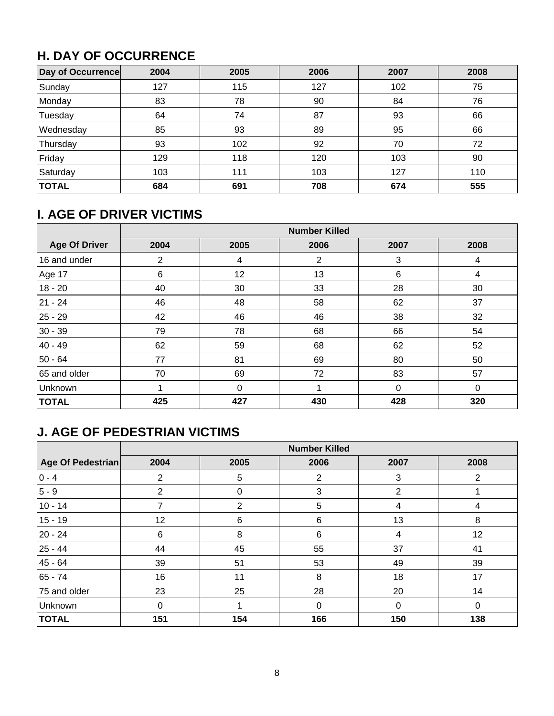## **H. DAY OF OCCURRENCE**

| Day of Occurrence | 2004 | 2005 | 2006 | 2007 | 2008 |
|-------------------|------|------|------|------|------|
| Sunday            | 127  | 115  | 127  | 102  | 75   |
| Monday            | 83   | 78   | 90   | 84   | 76   |
| Tuesday           | 64   | 74   | 87   | 93   | 66   |
| Wednesday         | 85   | 93   | 89   | 95   | 66   |
| Thursday          | 93   | 102  | 92   | 70   | 72   |
| Friday            | 129  | 118  | 120  | 103  | 90   |
| Saturday          | 103  | 111  | 103  | 127  | 110  |
| <b>TOTAL</b>      | 684  | 691  | 708  | 674  | 555  |

## **I. AGE OF DRIVER VICTIMS**

|                      | <b>Number Killed</b> |          |                |             |          |  |  |  |  |
|----------------------|----------------------|----------|----------------|-------------|----------|--|--|--|--|
| <b>Age Of Driver</b> | 2004                 | 2005     | 2006           | 2007        | 2008     |  |  |  |  |
| 16 and under         | $\overline{2}$       | 4        | $\overline{2}$ | 3           | 4        |  |  |  |  |
| Age 17               | 6                    | 12       | 13             | 6           | 4        |  |  |  |  |
| $18 - 20$            | 40                   | 30       | 33             | 28          | 30       |  |  |  |  |
| 21 - 24              | 46                   | 48       | 58             | 62          | 37       |  |  |  |  |
| 25 - 29              | 42                   | 46       | 46             | 38          | 32       |  |  |  |  |
| 30 - 39              | 79                   | 78       | 68             | 66          | 54       |  |  |  |  |
| 40 - 49              | 62                   | 59       | 68             | 62          | 52       |  |  |  |  |
| 50 - 64              | 77                   | 81       | 69             | 80          | 50       |  |  |  |  |
| 65 and older         | 70                   | 69       | 72             | 83          | 57       |  |  |  |  |
| Unknown              |                      | $\Omega$ |                | $\mathbf 0$ | $\Omega$ |  |  |  |  |
| <b>TOTAL</b>         | 425                  | 427      | 430            | 428         | 320      |  |  |  |  |

## **J. AGE OF PEDESTRIAN VICTIMS**

|                   | <b>Number Killed</b> |                |          |                |          |  |  |  |  |
|-------------------|----------------------|----------------|----------|----------------|----------|--|--|--|--|
| Age Of Pedestrian | 2004                 | 2005           | 2006     | 2007           | 2008     |  |  |  |  |
| $ 0 - 4 $         | $\overline{2}$       | 5              | 2        | 3              | 2        |  |  |  |  |
| 5 - 9             | 2                    | $\Omega$       | 3        | $\overline{2}$ |          |  |  |  |  |
| $10 - 14$         | 7                    | $\overline{2}$ | 5        | 4              | 4        |  |  |  |  |
| $15 - 19$         | 12                   | 6              | 6        | 13             | 8        |  |  |  |  |
| 20 - 24           | 6                    | 8              | 6        | 4              | 12       |  |  |  |  |
| 25 - 44           | 44                   | 45             | 55       | 37             | 41       |  |  |  |  |
| 45 - 64           | 39                   | 51             | 53       | 49             | 39       |  |  |  |  |
| 65 - 74           | 16                   | 11             | 8        | 18             | 17       |  |  |  |  |
| 75 and older      | 23                   | 25             | 28       | 20             | 14       |  |  |  |  |
| Unknown           | 0                    |                | $\Omega$ | 0              | $\Omega$ |  |  |  |  |
| <b>TOTAL</b>      | 151                  | 154            | 166      | 150            | 138      |  |  |  |  |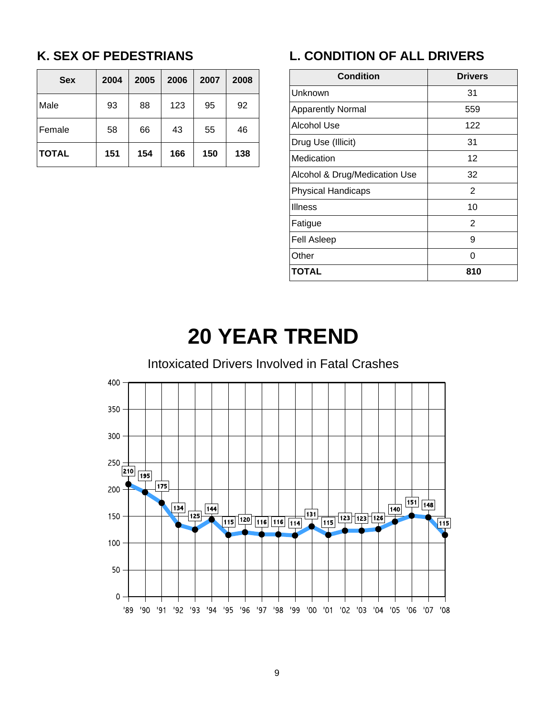## **K. SEX OF PEDESTRIANS**

| <b>Sex</b>   | 2004 | 2005 | 2006 | 2007 | 2008 |
|--------------|------|------|------|------|------|
| Male         | 93   | 88   | 123  | 95   | 92   |
| Female       | 58   | 66   | 43   | 55   | 46   |
| <b>TOTAL</b> | 151  | 154  | 166  | 150  | 138  |

## **L. CONDITION OF ALL DRIVERS**

| <b>Condition</b>              | <b>Drivers</b> |  |  |  |
|-------------------------------|----------------|--|--|--|
| Unknown                       | 31             |  |  |  |
| <b>Apparently Normal</b>      | 559            |  |  |  |
| Alcohol Use                   | 122            |  |  |  |
| Drug Use (Illicit)            | 31             |  |  |  |
| Medication                    | 12             |  |  |  |
| Alcohol & Drug/Medication Use | 32             |  |  |  |
| <b>Physical Handicaps</b>     | 2              |  |  |  |
| <b>Illness</b>                | 10             |  |  |  |
| Fatigue                       | $\overline{2}$ |  |  |  |
| <b>Fell Asleep</b>            | 9              |  |  |  |
| Other                         | ი              |  |  |  |
| TOTAL                         | 810            |  |  |  |

## **20 YEAR TREND**

### Intoxicated Drivers Involved in Fatal Crashes

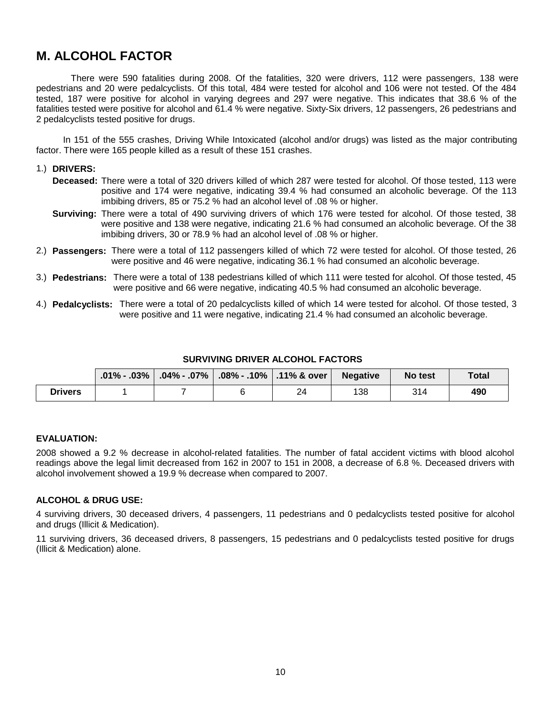### **M. ALCOHOL FACTOR**

 There were 590 fatalities during 2008. Of the fatalities, 320 were drivers, 112 were passengers, 138 were pedestrians and 20 were pedalcyclists. Of this total, 484 were tested for alcohol and 106 were not tested. Of the 484 tested, 187 were positive for alcohol in varying degrees and 297 were negative. This indicates that 38.6 % of the fatalities tested were positive for alcohol and 61.4 % were negative. Sixty-Six drivers, 12 passengers, 26 pedestrians and 2 pedalcyclists tested positive for drugs.

 In 151 of the 555 crashes, Driving While Intoxicated (alcohol and/or drugs) was listed as the major contributing factor. There were 165 people killed as a result of these 151 crashes.

#### 1.) **DRIVERS:**

- **Deceased:** There were a total of 320 drivers killed of which 287 were tested for alcohol. Of those tested, 113 were positive and 174 were negative, indicating 39.4 % had consumed an alcoholic beverage. Of the 113 imbibing drivers, 85 or 75.2 % had an alcohol level of .08 % or higher.
- **Surviving:** There were a total of 490 surviving drivers of which 176 were tested for alcohol. Of those tested, 38 were positive and 138 were negative, indicating 21.6 % had consumed an alcoholic beverage. Of the 38 imbibing drivers, 30 or 78.9 % had an alcohol level of .08 % or higher.
- 2.) **Passengers:** There were a total of 112 passengers killed of which 72 were tested for alcohol. Of those tested, 26 were positive and 46 were negative, indicating 36.1 % had consumed an alcoholic beverage.
- 3.) **Pedestrians:** There were a total of 138 pedestrians killed of which 111 were tested for alcohol. Of those tested, 45 were positive and 66 were negative, indicating 40.5 % had consumed an alcoholic beverage.
- 4.) **Pedalcyclists:** There were a total of 20 pedalcyclists killed of which 14 were tested for alcohol. Of those tested, 3 were positive and 11 were negative, indicating 21.4 % had consumed an alcoholic beverage.

|                | $\mid$ .01% - .03% $\mid$ .04% - .07% $\mid$ .08% - .10% $\mid$ .11% & over $\mid$ |    | Negative | No test | Total |
|----------------|------------------------------------------------------------------------------------|----|----------|---------|-------|
| <b>Drivers</b> |                                                                                    | 24 | 138      | 314     | 490   |

#### **EVALUATION:**

2008 showed a 9.2 % decrease in alcohol-related fatalities. The number of fatal accident victims with blood alcohol readings above the legal limit decreased from 162 in 2007 to 151 in 2008, a decrease of 6.8 %. Deceased drivers with alcohol involvement showed a 19.9 % decrease when compared to 2007.

#### **ALCOHOL & DRUG USE:**

4 surviving drivers, 30 deceased drivers, 4 passengers, 11 pedestrians and 0 pedalcyclists tested positive for alcohol and drugs (Illicit & Medication).

11 surviving drivers, 36 deceased drivers, 8 passengers, 15 pedestrians and 0 pedalcyclists tested positive for drugs (Illicit & Medication) alone.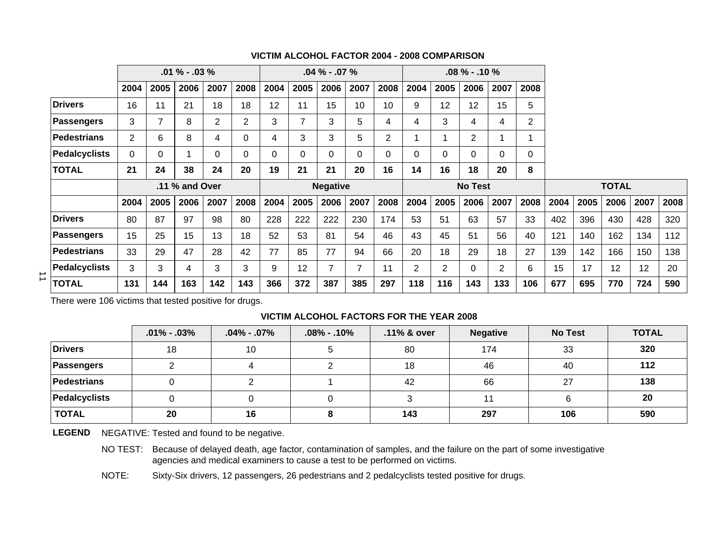|   |                      |                |                | $.01\% - .03\%$ |                |                |      | $.04\% - .07\%$<br>$.08\%$ - .10 % |                 |                |                |                |                |                |      |                |      |      |              |      |      |
|---|----------------------|----------------|----------------|-----------------|----------------|----------------|------|------------------------------------|-----------------|----------------|----------------|----------------|----------------|----------------|------|----------------|------|------|--------------|------|------|
|   |                      | 2004           | 2005           | 2006            | 2007           | 2008           | 2004 | 2005                               | 2006            | 2007           | 2008           | 2004           | 2005           | 2006           | 2007 | 2008           |      |      |              |      |      |
|   | <b>Drivers</b>       | 16             | 11             | 21              | 18             | 18             | 12   | 11                                 | 15              | 10             | 10             | 9              | 12             | 12             | 15   | 5              |      |      |              |      |      |
|   | <b>Passengers</b>    | 3              | $\overline{7}$ | 8               | $\overline{2}$ | $\overline{2}$ | 3    | $\overline{7}$                     | 3               | 5              | 4              | 4              | 3              | 4              | 4    | $\overline{2}$ |      |      |              |      |      |
|   | <b>Pedestrians</b>   | $\overline{2}$ | 6              | 8               | 4              | 0              | 4    | 3                                  | 3               | 5              | $\overline{2}$ |                |                | $\overline{2}$ |      |                |      |      |              |      |      |
|   | <b>Pedalcyclists</b> | $\Omega$       | 0              |                 | 0              | 0              | 0    | $\Omega$                           | $\Omega$        | 0              | $\Omega$       | 0              | 0              | $\Omega$       | 0    | $\Omega$       |      |      |              |      |      |
|   | <b>TOTAL</b>         | 21             | 24             | 38              | 24             | 20             | 19   | 21                                 | 21              | 20             | 16             | 14             | 16             | 18             | 20   | 8              |      |      |              |      |      |
|   |                      |                |                | .11 % and Over  |                |                |      |                                    | <b>Negative</b> |                |                |                |                | <b>No Test</b> |      |                |      |      | <b>TOTAL</b> |      |      |
|   |                      | 2004           | 2005           | 2006            | 2007           | 2008           | 2004 | 2005                               | 2006            | 2007           | 2008           | 2004           | 2005           | 2006           | 2007 | 2008           | 2004 | 2005 | 2006         | 2007 | 2008 |
|   | <b>Drivers</b>       | 80             | 87             | 97              | 98             | 80             | 228  | 222                                | 222             | 230            | 174            | 53             | 51             | 63             | 57   | 33             | 402  | 396  | 430          | 428  | 320  |
|   | <b>Passengers</b>    | 15             | 25             | 15              | 13             | 18             | 52   | 53                                 | 81              | 54             | 46             | 43             | 45             | 51             | 56   | 40             | 121  | 140  | 162          | 134  | 112  |
|   | <b>Pedestrians</b>   | 33             | 29             | 47              | 28             | 42             | 77   | 85                                 | 77              | 94             | 66             | 20             | 18             | 29             | 18   | 27             | 139  | 142  | 166          | 150  | 138  |
| ⇉ | <b>Pedalcyclists</b> | 3              | 3              | 4               | 3              | 3              | 9    | 12                                 | 7               | $\overline{7}$ | 11             | $\overline{2}$ | $\overline{2}$ | $\Omega$       | 2    | 6              | 15   | 17   | 12           | 12   | 20   |
|   | <b>TOTAL</b>         | 131            | 144            | 163             | 142            | 143            | 366  | 372                                | 387             | 385            | 297            | 118            | 116            | 143            | 133  | 106            | 677  | 695  | 770          | 724  | 590  |

#### **VICTIM ALCOHOL FACTOR 2004 - 2008 COMPARISON**

There were 106 victims that tested positive for drugs.

#### **VICTIM ALCOHOL FACTORS FOR THE YEAR 2008**

|                | $.01\% - .03\%$ | $.04\%$ - .07% | $.08\% - .10\%$ | .11% & over | <b>Negative</b> | <b>No Test</b> | <b>TOTAL</b> |
|----------------|-----------------|----------------|-----------------|-------------|-----------------|----------------|--------------|
| <b>Drivers</b> | 18              | 10             |                 | 80          | 174             | 33             | 320          |
| Passengers     |                 |                |                 | 18          | 46              | 40             | 112          |
| Pedestrians    |                 |                |                 | 42          | 66              | 27             | 138          |
| Pedalcyclists  |                 |                |                 |             |                 |                | 20           |
| <b>TOTAL</b>   | 20              | 16             |                 | 143         | 297             | 106            | 590          |

LEGEND NEGATIVE: Tested and found to be negative.

NO TEST: Because of delayed death, age factor, contamination of samples, and the failure on the part of some investigative agencies and medical examiners to cause a test to be performed on victims.

NOTE: Sixty-Six drivers, 12 passengers, 26 pedestrians and 2 pedalcyclists tested positive for drugs.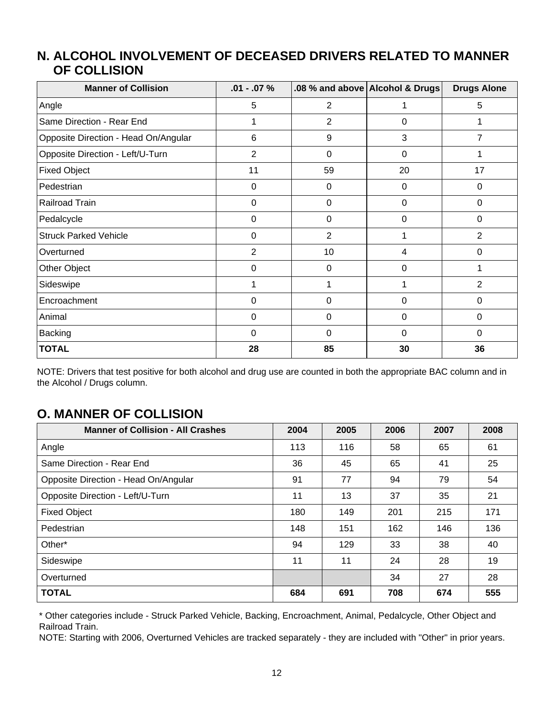#### **ALCOHOL INVOLVEMENT OF DECEASED DRIVERS RELATED TO MANNER N. OF COLLISION**

| <b>Manner of Collision</b>           | $.01 - .07 \%$ |                | .08 % and above Alcohol & Drugs | <b>Drugs Alone</b> |
|--------------------------------------|----------------|----------------|---------------------------------|--------------------|
| Angle                                | 5              | $\overline{2}$ | 1                               | 5                  |
| Same Direction - Rear End            | 1              | $\overline{2}$ | 0                               |                    |
| Opposite Direction - Head On/Angular | 6              | 9              | 3                               | 7                  |
| Opposite Direction - Left/U-Turn     | $\overline{2}$ | 0              | 0                               |                    |
| <b>Fixed Object</b>                  | 11             | 59             | 20                              | 17                 |
| Pedestrian                           | 0              | 0              | 0                               | $\Omega$           |
| Railroad Train                       | 0              | 0              | 0                               | $\Omega$           |
| Pedalcycle                           | 0              | 0              | 0                               | 0                  |
| <b>Struck Parked Vehicle</b>         | 0              | $\overline{2}$ |                                 | $\overline{2}$     |
| Overturned                           | $\overline{2}$ | 10             | 4                               | $\Omega$           |
| Other Object                         | 0              | 0              | 0                               | 1                  |
| Sideswipe                            | 1              |                |                                 | $\overline{2}$     |
| Encroachment                         | 0              | 0              | 0                               | 0                  |
| Animal                               | 0              | 0              | 0                               | 0                  |
| Backing                              | $\mathbf 0$    | $\Omega$       | $\Omega$                        | $\Omega$           |
| <b>TOTAL</b>                         | 28             | 85             | 30                              | 36                 |

NOTE: Drivers that test positive for both alcohol and drug use are counted in both the appropriate BAC column and in the Alcohol / Drugs column.

### **O. MANNER OF COLLISION**

| <b>Manner of Collision - All Crashes</b> | 2004 | 2005 | 2006 | 2007 | 2008 |
|------------------------------------------|------|------|------|------|------|
| Angle                                    | 113  | 116  | 58   | 65   | 61   |
| Same Direction - Rear End                | 36   | 45   | 65   | 41   | 25   |
| Opposite Direction - Head On/Angular     | 91   | 77   | 94   | 79   | 54   |
| Opposite Direction - Left/U-Turn         | 11   | 13   | 37   | 35   | 21   |
| <b>Fixed Object</b>                      | 180  | 149  | 201  | 215  | 171  |
| Pedestrian                               | 148  | 151  | 162  | 146  | 136  |
| Other*                                   | 94   | 129  | 33   | 38   | 40   |
| Sideswipe                                | 11   | 11   | 24   | 28   | 19   |
| Overturned                               |      |      | 34   | 27   | 28   |
| <b>TOTAL</b>                             | 684  | 691  | 708  | 674  | 555  |

\* Other categories include - Struck Parked Vehicle, Backing, Encroachment, Animal, Pedalcycle, Other Object and Railroad Train.

NOTE: Starting with 2006, Overturned Vehicles are tracked separately - they are included with "Other" in prior years.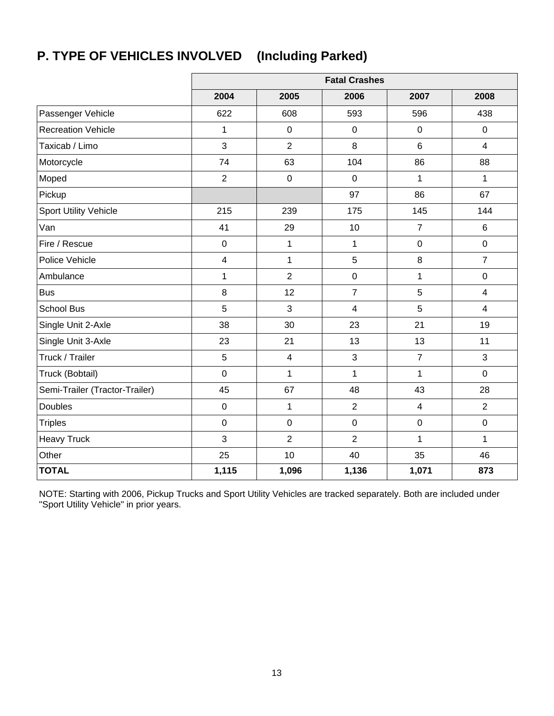## **P. TYPE OF VEHICLES INVOLVED (Including Parked)**

|                                |                         |                  | <b>Fatal Crashes</b>    |                |                  |
|--------------------------------|-------------------------|------------------|-------------------------|----------------|------------------|
|                                | 2004                    | 2005             | 2006                    | 2007           | 2008             |
| Passenger Vehicle              | 622                     | 608              | 593                     | 596            | 438              |
| <b>Recreation Vehicle</b>      | $\mathbf 1$             | $\boldsymbol{0}$ | $\mathbf 0$             | $\mathbf 0$    | $\mathbf 0$      |
| Taxicab / Limo                 | 3                       | $\overline{2}$   | 8                       | $6\phantom{1}$ | $\overline{4}$   |
| Motorcycle                     | 74                      | 63               | 104                     | 86             | 88               |
| Moped                          | $\overline{2}$          | $\pmb{0}$        | $\mathbf 0$             | 1              | 1                |
| Pickup                         |                         |                  | 97                      | 86             | 67               |
| <b>Sport Utility Vehicle</b>   | 215                     | 239              | 175                     | 145            | 144              |
| Van                            | 41                      | 29               | 10                      | $\overline{7}$ | $6\phantom{1}$   |
| Fire / Rescue                  | $\pmb{0}$               | 1                | 1                       | $\pmb{0}$      | $\mathbf 0$      |
| Police Vehicle                 | $\overline{\mathbf{4}}$ | $\mathbf{1}$     | 5                       | 8              | $\overline{7}$   |
| Ambulance                      | $\mathbf 1$             | $\overline{2}$   | $\pmb{0}$               | $\mathbf 1$    | $\boldsymbol{0}$ |
| <b>Bus</b>                     | 8                       | 12               | $\overline{7}$          | 5              | $\overline{4}$   |
| <b>School Bus</b>              | 5                       | 3                | $\overline{\mathbf{4}}$ | 5              | $\overline{4}$   |
| Single Unit 2-Axle             | 38                      | 30               | 23                      | 21             | 19               |
| Single Unit 3-Axle             | 23                      | 21               | 13                      | 13             | 11               |
| Truck / Trailer                | 5                       | $\overline{4}$   | $\mathfrak{S}$          | $\overline{7}$ | 3                |
| Truck (Bobtail)                | $\mathbf 0$             | $\mathbf{1}$     | $\mathbf{1}$            | $\mathbf{1}$   | $\overline{0}$   |
| Semi-Trailer (Tractor-Trailer) | 45                      | 67               | 48                      | 43             | 28               |
| <b>Doubles</b>                 | $\boldsymbol{0}$        | 1                | $\overline{2}$          | 4              | $\overline{2}$   |
| <b>Triples</b>                 | $\mathbf 0$             | $\boldsymbol{0}$ | $\mathbf 0$             | $\mathbf 0$    | $\mathbf 0$      |
| <b>Heavy Truck</b>             | 3                       | $\overline{2}$   | $\overline{2}$          | $\mathbf{1}$   | $\mathbf{1}$     |
| Other                          | 25                      | 10               | 40                      | 35             | 46               |
| <b>TOTAL</b>                   | 1,115                   | 1,096            | 1,136                   | 1,071          | 873              |

NOTE: Starting with 2006, Pickup Trucks and Sport Utility Vehicles are tracked separately. Both are included under "Sport Utility Vehicle" in prior years.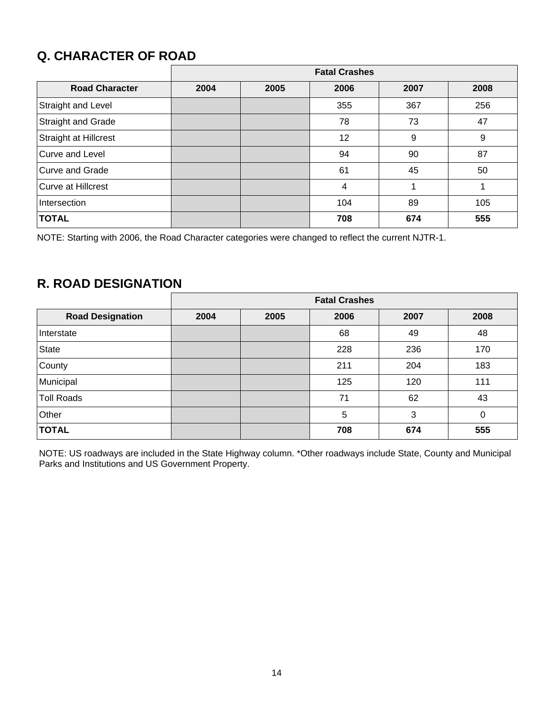## **Q. CHARACTER OF ROAD**

|                           | <b>Fatal Crashes</b> |      |      |      |      |  |  |  |
|---------------------------|----------------------|------|------|------|------|--|--|--|
| <b>Road Character</b>     | 2004                 | 2005 | 2006 | 2007 | 2008 |  |  |  |
| Straight and Level        |                      |      | 355  | 367  | 256  |  |  |  |
| Straight and Grade        |                      |      | 78   | 73   | 47   |  |  |  |
| Straight at Hillcrest     |                      |      | 12   | 9    | 9    |  |  |  |
| Curve and Level           |                      |      | 94   | 90   | 87   |  |  |  |
| <b>Curve and Grade</b>    |                      |      | 61   | 45   | 50   |  |  |  |
| <b>Curve at Hillcrest</b> |                      |      | 4    |      |      |  |  |  |
| Intersection              |                      |      | 104  | 89   | 105  |  |  |  |
| <b>TOTAL</b>              |                      |      | 708  | 674  | 555  |  |  |  |

NOTE: Starting with 2006, the Road Character categories were changed to reflect the current NJTR-1.

### **R. ROAD DESIGNATION**

|                         | <b>Fatal Crashes</b> |      |      |      |      |  |
|-------------------------|----------------------|------|------|------|------|--|
| <b>Road Designation</b> | 2004                 | 2005 | 2006 | 2007 | 2008 |  |
| Interstate              |                      |      | 68   | 49   | 48   |  |
| <b>State</b>            |                      |      | 228  | 236  | 170  |  |
| County                  |                      |      | 211  | 204  | 183  |  |
| Municipal               |                      |      | 125  | 120  | 111  |  |
| <b>Toll Roads</b>       |                      |      | 71   | 62   | 43   |  |
| Other                   |                      |      | 5    | 3    | 0    |  |
| <b>TOTAL</b>            |                      |      | 708  | 674  | 555  |  |

NOTE: US roadways are included in the State Highway column. \*Other roadways include State, County and Municipal Parks and Institutions and US Government Property.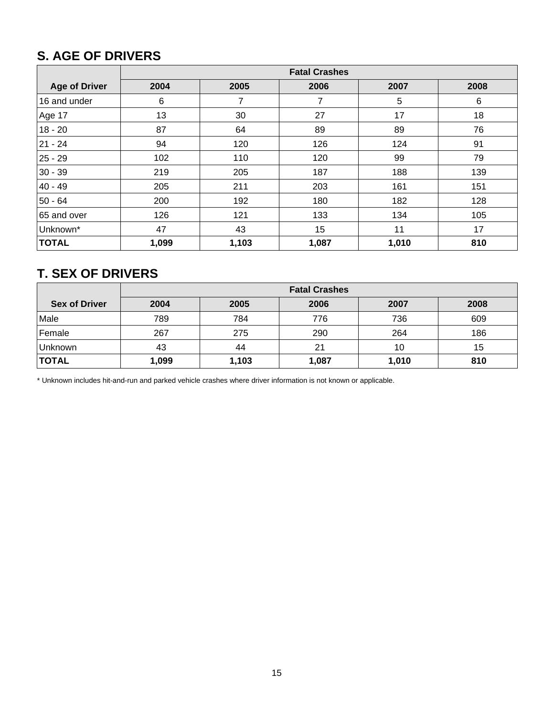## **S. AGE OF DRIVERS**

|                      | <b>Fatal Crashes</b> |       |       |       |      |  |  |
|----------------------|----------------------|-------|-------|-------|------|--|--|
| <b>Age of Driver</b> | 2004                 | 2005  | 2006  | 2007  | 2008 |  |  |
| 16 and under         | 6                    | 7     | 7     | 5     | 6    |  |  |
| Age 17               | 13                   | 30    | 27    | 17    | 18   |  |  |
| $18 - 20$            | 87                   | 64    | 89    | 89    | 76   |  |  |
| 21 - 24              | 94                   | 120   | 126   | 124   | 91   |  |  |
| $25 - 29$            | 102                  | 110   | 120   | 99    | 79   |  |  |
| $30 - 39$            | 219                  | 205   | 187   | 188   | 139  |  |  |
| 40 - 49              | 205                  | 211   | 203   | 161   | 151  |  |  |
| 50 - 64              | 200                  | 192   | 180   | 182   | 128  |  |  |
| 65 and over          | 126                  | 121   | 133   | 134   | 105  |  |  |
| Unknown*             | 47                   | 43    | 15    | 11    | 17   |  |  |
| <b>TOTAL</b>         | 1,099                | 1,103 | 1,087 | 1,010 | 810  |  |  |

### **T. SEX OF DRIVERS**

|                      | <b>Fatal Crashes</b> |                              |       |       |     |  |  |  |  |  |  |
|----------------------|----------------------|------------------------------|-------|-------|-----|--|--|--|--|--|--|
| <b>Sex of Driver</b> | 2004                 | 2007<br>2006<br>2008<br>2005 |       |       |     |  |  |  |  |  |  |
| Male                 | 789                  | 784                          | 776   | 736   | 609 |  |  |  |  |  |  |
| Female               | 267                  | 275                          | 290   | 264   | 186 |  |  |  |  |  |  |
| Unknown              | 43                   | 44                           | 21    | 10    | 15  |  |  |  |  |  |  |
| <b>TOTAL</b>         | 1,099                | 1,103                        | 1,087 | 1,010 | 810 |  |  |  |  |  |  |

\* Unknown includes hit-and-run and parked vehicle crashes where driver information is not known or applicable.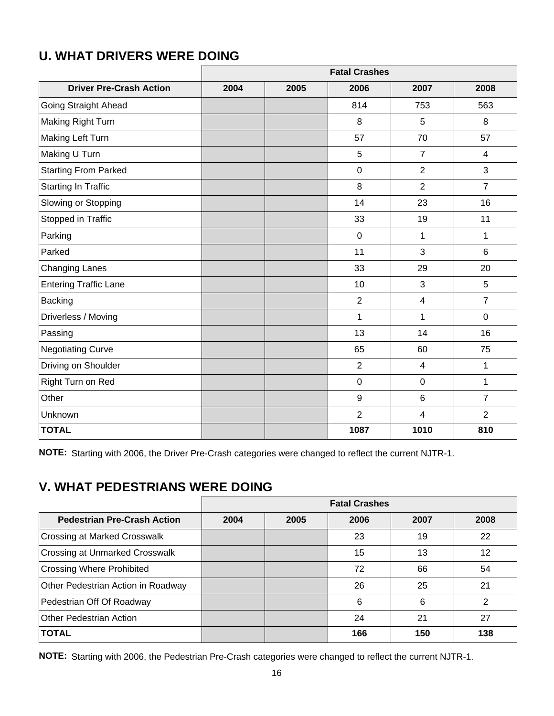|                                | <b>Fatal Crashes</b> |      |                |                |                |  |
|--------------------------------|----------------------|------|----------------|----------------|----------------|--|
| <b>Driver Pre-Crash Action</b> | 2004                 | 2005 | 2006           | 2007           | 2008           |  |
| Going Straight Ahead           |                      |      | 814            | 753            | 563            |  |
| Making Right Turn              |                      |      | 8              | 5              | 8              |  |
| Making Left Turn               |                      |      | 57             | 70             | 57             |  |
| Making U Turn                  |                      |      | 5              | $\overline{7}$ | $\overline{4}$ |  |
| <b>Starting From Parked</b>    |                      |      | $\mathbf 0$    | $\overline{2}$ | 3              |  |
| <b>Starting In Traffic</b>     |                      |      | 8              | $\overline{2}$ | $\overline{7}$ |  |
| Slowing or Stopping            |                      |      | 14             | 23             | 16             |  |
| Stopped in Traffic             |                      |      | 33             | 19             | 11             |  |
| Parking                        |                      |      | $\pmb{0}$      | 1              | $\mathbf{1}$   |  |
| Parked                         |                      |      | 11             | 3              | 6              |  |
| <b>Changing Lanes</b>          |                      |      | 33             | 29             | 20             |  |
| <b>Entering Traffic Lane</b>   |                      |      | 10             | 3              | 5              |  |
| <b>Backing</b>                 |                      |      | $\overline{2}$ | $\overline{4}$ | $\overline{7}$ |  |
| Driverless / Moving            |                      |      | 1              | 1              | $\overline{0}$ |  |
| Passing                        |                      |      | 13             | 14             | 16             |  |
| <b>Negotiating Curve</b>       |                      |      | 65             | 60             | 75             |  |
| Driving on Shoulder            |                      |      | $\overline{2}$ | $\overline{4}$ | $\mathbf{1}$   |  |
| Right Turn on Red              |                      |      | $\mathbf 0$    | $\mathbf 0$    | $\mathbf{1}$   |  |
| Other                          |                      |      | 9              | 6              | $\overline{7}$ |  |
| Unknown                        |                      |      | $\overline{2}$ | $\overline{4}$ | $\overline{2}$ |  |
| <b>TOTAL</b>                   |                      |      | 1087           | 1010           | 810            |  |

## **U. WHAT DRIVERS WERE DOING**

**NOTE:** Starting with 2006, the Driver Pre-Crash categories were changed to reflect the current NJTR-1.

## **V. WHAT PEDESTRIANS WERE DOING**

|                                       | <b>Fatal Crashes</b> |      |      |      |      |  |
|---------------------------------------|----------------------|------|------|------|------|--|
| <b>Pedestrian Pre-Crash Action</b>    | 2004                 | 2005 | 2006 | 2007 | 2008 |  |
| Crossing at Marked Crosswalk          |                      |      | 23   | 19   | 22   |  |
| <b>Crossing at Unmarked Crosswalk</b> |                      |      | 15   | 13   | 12   |  |
| <b>Crossing Where Prohibited</b>      |                      |      | 72   | 66   | 54   |  |
| Other Pedestrian Action in Roadway    |                      |      | 26   | 25   | 21   |  |
| Pedestrian Off Of Roadway             |                      |      | 6    | 6    | 2    |  |
| <b>Other Pedestrian Action</b>        |                      |      | 24   | 21   | 27   |  |
| <b>TOTAL</b>                          |                      |      | 166  | 150  | 138  |  |

**NOTE:** Starting with 2006, the Pedestrian Pre-Crash categories were changed to reflect the current NJTR-1.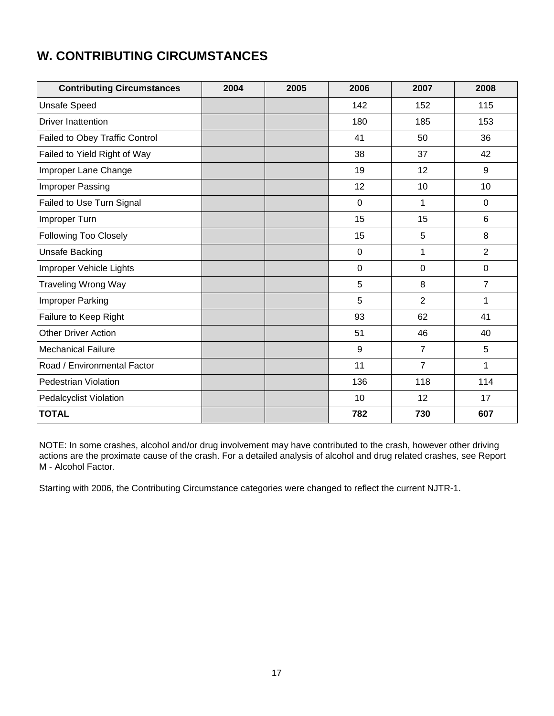## **W. CONTRIBUTING CIRCUMSTANCES**

| <b>Contributing Circumstances</b> | 2004 | 2005 | 2006        | 2007           | 2008           |
|-----------------------------------|------|------|-------------|----------------|----------------|
| <b>Unsafe Speed</b>               |      |      | 142         | 152            | 115            |
| <b>Driver Inattention</b>         |      |      | 180         | 185            | 153            |
| Failed to Obey Traffic Control    |      |      | 41          | 50             | 36             |
| Failed to Yield Right of Way      |      |      | 38          | 37             | 42             |
| Improper Lane Change              |      |      | 19          | 12             | 9              |
| Improper Passing                  |      |      | 12          | 10             | 10             |
| Failed to Use Turn Signal         |      |      | $\mathbf 0$ | 1              | $\overline{0}$ |
| Improper Turn                     |      |      | 15          | 15             | 6              |
| <b>Following Too Closely</b>      |      |      | 15          | 5              | 8              |
| <b>Unsafe Backing</b>             |      |      | $\mathbf 0$ | 1              | $\overline{2}$ |
| Improper Vehicle Lights           |      |      | $\mathbf 0$ | $\mathbf 0$    | $\mathbf 0$    |
| <b>Traveling Wrong Way</b>        |      |      | 5           | 8              | $\overline{7}$ |
| <b>Improper Parking</b>           |      |      | 5           | $\overline{2}$ | 1              |
| Failure to Keep Right             |      |      | 93          | 62             | 41             |
| <b>Other Driver Action</b>        |      |      | 51          | 46             | 40             |
| <b>Mechanical Failure</b>         |      |      | 9           | $\overline{7}$ | 5              |
| Road / Environmental Factor       |      |      | 11          | $\overline{7}$ | $\mathbf{1}$   |
| Pedestrian Violation              |      |      | 136         | 118            | 114            |
| <b>Pedalcyclist Violation</b>     |      |      | 10          | 12             | 17             |
| <b>TOTAL</b>                      |      |      | 782         | 730            | 607            |

NOTE: In some crashes, alcohol and/or drug involvement may have contributed to the crash, however other driving actions are the proximate cause of the crash. For a detailed analysis of alcohol and drug related crashes, see Report M - Alcohol Factor.

Starting with 2006, the Contributing Circumstance categories were changed to reflect the current NJTR-1.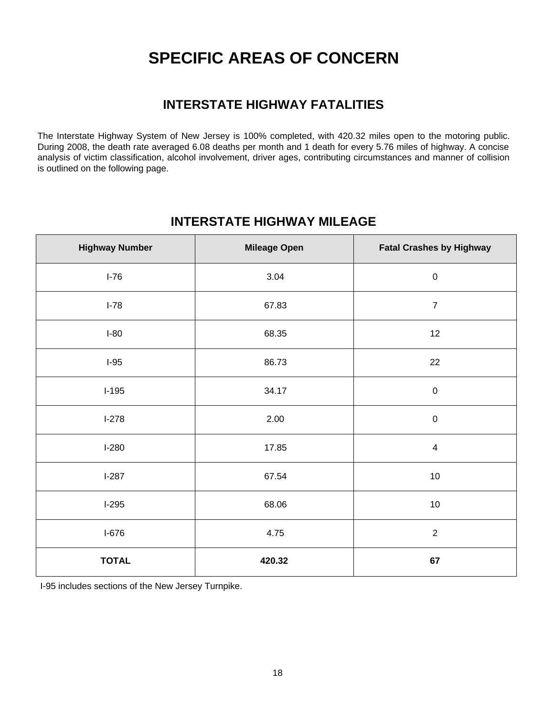## **SPECIFIC AREAS OF CONCERN**

### **INTERSTATE HIGHWAY FATALITIES**

The Interstate Highway System of New Jersey is 100% completed, with 420.32 miles open to the motoring public. During 2008, the death rate averaged 6.08 deaths per month and 1 death for every 5.76 miles of highway. A concise analysis of victim classification, alcohol involvement, driver ages, contributing circumstances and manner of collision is outlined on the following page.

#### **INTERSTATE HIGHWAY MILEAGE**

| <b>Highway Number</b> | <b>Mileage Open</b> | <b>Fatal Crashes by Highway</b> |
|-----------------------|---------------------|---------------------------------|
| $I-76$                | 3.04                | $\pmb{0}$                       |
| $I-78$                | 67.83               | $\overline{7}$                  |
| $I-80$                | 68.35               | 12                              |
| $I-95$                | 86.73               | 22                              |
| $I-195$               | 34.17               | $\pmb{0}$                       |
| $I-278$               | 2.00                | $\pmb{0}$                       |
| $I-280$               | 17.85               | $\overline{4}$                  |
| $I-287$               | 67.54               | $10$                            |
| $I-295$               | 68.06               | 10                              |
| $I-676$               | 4.75                | $\overline{2}$                  |
| <b>TOTAL</b>          | 420.32              | 67                              |

I-95 includes sections of the New Jersey Turnpike.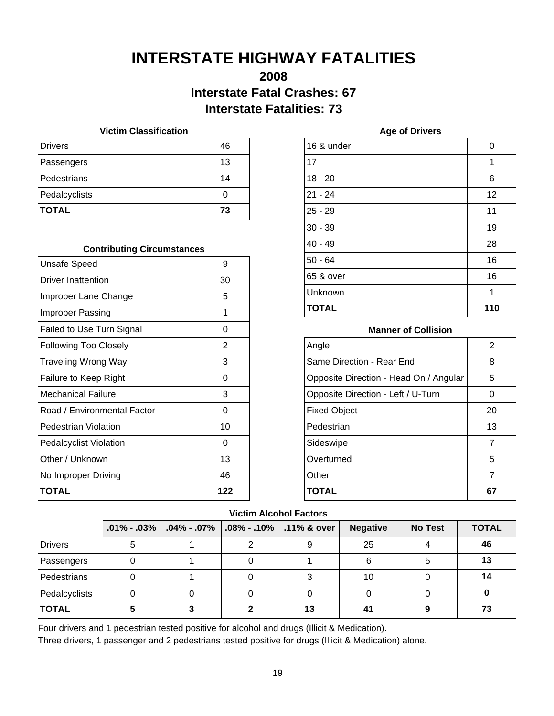## **INTERSTATE HIGHWAY FATALITIES**

### **2008 Interstate Fatal Crashes: 67 Interstate Fatalities: 73**

#### **Victim Classification**

| <b>Drivers</b> | 46 |
|----------------|----|
| Passengers     | 13 |
| Pedestrians    | 14 |
| Pedalcyclists  |    |
| <b>TOTAL</b>   | 73 |

#### **Contributing Circumstances**

| <b>Unsafe Speed</b>           | 9   |
|-------------------------------|-----|
| Driver Inattention            | 30  |
| Improper Lane Change          | 5   |
| <b>Improper Passing</b>       | 1   |
| Failed to Use Turn Signal     | 0   |
| <b>Following Too Closely</b>  | 2   |
| Traveling Wrong Way           | 3   |
| Failure to Keep Right         | ი   |
| <b>Mechanical Failure</b>     | 3   |
| Road / Environmental Factor   | ი   |
| Pedestrian Violation          | 10  |
| <b>Pedalcyclist Violation</b> | 0   |
| Other / Unknown               | 13  |
| No Improper Driving           | 46  |
| <b>TOTAL</b>                  | 122 |

| 0   |
|-----|
| 1   |
| 6   |
| 12  |
| 11  |
| 19  |
| 28  |
| 16  |
| 16  |
| 1   |
| 110 |
|     |

**Age of Drivers**

#### **Manner of Collision**

| Angle                                  | 2  |
|----------------------------------------|----|
| Same Direction - Rear End              | 8  |
| Opposite Direction - Head On / Angular | 5  |
| Opposite Direction - Left / U-Turn     | O  |
| <b>Fixed Object</b>                    | 20 |
| Pedestrian                             | 13 |
| Sideswipe                              | 7  |
| Overturned                             | 5  |
| Other                                  | 7  |
| <b>TOTAL</b>                           |    |

#### **Victim Alcohol Factors**

|                | $.01\%$ - $.03\%$ | $\vert$ .04% - .07% $\vert$ | $\vert$ .08% - .10% $\vert$ .11% & over | <b>Negative</b> | <b>No Test</b> | <b>TOTAL</b> |
|----------------|-------------------|-----------------------------|-----------------------------------------|-----------------|----------------|--------------|
| <b>Drivers</b> |                   |                             | 9                                       | 25              |                | 46           |
| Passengers     |                   |                             |                                         | 6               |                | 13           |
| Pedestrians    |                   |                             |                                         | 10              |                | 14           |
| Pedalcyclists  |                   |                             |                                         |                 |                |              |
| <b>TOTAL</b>   |                   |                             | 13                                      |                 |                | 73           |

Four drivers and 1 pedestrian tested positive for alcohol and drugs (Illicit & Medication).

Three drivers, 1 passenger and 2 pedestrians tested positive for drugs (Illicit & Medication) alone.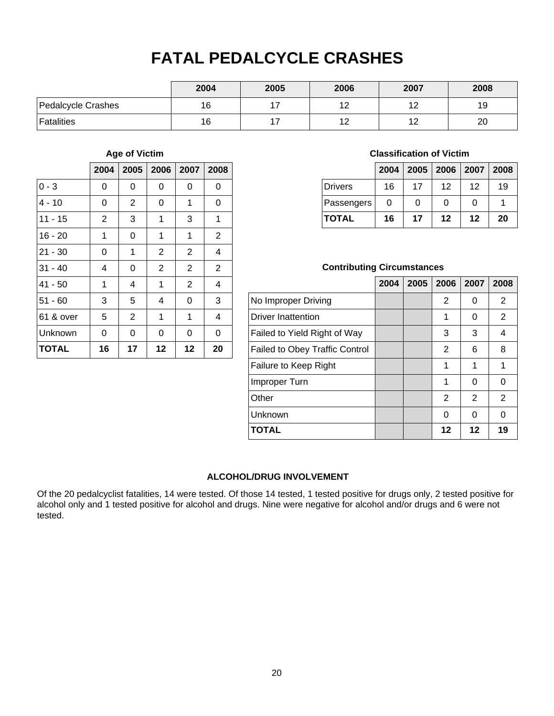## **FATAL PEDALCYCLE CRASHES**

|                    | 2004 | 2005 | 2006             | 2007   | 2008 |
|--------------------|------|------|------------------|--------|------|
| Pedalcycle Crashes | 16   |      | 17<br>' 4        | 10     | 19   |
| Fatalities         | 16   |      | 12<br>. <u>.</u> | $\sim$ | 20   |

#### **Age of Victim**

|              | 2004           | 2005           | 2006           | 2007           | 2008           |
|--------------|----------------|----------------|----------------|----------------|----------------|
| $0 - 3$      | 0              | 0              | 0              | 0              | 0              |
| $4 - 10$     | 0              | $\overline{2}$ | 0              | 1              | 0              |
| $11 - 15$    | $\overline{2}$ | 3              | 1              | 3              | 1              |
| $16 - 20$    | 1              | 0              | 1              | 1              | $\overline{2}$ |
| $21 - 30$    | 0              | 1              | $\overline{2}$ | 2              | 4              |
| $31 - 40$    | 4              | 0              | $\overline{2}$ | 2              | $\overline{2}$ |
| $41 - 50$    | 1              | 4              | 1              | $\overline{2}$ | 4              |
| $51 - 60$    | 3              | 5              | 4              | 0              | 3              |
| 61 & over    | 5              | $\overline{2}$ | 1              | 1              | 4              |
| Unknown      | 0              | 0              | 0              | 0              | 0              |
| <b>TOTAL</b> | 16             | 17             | 12             | 12             | 20             |

#### **Classification of Victim**

|                |    |    |    | 2004   2005   2006   2007   2008 |    |
|----------------|----|----|----|----------------------------------|----|
| <b>Drivers</b> | 16 | 17 | 12 | 12                               | 19 |
| Passengers     | O  | 0  | 0  | 0                                |    |
| <b>TOTAL</b>   | 16 | 17 | 12 | 12                               | 20 |

#### **Contributing Circumstances**

|                                       | 2004 | 2005 | 2006 | 2007          | 2008          |
|---------------------------------------|------|------|------|---------------|---------------|
| No Improper Driving                   |      |      | 2    | ∩             | 2             |
| <b>Driver Inattention</b>             |      |      | 1    | 0             | 2             |
| Failed to Yield Right of Way          |      |      | 3    | 3             | 4             |
| <b>Failed to Obey Traffic Control</b> |      |      | 2    | 6             | 8             |
| Failure to Keep Right                 |      |      | 1    | 1             | 1             |
| Improper Turn                         |      |      | 1    | $\Omega$      | 0             |
| Other                                 |      |      | 2    | $\mathcal{P}$ | $\mathcal{P}$ |
| Unknown                               |      |      | 0    | 0             | ∩             |
| <b>TOTAL</b>                          |      |      | 12   | 12            | 19            |

#### **ALCOHOL/DRUG INVOLVEMENT**

Of the 20 pedalcyclist fatalities, 14 were tested. Of those 14 tested, 1 tested positive for drugs only, 2 tested positive for alcohol only and 1 tested positive for alcohol and drugs. Nine were negative for alcohol and/or drugs and 6 were not tested.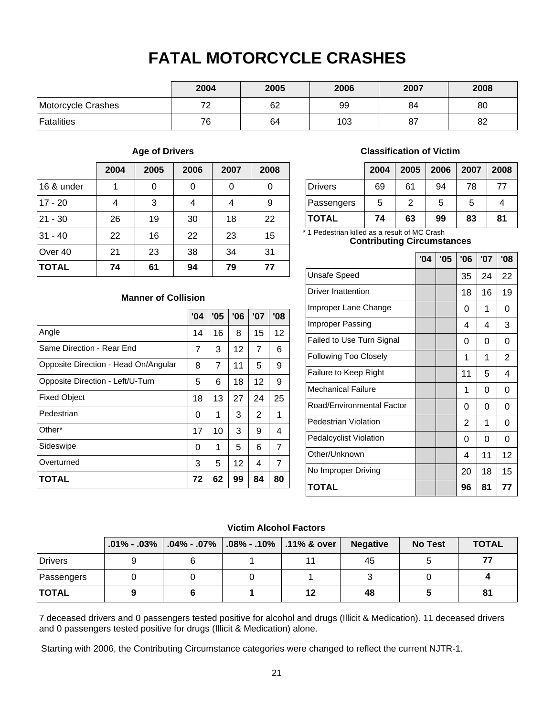## **FATAL MOTORCYCLE CRASHES**

|                    | 2004 | 2005 | 2006 | 2007 | 2008 |
|--------------------|------|------|------|------|------|
| Motorcycle Crashes | 70   | 62   | 99   | 84   | 80   |
| Fatalities         | 76   | 64   | 103  | 87   | 82   |

#### **Age of Drivers**

|              | 2004 | 2005 | 2006 | 2007 | 2008 |
|--------------|------|------|------|------|------|
| 16 & under   | 1    | 0    | 0    | 0    | 0    |
| $17 - 20$    | 4    | 3    | 4    | 4    | 9    |
| $ 21 - 30$   | 26   | 19   | 30   | 18   | 22   |
| $31 - 40$    | 22   | 16   | 22   | 23   | 15   |
| Over 40      | 21   | 23   | 38   | 34   | 31   |
| <b>TOTAL</b> | 74   | 61   | 94   | 79   | 77   |

**Manner of Collision**

**TOTAL 72 62 99 84 80**

Angle

Fixed Object Pedestrian

Other\*

Sideswipe Overturned

Same Direction - Rear End

Opposite Direction - Head On/Angular

Opposite Direction - Left/U-Turn

#### **Classification of Victim**

|                | 2004 | 2005          | 2006 | 2007 | 2008 |
|----------------|------|---------------|------|------|------|
| <b>Drivers</b> | 69   | 61            | 94   | 78   | 77   |
| Passengers     | 5    | $\mathcal{P}$ | 5    | 5    |      |
| <b>TOTAL</b>   | 74   | 63            | 99   | 83   | 81   |

\* 1 Pedestrian killed as a result of MC Crash

#### **Contributing Circumstances**

|                               | '04 | '05 | '06            | '07 | '08            |
|-------------------------------|-----|-----|----------------|-----|----------------|
| <b>Unsafe Speed</b>           |     |     | 35             | 24  | 22             |
| <b>Driver Inattention</b>     |     |     | 18             | 16  | 19             |
| Improper Lane Change          |     |     | 0              | 1   | 0              |
| Improper Passing              |     |     | 4              | 4   | 3              |
| Failed to Use Turn Signal     |     |     | 0              | 0   | 0              |
| <b>Following Too Closely</b>  |     |     | 1              | 1   | $\overline{2}$ |
| Failure to Keep Right         |     |     | 11             | 5   | 4              |
| <b>Mechanical Failure</b>     |     |     | 1              | 0   | 0              |
| Road/Environmental Factor     |     |     | 0              | 0   | 0              |
| Pedestrian Violation          |     |     | $\overline{2}$ | 1   | 0              |
| <b>Pedalcyclist Violation</b> |     |     | 0              | 0   | 0              |
| Other/Unknown                 |     |     | 4              | 11  | 12             |
| No Improper Driving           |     |     | 20             | 18  | 15             |
| TOTAL                         |     |     | 96             | 81  | 77             |

#### **Victim Alcohol Factors**

 $14 | 16 | 8 | 15 | 12$  $7 \mid 3 \mid 12 \mid 7 \mid 6$ 

**'04 '05 '06 '07 '08**

8 | 7 | 11 | 5 | 9  $5 \mid 6 \mid 18 \mid 12 \mid 9$ 18 13 27 24 25 0 | 1 | 3 | 2 | 1  $17$  | 10 | 3 | 9 | 4 0 | 1 | 5 | 6 | 7  $3 \mid 5 \mid 12 \mid 4 \mid 7$ 

|              | $.01\% - .03\%$ |   | $\mid$ .04% - .07% $\mid$ .08% - .10% $\mid$ .11% & over $\mid$ | <b>Negative</b> | <b>No Test</b> | <b>TOTAL</b> |
|--------------|-----------------|---|-----------------------------------------------------------------|-----------------|----------------|--------------|
| Drivers      |                 | ь |                                                                 | 45              |                | 77           |
| Passengers   |                 |   |                                                                 |                 |                |              |
| <b>TOTAL</b> |                 |   |                                                                 | 48              |                | 81           |

7 deceased drivers and 0 passengers tested positive for alcohol and drugs (Illicit & Medication). 11 deceased drivers and 0 passengers tested positive for drugs (Illicit & Medication) alone.

Starting with 2006, the Contributing Circumstance categories were changed to reflect the current NJTR-1.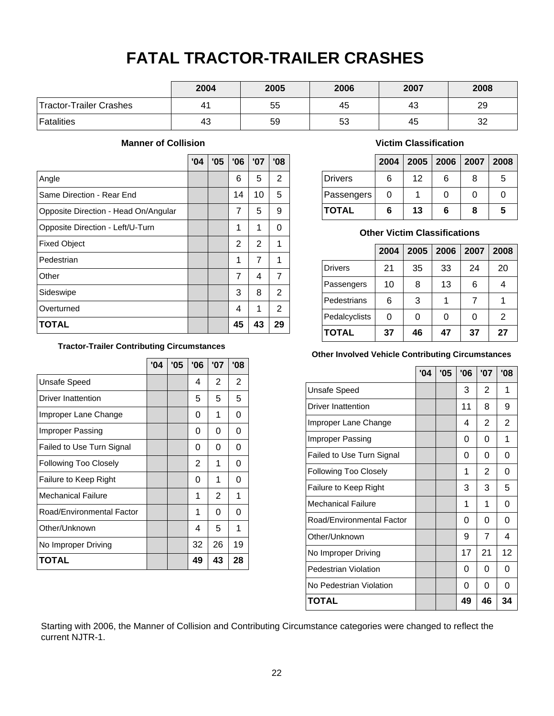## **FATAL TRACTOR-TRAILER CRASHES**

|                         | 2004 | 2005 | 2006 | 2007 | 2008 |
|-------------------------|------|------|------|------|------|
| Tractor-Trailer Crashes | 41   | 55   | 45   | 43   | 29   |
| Fatalities              | 43   | 59   | 53   | 45   | 32   |

#### **Manner of Collision**

|                                      | '04 | '05 | '06 | '07 | '08            |
|--------------------------------------|-----|-----|-----|-----|----------------|
| Angle                                |     |     | 6   | 5   | 2              |
| Same Direction - Rear End            |     |     | 14  | 10  | 5              |
| Opposite Direction - Head On/Angular |     |     | 7   | 5   | 9              |
| Opposite Direction - Left/U-Turn     |     |     | 1   | 1   | ი              |
| <b>Fixed Object</b>                  |     |     | 2   | 2   | 1              |
| Pedestrian                           |     |     | 1   | 7   | 1              |
| Other                                |     |     | 7   | 4   | 7              |
| Sideswipe                            |     |     | 3   | 8   | 2              |
| Overturned                           |     |     | 4   | 1   | $\overline{2}$ |
| <b>TOTAL</b>                         |     |     | 45  | 43  | 29             |

#### **Tractor-Trailer Contributing Circumstances**

|                              | '04 | '05 | '06 | '07            | '08 |
|------------------------------|-----|-----|-----|----------------|-----|
| <b>Unsafe Speed</b>          |     |     | 4   | 2              | 2   |
| Driver Inattention           |     |     | 5   | 5              | 5   |
| Improper Lane Change         |     |     | 0   | 1              | 0   |
| Improper Passing             |     |     | 0   | 0              | 0   |
| Failed to Use Turn Signal    |     |     | 0   | 0              | 0   |
| <b>Following Too Closely</b> |     |     | 2   | 1              | 0   |
| Failure to Keep Right        |     |     | 0   | 1              | 0   |
| <b>Mechanical Failure</b>    |     |     | 1   | $\overline{2}$ | 1   |
| Road/Environmental Factor    |     |     | 1   | 0              | 0   |
| Other/Unknown                |     |     | 4   | 5              | 1   |
| No Improper Driving          |     |     | 32  | 26             | 19  |
| <b>TOTAL</b>                 |     |     | 49  | 43             | 28  |

#### **Victim Classification**

|                |   | 2004   2005   2006   2007   2008 |   |   |   |
|----------------|---|----------------------------------|---|---|---|
| <b>Drivers</b> | 6 | 12                               | 6 | 8 | 5 |
| Passengers     | O |                                  |   | 0 |   |
| <b>TOTAL</b>   | 6 | 13                               | 6 | 8 | 5 |

#### **Other Victim Classifications**

|                | 2004 | 2005 | 2006 | 2007 | 2008 |
|----------------|------|------|------|------|------|
| <b>Drivers</b> | 21   | 35   | 33   | 24   | 20   |
| Passengers     | 10   | 8    | 13   | 6    |      |
| Pedestrians    | 6    | 3    |      |      |      |
| Pedalcyclists  | 0    | 0    |      | 0    | 2    |
| <b>TOTAL</b>   | 37   | 46   | 47   | 37   | 27   |

#### **Other Involved Vehicle Contributing Circumstances**

|                              | '04 | '05 | '06 | '07            | '08            |
|------------------------------|-----|-----|-----|----------------|----------------|
| <b>Unsafe Speed</b>          |     |     | 3   | 2              | 1              |
| <b>Driver Inattention</b>    |     |     | 11  | 8              | 9              |
| Improper Lane Change         |     |     | 4   | 2              | $\overline{2}$ |
| Improper Passing             |     |     | 0   | 0              | 1              |
| Failed to Use Turn Signal    |     |     | 0   | 0              | 0              |
| <b>Following Too Closely</b> |     |     | 1   | 2              | 0              |
| Failure to Keep Right        |     |     | 3   | 3              | 5              |
| <b>Mechanical Failure</b>    |     |     | 1   | 1              | 0              |
| Road/Environmental Factor    |     |     | 0   | 0              | 0              |
| Other/Unknown                |     |     | 9   | $\overline{7}$ | 4              |
| No Improper Driving          |     |     | 17  | 21             | 12             |
| Pedestrian Violation         |     |     | 0   | 0              | O              |
| No Pedestrian Violation      |     |     | 0   | 0              | 0              |
| <b>TOTAL</b>                 |     |     | 49  | 46             | 34             |

Starting with 2006, the Manner of Collision and Contributing Circumstance categories were changed to reflect the current NJTR-1.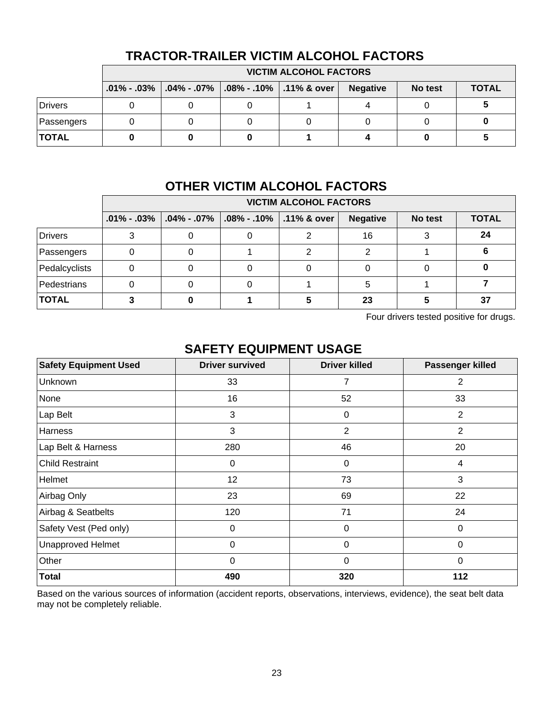|              | <b>VICTIM ALCOHOL FACTORS</b> |                                                                               |  |  |                 |         |              |  |  |  |
|--------------|-------------------------------|-------------------------------------------------------------------------------|--|--|-----------------|---------|--------------|--|--|--|
|              |                               | $.01\%$ - .03% $\vert .04\%$ - .07% $\vert .08\%$ - .10% $\vert .11\%$ & over |  |  | <b>Negative</b> | No test | <b>TOTAL</b> |  |  |  |
| Drivers      |                               |                                                                               |  |  |                 |         |              |  |  |  |
| Passengers   |                               |                                                                               |  |  |                 |         |              |  |  |  |
| <b>TOTAL</b> |                               |                                                                               |  |  |                 |         |              |  |  |  |

### **TRACTOR-TRAILER VICTIM ALCOHOL FACTORS**

## **OTHER VICTIM ALCOHOL FACTORS**

|               | <b>VICTIM ALCOHOL FACTORS</b>       |                                         |  |                 |         |              |  |  |  |  |
|---------------|-------------------------------------|-----------------------------------------|--|-----------------|---------|--------------|--|--|--|--|
|               | $.01\%$ - $.03\%$ $.04\%$ - $.07\%$ | $\vert$ .08% - .10% $\vert$ .11% & over |  | <b>Negative</b> | No test | <b>TOTAL</b> |  |  |  |  |
| Drivers       |                                     |                                         |  | 16              |         | 24           |  |  |  |  |
| Passengers    |                                     |                                         |  |                 |         |              |  |  |  |  |
| Pedalcyclists |                                     |                                         |  |                 |         |              |  |  |  |  |
| Pedestrians   |                                     |                                         |  |                 |         |              |  |  |  |  |
| <b>TOTAL</b>  |                                     |                                         |  | 23              |         | 37           |  |  |  |  |

Four drivers tested positive for drugs.

### **SAFETY EQUIPMENT USAGE**

| <b>Safety Equipment Used</b> | <b>Driver survived</b> | <b>Driver killed</b> | Passenger killed |
|------------------------------|------------------------|----------------------|------------------|
| Unknown                      | 33                     | 7                    | 2                |
| None                         | 16                     | 52                   | 33               |
| Lap Belt                     | 3                      | 0                    | $\overline{2}$   |
| Harness                      | 3                      | $\overline{2}$       | $\overline{2}$   |
| Lap Belt & Harness           | 280                    | 46                   | 20               |
| <b>Child Restraint</b>       | $\mathbf 0$            | 0                    | 4                |
| Helmet                       | 12                     | 73                   | 3                |
| Airbag Only                  | 23                     | 69                   | 22               |
| Airbag & Seatbelts           | 120                    | 71                   | 24               |
| Safety Vest (Ped only)       | $\mathbf 0$            | 0                    | $\mathbf 0$      |
| <b>Unapproved Helmet</b>     | 0                      | 0                    | $\mathbf 0$      |
| Other                        | 0                      | 0                    | $\Omega$         |
| <b>Total</b>                 | 490                    | 320                  | 112              |

Based on the various sources of information (accident reports, observations, interviews, evidence), the seat belt data may not be completely reliable.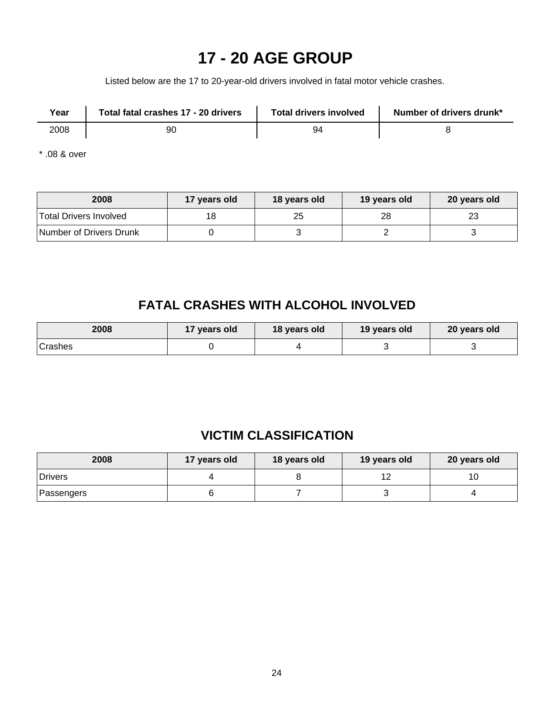## **17 - 20 AGE GROUP**

Listed below are the 17 to 20-year-old drivers involved in fatal motor vehicle crashes.

| Year | Total fatal crashes 17 - 20 drivers | <b>Total drivers involved</b> | Number of drivers drunk* |
|------|-------------------------------------|-------------------------------|--------------------------|
| 2008 | 90                                  | 94                            |                          |

\* .08 & over

| 2008                          | 17 years old | 18 years old | 19 years old | 20 years old |
|-------------------------------|--------------|--------------|--------------|--------------|
| <b>Total Drivers Involved</b> |              | 25           | 28           | ∠ડ           |
| Number of Drivers Drunk       |              |              |              |              |

## **FATAL CRASHES WITH ALCOHOL INVOLVED**

| 2008           | 17 years old<br>18 years old |  | 19 years old | 20 years old |  |
|----------------|------------------------------|--|--------------|--------------|--|
| <b>Crashes</b> |                              |  |              |              |  |

## **VICTIM CLASSIFICATION**

| 2008           | 17 years old | 18 years old | 19 years old | 20 years old |
|----------------|--------------|--------------|--------------|--------------|
| <b>Drivers</b> |              |              |              | 10           |
| Passengers     |              |              |              |              |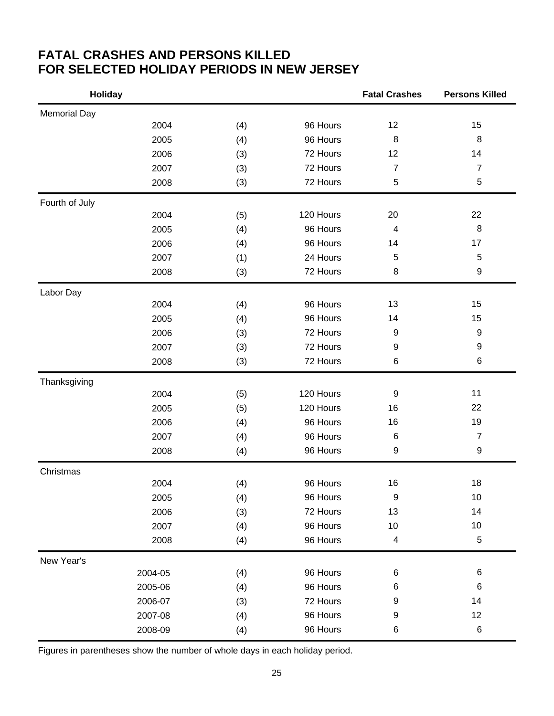### **FATAL CRASHES AND PERSONS KILLED FOR SELECTED HOLIDAY PERIODS IN NEW JERSEY**

| <b>Holiday</b>      |         |     |           | <b>Fatal Crashes</b>     | <b>Persons Killed</b> |
|---------------------|---------|-----|-----------|--------------------------|-----------------------|
| <b>Memorial Day</b> |         |     |           |                          |                       |
|                     | 2004    | (4) | 96 Hours  | 12                       | 15                    |
|                     | 2005    | (4) | 96 Hours  | 8                        | $\, 8$                |
|                     | 2006    | (3) | 72 Hours  | 12                       | 14                    |
|                     | 2007    | (3) | 72 Hours  | $\overline{7}$           | $\overline{7}$        |
|                     | 2008    | (3) | 72 Hours  | 5                        | $\mathbf 5$           |
| Fourth of July      |         |     |           |                          |                       |
|                     | 2004    | (5) | 120 Hours | 20                       | 22                    |
|                     | 2005    | (4) | 96 Hours  | $\overline{4}$           | 8                     |
|                     | 2006    | (4) | 96 Hours  | 14                       | 17                    |
|                     | 2007    | (1) | 24 Hours  | 5                        | $\mathbf 5$           |
|                     | 2008    | (3) | 72 Hours  | 8                        | 9                     |
| Labor Day           |         |     |           |                          |                       |
|                     | 2004    | (4) | 96 Hours  | 13                       | 15                    |
|                     | 2005    | (4) | 96 Hours  | 14                       | 15                    |
|                     | 2006    | (3) | 72 Hours  | 9                        | $\boldsymbol{9}$      |
|                     | 2007    | (3) | 72 Hours  | 9                        | 9                     |
|                     | 2008    | (3) | 72 Hours  | 6                        | 6                     |
| Thanksgiving        |         |     |           |                          |                       |
|                     | 2004    | (5) | 120 Hours | $\boldsymbol{9}$         | 11                    |
|                     | 2005    | (5) | 120 Hours | 16                       | 22                    |
|                     | 2006    | (4) | 96 Hours  | 16                       | 19                    |
|                     | 2007    | (4) | 96 Hours  | 6                        | $\overline{7}$        |
|                     | 2008    | (4) | 96 Hours  | 9                        | 9                     |
| Christmas           |         |     |           |                          |                       |
|                     | 2004    | (4) | 96 Hours  | 16                       | 18                    |
|                     | 2005    | (4) | 96 Hours  | 9                        | 10                    |
|                     | 2006    | (3) | 72 Hours  | 13                       | 14                    |
|                     | 2007    | (4) | 96 Hours  | 10                       | 10                    |
|                     | 2008    | (4) | 96 Hours  | $\overline{\mathcal{A}}$ | $\,$ 5 $\,$           |
| New Year's          |         |     |           |                          |                       |
|                     | 2004-05 | (4) | 96 Hours  | $\,6$                    | 6                     |
|                     | 2005-06 | (4) | 96 Hours  | 6                        | 6                     |
|                     | 2006-07 | (3) | 72 Hours  | 9                        | 14                    |
|                     | 2007-08 | (4) | 96 Hours  | 9                        | 12                    |
|                     | 2008-09 | (4) | 96 Hours  | $\,6$                    | $\,6$                 |

Figures in parentheses show the number of whole days in each holiday period.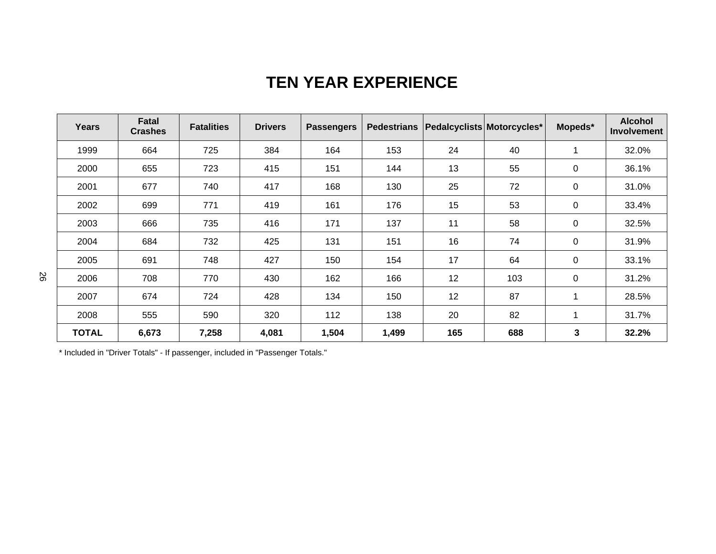## **TEN YEAR EXPERIENCE**

| <b>Years</b> | Fatal<br><b>Crashes</b> | <b>Fatalities</b> | <b>Drivers</b> | <b>Passengers</b> | <b>Pedestrians</b> | Pedalcyclists Motorcycles* |     | Mopeds*     | <b>Alcohol</b><br><b>Involvement</b> |
|--------------|-------------------------|-------------------|----------------|-------------------|--------------------|----------------------------|-----|-------------|--------------------------------------|
| 1999         | 664                     | 725               | 384            | 164               | 153                | 24                         | 40  | 1           | 32.0%                                |
| 2000         | 655                     | 723               | 415            | 151               | 144                | 13                         | 55  | 0           | 36.1%                                |
| 2001         | 677                     | 740               | 417            | 168               | 130                | 25                         | 72  | $\mathbf 0$ | 31.0%                                |
| 2002         | 699                     | 771               | 419            | 161               | 176                | 15                         | 53  | $\mathbf 0$ | 33.4%                                |
| 2003         | 666                     | 735               | 416            | 171               | 137                | 11                         | 58  | 0           | 32.5%                                |
| 2004         | 684                     | 732               | 425            | 131               | 151                | 16                         | 74  | $\mathbf 0$ | 31.9%                                |
| 2005         | 691                     | 748               | 427            | 150               | 154                | 17                         | 64  | 0           | 33.1%                                |
| 2006         | 708                     | 770               | 430            | 162               | 166                | 12                         | 103 | 0           | 31.2%                                |
| 2007         | 674                     | 724               | 428            | 134               | 150                | 12                         | 87  | 1           | 28.5%                                |
| 2008         | 555                     | 590               | 320            | 112               | 138                | 20                         | 82  | 1           | 31.7%                                |
| <b>TOTAL</b> | 6,673                   | 7,258             | 4,081          | 1,504             | 1,499              | 165                        | 688 | 3           | 32.2%                                |

\* Included in "Driver Totals" - If passenger, included in "Passenger Totals."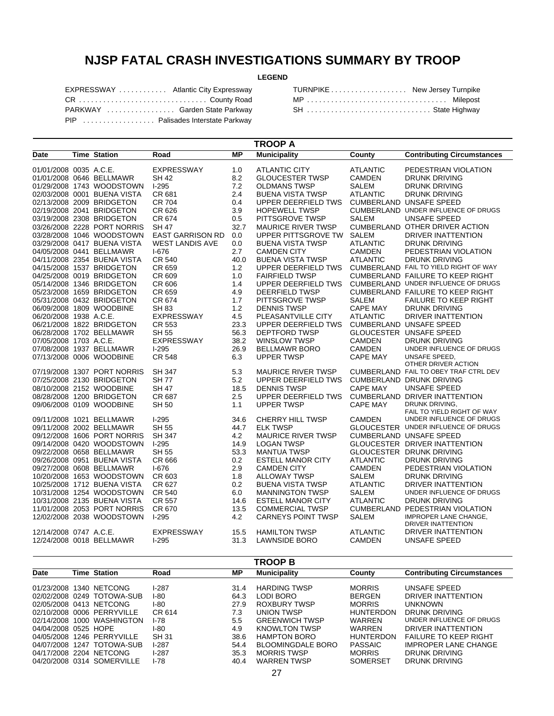## **NJSP FATAL CRASH INVESTIGATIONS SUMMARY BY TROOP**

#### **LEGEND**

| EXPRESSWAY  Atlantic City Expressway |  |
|--------------------------------------|--|
| CR  County Road                      |  |
| PARKWAY  Garden State Parkway        |  |
| PIP  Palisades Interstate Parkway    |  |

| TURNPIKE New Jersey Turnpike |  |
|------------------------------|--|
| MP  Milepost                 |  |
| SH  State Highway            |  |

| <b>TROOP A</b>         |  |                             |                         |      |                           |                 |                                            |  |
|------------------------|--|-----------------------------|-------------------------|------|---------------------------|-----------------|--------------------------------------------|--|
| Date                   |  | <b>Time Station</b>         | Road                    | МP   | <b>Municipality</b>       | County          | <b>Contributing Circumstances</b>          |  |
| 01/01/2008 0035 A.C.E. |  |                             | EXPRESSWAY              | 1.0  | ATLANTIC CITY             | <b>ATLANTIC</b> | PEDESTRIAN VIOLATION                       |  |
|                        |  | 01/01/2008 0646 BELLMAWR    | <b>SH 42</b>            | 8.2  | <b>GLOUCESTER TWSP</b>    | <b>CAMDEN</b>   | <b>DRUNK DRIVING</b>                       |  |
|                        |  | 01/29/2008 1743 WOODSTOWN   | $1-295$                 | 7.2  | <b>OLDMANS TWSP</b>       | <b>SALEM</b>    | <b>DRUNK DRIVING</b>                       |  |
|                        |  | 02/03/2008 0001 BUENA VISTA | CR 681                  | 2.4  | <b>BUENA VISTA TWSP</b>   | <b>ATLANTIC</b> | <b>DRUNK DRIVING</b>                       |  |
|                        |  | 02/13/2008 2009 BRIDGETON   | <b>CR 704</b>           | 0.4  | UPPER DEERFIELD TWS       |                 | <b>CUMBERLAND UNSAFE SPEED</b>             |  |
|                        |  | 02/19/2008 2041 BRIDGETON   | CR 626                  | 3.9  | <b>HOPEWELL TWSP</b>      |                 | <b>CUMBERLAND UNDER INFLUENCE OF DRUGS</b> |  |
|                        |  | 03/19/2008 2308 BRIDGETON   | CR 674                  | 0.5  | PITTSGROVE TWSP           | <b>SALEM</b>    | <b>UNSAFE SPEED</b>                        |  |
|                        |  | 03/26/2008 2228 PORT NORRIS | <b>SH 47</b>            | 32.7 | <b>MAURICE RIVER TWSP</b> |                 | CUMBERLAND OTHER DRIVER ACTION             |  |
|                        |  | 03/28/2008 1046 WOODSTOWN   | <b>EAST GARRISON RD</b> | 0.0  | UPPER PITTSGROVE TW       | <b>SALEM</b>    | <b>DRIVER INATTENTION</b>                  |  |
|                        |  | 03/29/2008 0417 BUENA VISTA | <b>WEST LANDIS AVE</b>  | 0.0  | <b>BUENA VISTA TWSP</b>   | <b>ATLANTIC</b> | <b>DRUNK DRIVING</b>                       |  |
|                        |  | 04/05/2008 0441 BELLMAWR    | $I-676$                 | 2.7  | <b>CAMDEN CITY</b>        | CAMDEN          | PEDESTRIAN VIOLATION                       |  |
|                        |  | 04/11/2008 2354 BUENA VISTA | <b>CR 540</b>           | 40.0 | <b>BUENA VISTA TWSP</b>   | <b>ATLANTIC</b> | <b>DRUNK DRIVING</b>                       |  |
|                        |  | 04/15/2008 1537 BRIDGETON   |                         |      |                           |                 | CUMBERLAND FAIL TO YIELD RIGHT OF WAY      |  |
|                        |  |                             | CR 659                  | 1.2  | UPPER DEERFIELD TWS       |                 |                                            |  |
|                        |  | 04/25/2008 0019 BRIDGETON   | CR 609                  | 1.0  | <b>FAIRFIELD TWSP</b>     |                 | CUMBERLAND FAILURE TO KEEP RIGHT           |  |
|                        |  | 05/14/2008 1346 BRIDGETON   | CR 606                  | 1.4  | UPPER DEERFIELD TWS       |                 | CUMBERLAND UNDER INFLUENCE OF DRUGS        |  |
|                        |  | 05/23/2008 1659 BRIDGETON   | CR 659                  | 4.9  | <b>DEERFIELD TWSP</b>     |                 | <b>CUMBERLAND FAILURE TO KEEP RIGHT</b>    |  |
|                        |  | 05/31/2008 0432 BRIDGETON   | CR 674                  | 1.7  | <b>PITTSGROVE TWSP</b>    | <b>SALEM</b>    | <b>FAILURE TO KEEP RIGHT</b>               |  |
|                        |  | 06/09/2008 1809 WOODBINE    | SH 83                   | 1.2  | <b>DENNIS TWSP</b>        | <b>CAPE MAY</b> | <b>DRUNK DRIVING</b>                       |  |
| 06/20/2008 1938 A.C.E. |  |                             | EXPRESSWAY              | 4.5  | PLEASANTVILLE CITY        | <b>ATLANTIC</b> | <b>DRIVER INATTENTION</b>                  |  |
|                        |  | 06/21/2008 1822 BRIDGETON   | CR 553                  | 23.3 | UPPER DEERFIELD TWS       |                 | CUMBERLAND UNSAFE SPEED                    |  |
|                        |  | 06/28/2008 1702 BELLMAWR    | <b>SH 55</b>            | 56.3 | <b>DEPTFORD TWSP</b>      |                 | GLOUCESTER UNSAFE SPEED                    |  |
| 07/05/2008 1703 A.C.E. |  |                             | <b>EXPRESSWAY</b>       | 38.2 | <b>WINSLOW TWSP</b>       | <b>CAMDEN</b>   | <b>DRUNK DRIVING</b>                       |  |
|                        |  | 07/08/2008 1937 BELLMAWR    | $1-295$                 | 26.9 | <b>BELLMAWR BORO</b>      | <b>CAMDEN</b>   | UNDER INFLUENCE OF DRUGS                   |  |
|                        |  | 07/13/2008 0006 WOODBINE    | <b>CR 548</b>           | 6.3  | <b>UPPER TWSP</b>         | <b>CAPE MAY</b> | UNSAFE SPEED.                              |  |
|                        |  |                             |                         |      |                           |                 | OTHER DRIVER ACTION                        |  |
|                        |  | 07/19/2008 1307 PORT NORRIS | <b>SH 347</b>           | 5.3  | <b>MAURICE RIVER TWSP</b> |                 | CUMBERLAND FAIL TO OBEY TRAF CTRL DEV      |  |
|                        |  | 07/25/2008 2130 BRIDGETON   | <b>SH 77</b>            | 5.2  | UPPER DEERFIELD TWS       |                 | <b>CUMBERLAND DRUNK DRIVING</b>            |  |
|                        |  | 08/10/2008 2152 WOODBINE    | <b>SH 47</b>            | 18.5 | <b>DENNIS TWSP</b>        | <b>CAPE MAY</b> | UNSAFE SPEED                               |  |
|                        |  | 08/28/2008 1200 BRIDGETON   | CR 687                  | 2.5  | UPPER DEERFIELD TWS       |                 | <b>CUMBERLAND DRIVER INATTENTION</b>       |  |
|                        |  | 09/06/2008 0109 WOODBINE    | SH 50                   | 1.1  | <b>UPPER TWSP</b>         | <b>CAPE MAY</b> | DRUNK DRIVING,                             |  |
|                        |  |                             |                         |      |                           |                 | FAIL TO YIELD RIGHT OF WAY                 |  |
|                        |  | 09/11/2008 1021 BELLMAWR    | $I-295$                 | 34.6 | <b>CHERRY HILL TWSP</b>   | <b>CAMDEN</b>   | UNDER INFLUENCE OF DRUGS                   |  |
|                        |  | 09/11/2008 2002 BELLMAWR    | <b>SH 55</b>            | 44.7 | <b>ELK TWSP</b>           |                 | GLOUCESTER UNDER INFLUENCE OF DRUGS        |  |
|                        |  | 09/12/2008 1606 PORT NORRIS | <b>SH 347</b>           | 4.2  | <b>MAURICE RIVER TWSP</b> |                 | <b>CUMBERLAND UNSAFE SPEED</b>             |  |
|                        |  | 09/14/2008 0420 WOODSTOWN   | $I-295$                 | 14.9 | <b>LOGAN TWSP</b>         |                 | GLOUCESTER DRIVER INATTENTION              |  |
|                        |  | 09/22/2008 0658 BELLMAWR    | <b>SH 55</b>            | 53.3 | <b>MANTUA TWSP</b>        |                 | GLOUCESTER DRUNK DRIVING                   |  |
|                        |  | 09/26/2008 0951 BUENA VISTA | CR 666                  | 0.2  | <b>ESTELL MANOR CITY</b>  | <b>ATLANTIC</b> | <b>DRUNK DRIVING</b>                       |  |
|                        |  | 09/27/2008 0608 BELLMAWR    | $I-676$                 | 2.9  | <b>CAMDEN CITY</b>        | CAMDEN          | PEDESTRIAN VIOLATION                       |  |
|                        |  | 10/20/2008 1653 WOODSTOWN   | CR 603                  | 1.8  |                           |                 | <b>DRUNK DRIVING</b>                       |  |
|                        |  |                             |                         |      | <b>ALLOWAY TWSP</b>       | SALEM           |                                            |  |
|                        |  | 10/25/2008 1712 BUENA VISTA | CR 627                  | 0.2  | <b>BUENA VISTA TWSP</b>   | <b>ATLANTIC</b> | DRIVER INATTENTION                         |  |
|                        |  | 10/31/2008 1254 WOODSTOWN   | <b>CR 540</b>           | 6.0  | <b>MANNINGTON TWSP</b>    | <b>SALEM</b>    | UNDER INFLUENCE OF DRUGS                   |  |
|                        |  | 10/31/2008 2135 BUENA VISTA | <b>CR 557</b>           | 14.6 | <b>ESTELL MANOR CITY</b>  | <b>ATLANTIC</b> | <b>DRUNK DRIVING</b>                       |  |
|                        |  | 11/01/2008 2053 PORT NORRIS | CR 670                  | 13.5 | <b>COMMERCIAL TWSP</b>    |                 | CUMBERLAND PEDESTRIAN VIOLATION            |  |
|                        |  | 12/02/2008 2038 WOODSTOWN   | $1-295$                 | 4.2  | <b>CARNEYS POINT TWSP</b> | <b>SALEM</b>    | IMPROPER LANE CHANGE,                      |  |
|                        |  |                             |                         |      |                           |                 | DRIVER INATTENTION                         |  |
| 12/14/2008 0747 A.C.E. |  |                             | <b>EXPRESSWAY</b>       | 15.5 | <b>HAMILTON TWSP</b>      | <b>ATLANTIC</b> | DRIVER INATTENTION                         |  |
|                        |  | 12/24/2008 0018 BELLMAWR    | $1-295$                 | 31.3 | <b>LAWNSIDE BORO</b>      | <b>CAMDEN</b>   | <b>UNSAFE SPEED</b>                        |  |

|                      |      |                            |              |      | <b>TROOP B</b>           |                  |                                   |
|----------------------|------|----------------------------|--------------|------|--------------------------|------------------|-----------------------------------|
| <b>Date</b>          |      | <b>Time Station</b>        | Road         | МP   | <b>Municipality</b>      | County           | <b>Contributing Circumstances</b> |
| 01/23/2008           |      | 1340 NETCONG               | $1-287$      | 31.4 | <b>HARDING TWSP</b>      | <b>MORRIS</b>    | UNSAFE SPEED                      |
|                      |      | 02/02/2008 0249 TOTOWA-SUB | $1-80$       | 64.3 | LODI BORO                | <b>BERGEN</b>    | DRIVER INATTENTION                |
|                      |      | 02/05/2008 0413 NETCONG    | I-80         | 27.9 | ROXBURY TWSP             | <b>MORRIS</b>    | <b>UNKNOWN</b>                    |
|                      |      | 02/10/2008 0006 PERRYVILLE | CR 614       | 7.3  | UNION TWSP               | <b>HUNTERDON</b> | DRUNK DRIVING                     |
| 02/14/2008           |      | 1000 WASHINGTON            | I-78         | 5.5  | <b>GREENWICH TWSP</b>    | <b>WARRFN</b>    | UNDER INFLUENCE OF DRUGS          |
| 04/04/2008 0525 HOPE |      |                            | I-80         | 4.9  | <b>KNOWLTON TWSP</b>     | WARREN           | DRIVER INATTENTION                |
|                      |      | 04/05/2008 1246 PERRYVILLE | <b>SH 31</b> | 38.6 | <b>HAMPTON BORO</b>      | <b>HUNTERDON</b> | <b>FAILURE TO KEEP RIGHT</b>      |
| 04/07/2008           | 1247 | TOTOWA-SUB                 | $1-287$      | 54.4 | <b>BLOOMINGDALE BORO</b> | PASSAIC          | <b>IMPROPER LANE CHANGE</b>       |
|                      |      | 04/17/2008 2204 NETCONG    | $1-287$      | 35.3 | <b>MORRIS TWSP</b>       | <b>MORRIS</b>    | DRUNK DRIVING                     |
|                      |      | 04/20/2008 0314 SOMERVILLE | $1-78$       | 40.4 | <b>WARREN TWSP</b>       | <b>SOMERSET</b>  | DRUNK DRIVING                     |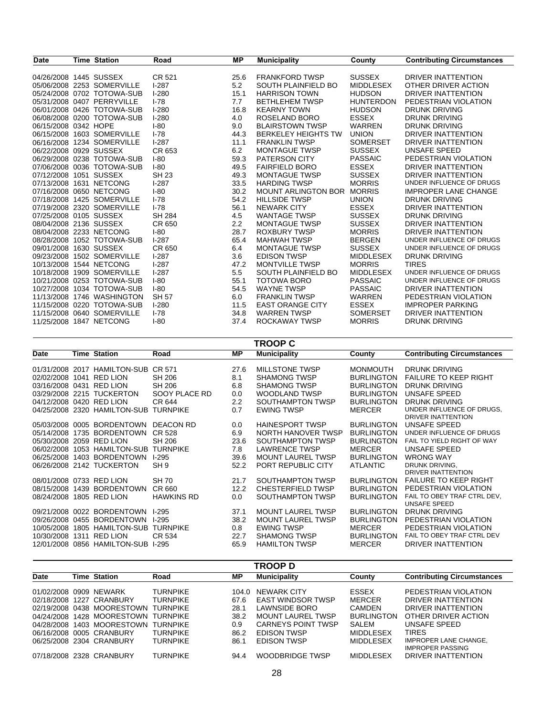| <b>Date</b>            | <b>Time Station</b>        | Road          | <b>MP</b> | <b>Municipality</b>        | County           | <b>Contributing Circumstances</b> |
|------------------------|----------------------------|---------------|-----------|----------------------------|------------------|-----------------------------------|
|                        |                            |               |           |                            |                  |                                   |
| 04/26/2008 1445 SUSSEX |                            | CR 521        | 25.6      | <b>FRANKFORD TWSP</b>      | <b>SUSSEX</b>    | DRIVER INATTENTION                |
|                        | 05/06/2008 2253 SOMERVILLE | $I-287$       | 5.2       | SOUTH PLAINFIELD BO        | <b>MIDDLESEX</b> | OTHER DRIVER ACTION               |
|                        | 05/24/2008 0702 TOTOWA-SUB | $I-280$       | 15.1      | <b>HARRISON TOWN</b>       | <b>HUDSON</b>    | <b>DRIVER INATTENTION</b>         |
|                        | 05/31/2008 0407 PERRYVILLE | $I - 78$      | 7.7       | <b>BETHLEHEM TWSP</b>      | <b>HUNTERDON</b> | PEDESTRIAN VIOLATION              |
|                        | 06/01/2008 0426 TOTOWA-SUB | $I-280$       | 16.8      | <b>KEARNY TOWN</b>         | <b>HUDSON</b>    | DRUNK DRIVING                     |
|                        | 06/08/2008 0200 TOTOWA-SUB | $I-280$       | 4.0       | ROSELAND BORO              | <b>ESSEX</b>     | <b>DRUNK DRIVING</b>              |
| 06/15/2008 0342 HOPE   |                            | $I-80$        | 9.0       | <b>BLAIRSTOWN TWSP</b>     | <b>WARREN</b>    | <b>DRUNK DRIVING</b>              |
|                        | 06/15/2008 1603 SOMERVILLE | $I - 78$      | 44.3      | <b>BERKELEY HEIGHTS TW</b> | <b>UNION</b>     | DRIVER INATTENTION                |
|                        | 06/16/2008 1234 SOMERVILLE | $1-287$       | 11.1      | <b>FRANKLIN TWSP</b>       | <b>SOMERSET</b>  | DRIVER INATTENTION                |
| 06/22/2008 0929 SUSSEX |                            | CR 653        | 6.2       | <b>MONTAGUE TWSP</b>       | <b>SUSSEX</b>    | UNSAFE SPEED                      |
|                        | 06/29/2008 0238 TOTOWA-SUB | $I-80$        | 59.3      | <b>PATERSON CITY</b>       | <b>PASSAIC</b>   | PEDESTRIAN VIOLATION              |
|                        | 07/06/2008 0036 TOTOWA-SUB | $1-80$        | 49.5      | <b>FAIRFIELD BORO</b>      | <b>ESSEX</b>     | <b>DRIVER INATTENTION</b>         |
| 07/12/2008 1051 SUSSEX |                            | <b>SH 23</b>  | 49.3      | <b>MONTAGUE TWSP</b>       | <b>SUSSEX</b>    | <b>DRIVER INATTENTION</b>         |
|                        | 07/13/2008 1631 NETCONG    | $I-287$       | 33.5      | <b>HARDING TWSP</b>        | <b>MORRIS</b>    | UNDER INFLUENCE OF DRUGS          |
|                        | 07/16/2008 0650 NETCONG    | $1-80$        | 30.2      | <b>MOUNT ARLINGTON BOR</b> | <b>MORRIS</b>    | <b>IMPROPER LANE CHANGE</b>       |
|                        | 07/18/2008 1425 SOMERVILLE | $I - 78$      | 54.2      | <b>HILLSIDE TWSP</b>       | <b>UNION</b>     | <b>DRUNK DRIVING</b>              |
|                        | 07/19/2008 2320 SOMERVILLE | $I - 78$      | 56.1      | <b>NEWARK CITY</b>         | <b>ESSEX</b>     | DRIVER INATTENTION                |
| 07/25/2008 0105 SUSSEX |                            | <b>SH 284</b> | 4.5       | <b>WANTAGE TWSP</b>        | <b>SUSSEX</b>    | DRUNK DRIVING                     |
| 08/04/2008 2136 SUSSEX |                            | CR 650        | 2.2       | <b>MONTAGUE TWSP</b>       | <b>SUSSEX</b>    | <b>DRIVER INATTENTION</b>         |
|                        | 08/04/2008 2233 NETCONG    | $I-80$        | 28.7      | <b>ROXBURY TWSP</b>        | <b>MORRIS</b>    | DRIVER INATTENTION                |
|                        | 08/28/2008 1052 TOTOWA-SUB | $1-287$       | 65.4      | <b>MAHWAH TWSP</b>         | <b>BERGEN</b>    | UNDER INFLUENCE OF DRUGS          |
| 09/01/2008 1630 SUSSEX |                            | CR 650        | 6.4       | <b>MONTAGUE TWSP</b>       | <b>SUSSEX</b>    | UNDER INFLUENCE OF DRUGS          |
|                        | 09/23/2008 1502 SOMERVILLE | $I-287$       | 3.6       | <b>EDISON TWSP</b>         | <b>MIDDLESEX</b> | <b>DRUNK DRIVING</b>              |
|                        | 10/13/2008 1544 NETCONG    | $I-287$       | 47.2      | <b>MONTVILLE TWSP</b>      | <b>MORRIS</b>    | <b>TIRES</b>                      |
|                        | 10/18/2008 1909 SOMERVILLE | $I-287$       | 5.5       | SOUTH PLAINFIELD BO        | <b>MIDDLESEX</b> | UNDER INFLUENCE OF DRUGS          |
|                        | 10/21/2008 0253 TOTOWA-SUB | $1-80$        | 55.1      | <b>TOTOWA BORO</b>         | <b>PASSAIC</b>   | UNDER INFLUENCE OF DRUGS          |
|                        | 10/27/2008 1034 TOTOWA-SUB | $1-80$        | 54.5      | <b>WAYNE TWSP</b>          | <b>PASSAIC</b>   | DRIVER INATTENTION                |
|                        | 11/13/2008 1746 WASHINGTON | <b>SH 57</b>  | 6.0       | <b>FRANKLIN TWSP</b>       | <b>WARREN</b>    | PEDESTRIAN VIOLATION              |
|                        | 11/15/2008 0220 TOTOWA-SUB | $I-280$       | 11.5      | <b>EAST ORANGE CITY</b>    | <b>ESSEX</b>     | <b>IMPROPER PARKING</b>           |
|                        | 11/15/2008 0640 SOMERVILLE | $1-78$        | 34.8      | <b>WARREN TWSP</b>         | <b>SOMERSET</b>  | DRIVER INATTENTION                |
|                        | 11/25/2008 1847 NETCONG    | $I-80$        | 37.4      | ROCKAWAY TWSP              | <b>MORRIS</b>    | <b>DRUNK DRIVING</b>              |
|                        |                            |               |           |                            |                  |                                   |

|                          | <b>TROOP C</b> |                              |                   |           |                          |                   |                                                        |  |  |
|--------------------------|----------------|------------------------------|-------------------|-----------|--------------------------|-------------------|--------------------------------------------------------|--|--|
| Date                     |                | <b>Time Station</b>          | Road              | <b>MP</b> | <b>Municipality</b>      | County            | <b>Contributing Circumstances</b>                      |  |  |
| 01/31/2008 2017          |                | HAMILTON-SUB                 | CR 571            | 27.6      | <b>MILLSTONE TWSP</b>    | <b>MONMOUTH</b>   | <b>DRUNK DRIVING</b>                                   |  |  |
| 02/02/2008 1041          |                | <b>RED LION</b>              | SH 206            | 8.1       | <b>SHAMONG TWSP</b>      | <b>BURLINGTON</b> | <b>FAILURE TO KEEP RIGHT</b>                           |  |  |
| 03/16/2008 0431 RED LION |                |                              | SH 206            | 6.8       | <b>SHAMONG TWSP</b>      | <b>BURLINGTON</b> | <b>DRUNK DRIVING</b>                                   |  |  |
|                          |                | 03/29/2008 2215 TUCKERTON    | SOOY PLACE RD     | 0.0       | <b>WOODLAND TWSP</b>     | <b>BURLINGTON</b> | UNSAFE SPEED                                           |  |  |
| 04/12/2008 0420 RED LION |                |                              | CR 644            | $2.2\,$   | SOUTHAMPTON TWSP         | <b>BURLINGTON</b> | <b>DRUNK DRIVING</b>                                   |  |  |
|                          |                | 04/25/2008 2320 HAMILTON-SUB | <b>TURNPIKE</b>   | 0.7       | <b>EWING TWSP</b>        | <b>MERCER</b>     | UNDER INFLUENCE OF DRUGS.<br><b>DRIVER INATTENTION</b> |  |  |
| 05/03/2008               | 0005           | <b>BORDENTOWN</b>            | <b>DEACON RD</b>  | 0.0       | <b>HAINESPORT TWSP</b>   | <b>BURLINGTON</b> | UNSAFE SPEED                                           |  |  |
| 05/14/2008               | 1735           | <b>BORDENTOWN</b>            | CR 528            | 6.9       | NORTH HANOVER TWSP       | <b>BURLINGTON</b> | UNDER INFLUENCE OF DRUGS                               |  |  |
| 05/30/2008               | 2059           | RED LION                     | SH 206            | 23.6      | SOUTHAMPTON TWSP         | <b>BURLINGTON</b> | FAIL TO YIELD RIGHT OF WAY                             |  |  |
| 06/02/2008               |                | 1053 HAMILTON-SUB            | <b>TURNPIKE</b>   | 7.8       | <b>LAWRENCE TWSP</b>     | <b>MERCER</b>     | UNSAFE SPEED                                           |  |  |
| 06/25/2008               | 1403           | <b>BORDENTOWN</b>            | $1-295$           | 39.6      | <b>MOUNT LAUREL TWSP</b> | <b>BURLINGTON</b> | <b>WRONG WAY</b>                                       |  |  |
|                          |                | 06/26/2008 2142 TUCKERTON    | SH <sub>9</sub>   | 52.2      | PORT REPUBLIC CITY       | <b>ATLANTIC</b>   | DRUNK DRIVING.<br>DRIVER INATTENTION                   |  |  |
| 08/01/2008 0733 RED LION |                |                              | SH 70             | 21.7      | SOUTHAMPTON TWSP         | <b>BURLINGTON</b> | <b>FAILURE TO KEEP RIGHT</b>                           |  |  |
| 08/15/2008               | 1439           | <b>BORDENTOWN</b>            | CR 660            | 12.2      | <b>CHESTERFIELD TWSP</b> | <b>BURLINGTON</b> | PEDESTRIAN VIOLATION                                   |  |  |
| 08/24/2008 1805 RED LION |                |                              | <b>HAWKINS RD</b> | 0.0       | SOUTHAMPTON TWSP         | <b>BURLINGTON</b> | FAIL TO OBEY TRAF CTRL DEV.<br><b>UNSAFE SPEED</b>     |  |  |
| 09/21/2008               | 0022           | <b>BORDENTOWN</b>            | $1-295$           | 37.1      | <b>MOUNT LAUREL TWSP</b> | <b>BURLINGTON</b> | <b>DRUNK DRIVING</b>                                   |  |  |
| 09/26/2008 0455          |                | <b>BORDENTOWN</b>            | $1-295$           | 38.2      | <b>MOUNT LAUREL TWSP</b> | <b>BURLINGTON</b> | PEDESTRIAN VIOLATION                                   |  |  |
| 10/05/2008               | 1805           | <b>HAMILTON-SUB</b>          | <b>TURNPIKE</b>   | 0.8       | <b>EWING TWSP</b>        | <b>MERCER</b>     | PEDESTRIAN VIOLATION                                   |  |  |
| 10/30/2008               | 1311           | <b>RED LION</b>              | CR 534            | 22.7      | <b>SHAMONG TWSP</b>      | <b>BURLINGTON</b> | FAIL TO OBEY TRAF CTRL DEV                             |  |  |
|                          |                | 12/01/2008 0856 HAMILTON-SUB | $1-295$           | 65.9      | <b>HAMILTON TWSP</b>     | <b>MERCER</b>     | DRIVER INATTENTION                                     |  |  |

|                        |                            |                 |       | <b>TROOP D</b>           |                   |                                                         |
|------------------------|----------------------------|-----------------|-------|--------------------------|-------------------|---------------------------------------------------------|
| Date                   | Time Station               | Road            | МP    | <b>Municipality</b>      | County            | <b>Contributing Circumstances</b>                       |
| 01/02/2008 0909 NEWARK |                            | <b>TURNPIKE</b> | 104.0 | NEWARK CITY              | <b>ESSEX</b>      | PEDESTRIAN VIOLATION                                    |
|                        | 02/18/2008 1227 CRANBURY   | <b>TURNPIKE</b> | 67.6  | <b>EAST WINDSOR TWSP</b> | <b>MERCER</b>     | DRIVER INATTENTION                                      |
|                        | 02/19/2008 0438 MOORESTOWN | <b>TURNPIKE</b> | 28.1  | LAWNSIDE BORO            | <b>CAMDEN</b>     | DRIVER INATTENTION                                      |
|                        | 04/24/2008 1428 MOORESTOWN | TURNPIKF        | 38.2  | MOUNT LAUREL TWSP        | <b>BURLINGTON</b> | OTHER DRIVER ACTION                                     |
|                        | 04/28/2008 1403 MOORESTOWN | <b>TURNPIKE</b> | 0.9   | CARNEYS POINT TWSP       | SALEM             | UNSAFE SPEED                                            |
|                        | 06/16/2008 0005 CRANBURY   | <b>TURNPIKE</b> | 86.2  | <b>EDISON TWSP</b>       | <b>MIDDLESEX</b>  | <b>TIRES</b>                                            |
|                        | 06/25/2008 2304 CRANBURY   | <b>TURNPIKE</b> | 86.1  | <b>EDISON TWSP</b>       | <b>MIDDLESEX</b>  | <b>IMPROPER LANE CHANGE.</b><br><b>IMPROPER PASSING</b> |
|                        | 07/18/2008 2328 CRANBURY   | <b>TURNPIKE</b> | 94.4  | WOODBRIDGE TWSP          | <b>MIDDLESEX</b>  | DRIVER INATTENTION                                      |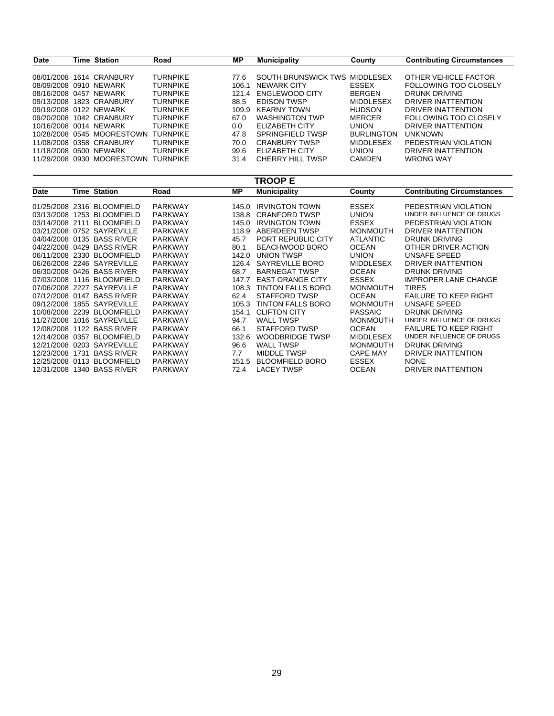| <b>Date</b>            | Time Station                        | Road            | <b>MP</b> | <b>Municipality</b>   | County            | <b>Contributing Circumstances</b> |
|------------------------|-------------------------------------|-----------------|-----------|-----------------------|-------------------|-----------------------------------|
|                        |                                     |                 |           |                       |                   |                                   |
| 08/01/2008             | 1614 CRANBURY                       | <b>TURNPIKE</b> | 77.6      | SOUTH BRUNSWICK TWS   | MIDDI FSFX        | OTHER VEHICLE FACTOR              |
| 08/09/2008 0910 NEWARK |                                     | <b>TURNPIKE</b> | 106.1     | NEWARK CITY           | ESSEX             | <b>FOLLOWING TOO CLOSELY</b>      |
| 08/16/2008 0457 NEWARK |                                     | <b>TURNPIKE</b> | 121.4     | ENGLEWOOD CITY        | <b>BERGEN</b>     | DRUNK DRIVING                     |
|                        | 09/13/2008 1823 CRANBURY            | <b>TURNPIKE</b> | 88.5      | <b>FDISON TWSP</b>    | <b>MIDDLESEX</b>  | DRIVER INATTENTION                |
| 09/19/2008 0122 NEWARK |                                     | <b>TURNPIKE</b> | 109.9     | <b>KEARNY TOWN</b>    | <b>HUDSON</b>     | DRIVER INATTENTION                |
|                        | 09/20/2008 1042 CRANBURY            | <b>TURNPIKE</b> | 67.0      | <b>WASHINGTON TWP</b> | MERCER            | <b>FOLLOWING TOO CLOSELY</b>      |
| 10/16/2008 0014 NEWARK |                                     | <b>TURNPIKE</b> | 0.0       | ELIZABETH CITY        | <b>UNION</b>      | DRIVER INATTENTION                |
|                        | 10/28/2008 0545 MOORESTOWN          | <b>TURNPIKE</b> | 47.8      | SPRINGFIELD TWSP      | <b>BURLINGTON</b> | <b>UNKNOWN</b>                    |
|                        | 11/08/2008 0358 CRANBURY            | <b>TURNPIKE</b> | 70.0      | <b>CRANBURY TWSP</b>  | <b>MIDDLESEX</b>  | PEDESTRIAN VIOLATION              |
| 11/18/2008 0500 NEWARK |                                     | <b>TURNPIKE</b> | 99.6      | ELIZABETH CITY        | <b>UNION</b>      | DRIVER INATTENTION                |
|                        | 11/29/2008 0930 MOORESTOWN TURNPIKE |                 | 31.4      | CHERRY HILL TWSP      | <b>CAMDEN</b>     | <b>WRONG WAY</b>                  |

|                 |      |                            |                |       | TROOP E                 |                  |                                   |
|-----------------|------|----------------------------|----------------|-------|-------------------------|------------------|-----------------------------------|
| Date            |      | <b>Time Station</b>        | Road           | ΜP    | <b>Municipality</b>     | County           | <b>Contributing Circumstances</b> |
| 01/25/2008 2316 |      | <b>BLOOMFIELD</b>          | <b>PARKWAY</b> | 145.0 | <b>IRVINGTON TOWN</b>   | <b>ESSEX</b>     | PEDESTRIAN VIOLATION              |
| 03/13/2008      | 1253 | <b>BLOOMFIELD</b>          | <b>PARKWAY</b> | 138.8 | <b>CRANFORD TWSP</b>    | <b>UNION</b>     | UNDER INFLUENCE OF DRUGS          |
| 03/14/2008 2111 |      | <b>BLOOMFIELD</b>          | <b>PARKWAY</b> | 145.0 | <b>IRVINGTON TOWN</b>   | <b>ESSEX</b>     | PEDESTRIAN VIOLATION              |
|                 |      | 03/21/2008 0752 SAYREVILLE | <b>PARKWAY</b> | 118.9 | ABERDEEN TWSP           | <b>MONMOUTH</b>  | DRIVER INATTENTION                |
|                 |      | 04/04/2008 0135 BASS RIVER | <b>PARKWAY</b> | 45.7  | PORT REPUBLIC CITY      | <b>ATLANTIC</b>  | DRUNK DRIVING                     |
| 04/22/2008 0429 |      | <b>BASS RIVER</b>          | <b>PARKWAY</b> | 80.1  | BEACHWOOD BORO          | <b>OCEAN</b>     | OTHER DRIVER ACTION               |
| 06/11/2008 2330 |      | <b>BLOOMFIELD</b>          | <b>PARKWAY</b> | 142.0 | <b>UNION TWSP</b>       | <b>UNION</b>     | UNSAFE SPEED                      |
|                 |      | 06/26/2008 2246 SAYREVILLE | <b>PARKWAY</b> | 126.4 | SAYREVILLE BORO         | <b>MIDDLESEX</b> | DRIVER INATTENTION                |
|                 |      | 06/30/2008 0426 BASS RIVER | <b>PARKWAY</b> | 68.7  | <b>BARNEGAT TWSP</b>    | <b>OCEAN</b>     | <b>DRUNK DRIVING</b>              |
|                 |      | 07/03/2008 1116 BLOOMFIELD | <b>PARKWAY</b> | 147.7 | <b>EAST ORANGE CITY</b> | <b>ESSEX</b>     | <b>IMPROPER LANE CHANGE</b>       |
| 07/06/2008 2227 |      | <b>SAYREVILLE</b>          | <b>PARKWAY</b> | 108.3 | TINTON FALLS BORO       | <b>MONMOUTH</b>  | <b>TIRES</b>                      |
| 07/12/2008 0147 |      | <b>BASS RIVER</b>          | <b>PARKWAY</b> | 62.4  | STAFFORD TWSP           | <b>OCEAN</b>     | <b>FAILURE TO KEEP RIGHT</b>      |
| 09/12/2008      | 1855 | SAYREVILLE                 | <b>PARKWAY</b> | 105.3 | TINTON FALLS BORO       | <b>MONMOUTH</b>  | UNSAFE SPEED                      |
| 10/08/2008 2239 |      | <b>BLOOMFIELD</b>          | <b>PARKWAY</b> | 154.1 | <b>CLIFTON CITY</b>     | <b>PASSAIC</b>   | DRUNK DRIVING                     |
| 11/27/2008      | 1016 | SAYREVILLE                 | <b>PARKWAY</b> | 94.7  | <b>WALL TWSP</b>        | <b>MONMOUTH</b>  | UNDER INFLUENCE OF DRUGS          |
|                 |      | 12/08/2008 1122 BASS RIVER | <b>PARKWAY</b> | 66.1  | STAFFORD TWSP           | <b>OCEAN</b>     | <b>FAILURE TO KEEP RIGHT</b>      |
| 12/14/2008 0357 |      | <b>BLOOMFIELD</b>          | <b>PARKWAY</b> | 132.6 | <b>WOODBRIDGE TWSP</b>  | <b>MIDDLESEX</b> | UNDER INFLUENCE OF DRUGS          |
| 12/21/2008 0203 |      | <b>SAYREVILLE</b>          | <b>PARKWAY</b> | 96.6  | <b>WALL TWSP</b>        | <b>MONMOUTH</b>  | <b>DRUNK DRIVING</b>              |
| 12/23/2008      | 1731 | <b>BASS RIVER</b>          | <b>PARKWAY</b> | 7.7   | <b>MIDDLE TWSP</b>      | <b>CAPE MAY</b>  | DRIVER INATTENTION                |
| 12/25/2008 0113 |      | <b>BLOOMFIELD</b>          | <b>PARKWAY</b> | 151.5 | <b>BLOOMFIELD BORO</b>  | <b>ESSEX</b>     | <b>NONE</b>                       |
|                 |      | 12/31/2008 1340 BASS RIVER | <b>PARKWAY</b> | 72.4  | <b>LACEY TWSP</b>       | <b>OCEAN</b>     | DRIVER INATTENTION                |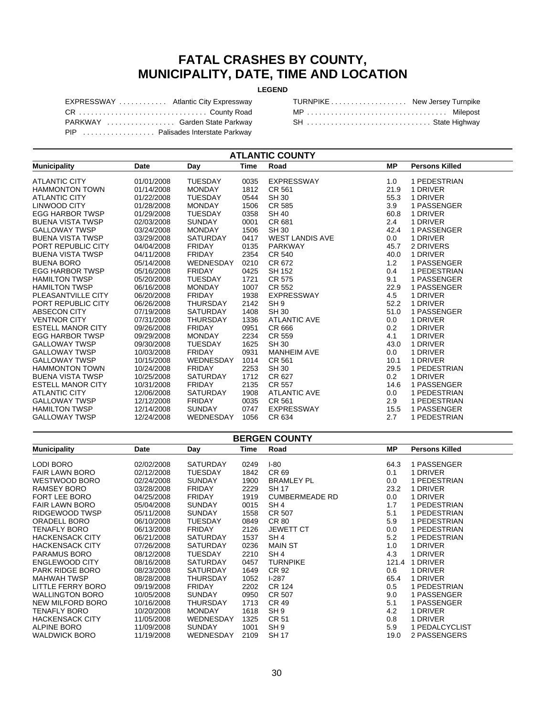#### **FATAL CRASHES BY COUNTY, MUNICIPALITY, DATE, TIME AND LOCATION**

#### **LEGEND**

| EXPRESSWAY  Atlantic City Expressway |  |
|--------------------------------------|--|
| CR  County Road                      |  |
| PARKWAY  Garden State Parkway        |  |
| PIP  Palisades Interstate Parkway    |  |

| TURNPIKE New Jersey Turnpike |  |
|------------------------------|--|
|                              |  |
| SH  State Highway            |  |

| <b>ATLANTIC COUNTY</b>   |            |                 |             |                        |           |                       |  |  |  |  |
|--------------------------|------------|-----------------|-------------|------------------------|-----------|-----------------------|--|--|--|--|
| <b>Municipality</b>      | Date       | Day             | <b>Time</b> | Road                   | <b>MP</b> | <b>Persons Killed</b> |  |  |  |  |
| <b>ATLANTIC CITY</b>     | 01/01/2008 | <b>TUESDAY</b>  | 0035        | <b>EXPRESSWAY</b>      | 1.0       | 1 PEDESTRIAN          |  |  |  |  |
| <b>HAMMONTON TOWN</b>    | 01/14/2008 | <b>MONDAY</b>   | 1812        | CR 561                 | 21.9      | 1 DRIVER              |  |  |  |  |
| <b>ATLANTIC CITY</b>     | 01/22/2008 | <b>TUESDAY</b>  | 0544        | <b>SH 30</b>           | 55.3      | 1 DRIVER              |  |  |  |  |
| LINWOOD CITY             | 01/28/2008 | <b>MONDAY</b>   | 1506        | CR 585                 | 3.9       | 1 PASSENGER           |  |  |  |  |
| <b>EGG HARBOR TWSP</b>   | 01/29/2008 | <b>TUESDAY</b>  | 0358        | <b>SH 40</b>           | 60.8      | 1 DRIVER              |  |  |  |  |
| <b>BUENA VISTA TWSP</b>  | 02/03/2008 | <b>SUNDAY</b>   | 0001        | CR 681                 | 2.4       | 1 DRIVER              |  |  |  |  |
| <b>GALLOWAY TWSP</b>     | 03/24/2008 | <b>MONDAY</b>   | 1506        | <b>SH 30</b>           | 42.4      | 1 PASSENGER           |  |  |  |  |
| <b>BUENA VISTA TWSP</b>  | 03/29/2008 | <b>SATURDAY</b> | 0417        | <b>WEST LANDIS AVE</b> | 0.0       | 1 DRIVER              |  |  |  |  |
| PORT REPUBLIC CITY       | 04/04/2008 | <b>FRIDAY</b>   | 0135        | <b>PARKWAY</b>         | 45.7      | 2 DRIVERS             |  |  |  |  |
| <b>BUENA VISTA TWSP</b>  | 04/11/2008 | <b>FRIDAY</b>   | 2354        | CR 540                 | 40.0      | 1 DRIVER              |  |  |  |  |
| <b>BUENA BORO</b>        | 05/14/2008 | WEDNESDAY       | 0210        | CR 672                 | 1.2       | 1 PASSENGER           |  |  |  |  |
| <b>EGG HARBOR TWSP</b>   | 05/16/2008 | <b>FRIDAY</b>   | 0425        | <b>SH 152</b>          | 0.4       | 1 PEDESTRIAN          |  |  |  |  |
| <b>HAMILTON TWSP</b>     | 05/20/2008 | <b>TUESDAY</b>  | 1721        | CR 575                 | 9.1       | 1 PASSENGER           |  |  |  |  |
| <b>HAMILTON TWSP</b>     | 06/16/2008 | <b>MONDAY</b>   | 1007        | CR 552                 | 22.9      | 1 PASSENGER           |  |  |  |  |
| PLEASANTVILLE CITY       | 06/20/2008 | <b>FRIDAY</b>   | 1938        | <b>EXPRESSWAY</b>      | 4.5       | 1 DRIVER              |  |  |  |  |
| PORT REPUBLIC CITY       | 06/26/2008 | <b>THURSDAY</b> | 2142        | SH <sub>9</sub>        | 52.2      | 1 DRIVER              |  |  |  |  |
| ABSECON CITY             | 07/19/2008 | <b>SATURDAY</b> | 1408        | <b>SH 30</b>           | 51.0      | 1 PASSENGER           |  |  |  |  |
| <b>VENTNOR CITY</b>      | 07/31/2008 | <b>THURSDAY</b> | 1336        | <b>ATLANTIC AVE</b>    | 0.0       | 1 DRIVER              |  |  |  |  |
| <b>ESTELL MANOR CITY</b> | 09/26/2008 | <b>FRIDAY</b>   | 0951        | CR 666                 | 0.2       | 1 DRIVER              |  |  |  |  |
| <b>EGG HARBOR TWSP</b>   | 09/29/2008 | <b>MONDAY</b>   | 2234        | CR 559                 | 4.1       | 1 DRIVER              |  |  |  |  |
| <b>GALLOWAY TWSP</b>     | 09/30/2008 | <b>TUESDAY</b>  | 1625        | <b>SH 30</b>           | 43.0      | 1 DRIVER              |  |  |  |  |
| <b>GALLOWAY TWSP</b>     | 10/03/2008 | <b>FRIDAY</b>   | 0931        | <b>MANHEIM AVE</b>     | 0.0       | 1 DRIVER              |  |  |  |  |
| <b>GALLOWAY TWSP</b>     | 10/15/2008 | WEDNESDAY       | 1014        | CR 561                 | 10.1      | 1 DRIVER              |  |  |  |  |
| <b>HAMMONTON TOWN</b>    | 10/24/2008 | <b>FRIDAY</b>   | 2253        | <b>SH 30</b>           | 29.5      | 1 PEDESTRIAN          |  |  |  |  |
| <b>BUENA VISTA TWSP</b>  | 10/25/2008 | <b>SATURDAY</b> | 1712        | CR 627                 | 0.2       | 1 DRIVER              |  |  |  |  |
| <b>ESTELL MANOR CITY</b> | 10/31/2008 | <b>FRIDAY</b>   | 2135        | CR 557                 | 14.6      | 1 PASSENGER           |  |  |  |  |
| <b>ATLANTIC CITY</b>     | 12/06/2008 | <b>SATURDAY</b> | 1908        | <b>ATLANTIC AVE</b>    | 0.0       | 1 PEDESTRIAN          |  |  |  |  |
| <b>GALLOWAY TWSP</b>     | 12/12/2008 | <b>FRIDAY</b>   | 0035        | CR 561                 | 2.9       | 1 PEDESTRIAN          |  |  |  |  |
| <b>HAMILTON TWSP</b>     | 12/14/2008 | <b>SUNDAY</b>   | 0747        | <b>EXPRESSWAY</b>      | 15.5      | 1 PASSENGER           |  |  |  |  |
| <b>GALLOWAY TWSP</b>     | 12/24/2008 | WEDNESDAY       | 1056        | CR 634                 | 2.7       | 1 PEDESTRIAN          |  |  |  |  |

| <b>BERGEN COUNTY</b>   |            |                  |      |                       |           |                       |  |
|------------------------|------------|------------------|------|-----------------------|-----------|-----------------------|--|
| <b>Municipality</b>    | Date       | Day              | Time | Road                  | <b>MP</b> | <b>Persons Killed</b> |  |
| LODI BORO              | 02/02/2008 | <b>SATURDAY</b>  | 0249 | $I-80$                | 64.3      | 1 PASSENGER           |  |
| <b>FAIR LAWN BORO</b>  | 02/12/2008 | <b>TUESDAY</b>   | 1842 | CR 69                 | 0.1       | 1 DRIVER              |  |
| WESTWOOD BORO          | 02/24/2008 | <b>SUNDAY</b>    | 1900 | <b>BRAMLEY PL</b>     | 0.0       | 1 PEDESTRIAN          |  |
| RAMSEY BORO            | 03/28/2008 | <b>FRIDAY</b>    | 2229 | <b>SH 17</b>          | 23.2      | 1 DRIVER              |  |
| <b>FORT LEE BORO</b>   | 04/25/2008 | <b>FRIDAY</b>    | 1919 | <b>CUMBERMEADE RD</b> | $0.0\,$   | 1 DRIVER              |  |
| <b>FAIR LAWN BORO</b>  | 05/04/2008 | <b>SUNDAY</b>    | 0015 | SH <sub>4</sub>       | 1.7       | 1 PEDESTRIAN          |  |
| RIDGEWOOD TWSP         | 05/11/2008 | <b>SUNDAY</b>    | 1558 | CR 507                | 5.1       | 1 PEDESTRIAN          |  |
| ORADELL BORO           | 06/10/2008 | <b>TUESDAY</b>   | 0849 | CR 80                 | 5.9       | 1 PEDESTRIAN          |  |
| TENAFLY BORO           | 06/13/2008 | <b>FRIDAY</b>    | 2126 | <b>JEWETT CT</b>      | 0.0       | 1 PEDESTRIAN          |  |
| <b>HACKENSACK CITY</b> | 06/21/2008 | <b>SATURDAY</b>  | 1537 | SH <sub>4</sub>       | 5.2       | 1 PEDESTRIAN          |  |
| <b>HACKENSACK CITY</b> | 07/26/2008 | <b>SATURDAY</b>  | 0236 | <b>MAIN ST</b>        | 1.0       | 1 DRIVER              |  |
| <b>PARAMUS BORO</b>    | 08/12/2008 | <b>TUESDAY</b>   | 2210 | SH <sub>4</sub>       | 4.3       | 1 DRIVER              |  |
| <b>ENGLEWOOD CITY</b>  | 08/16/2008 | <b>SATURDAY</b>  | 0457 | <b>TURNPIKE</b>       | 121.4     | 1 DRIVER              |  |
| <b>PARK RIDGE BORO</b> | 08/23/2008 | <b>SATURDAY</b>  | 1649 | CR 92                 | 0.6       | 1 DRIVER              |  |
| <b>MAHWAH TWSP</b>     | 08/28/2008 | <b>THURSDAY</b>  | 1052 | $1-287$               | 65.4      | 1 DRIVER              |  |
| LITTLE FERRY BORO      | 09/19/2008 | <b>FRIDAY</b>    | 2202 | <b>CR 124</b>         | 0.5       | 1 PEDESTRIAN          |  |
| <b>WALLINGTON BORO</b> | 10/05/2008 | <b>SUNDAY</b>    | 0950 | CR 507                | 9.0       | 1 PASSENGER           |  |
| NEW MILFORD BORO       | 10/16/2008 | <b>THURSDAY</b>  | 1713 | <b>CR 49</b>          | 5.1       | 1 PASSENGER           |  |
| TENAFLY BORO           | 10/20/2008 | <b>MONDAY</b>    | 1618 | SH <sub>9</sub>       | 4.2       | 1 DRIVER              |  |
| <b>HACKENSACK CITY</b> | 11/05/2008 | WEDNESDAY        | 1325 | <b>CR 51</b>          | 0.8       | 1 DRIVER              |  |
| <b>ALPINE BORO</b>     | 11/09/2008 | <b>SUNDAY</b>    | 1001 | SH <sub>9</sub>       | 5.9       | 1 PEDALCYCLIST        |  |
| <b>WALDWICK BORO</b>   | 11/19/2008 | <b>WEDNESDAY</b> | 2109 | <b>SH 17</b>          | 19.0      | 2 PASSENGERS          |  |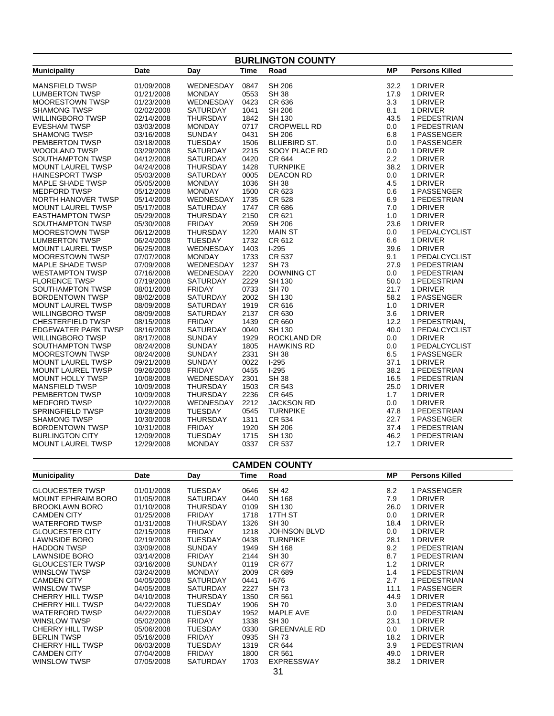| <b>BURLINGTON COUNTY</b>   |             |                  |             |                     |           |                       |  |  |
|----------------------------|-------------|------------------|-------------|---------------------|-----------|-----------------------|--|--|
| <b>Municipality</b>        | <b>Date</b> | Day              | <b>Time</b> | Road                | <b>MP</b> | <b>Persons Killed</b> |  |  |
| <b>MANSFIELD TWSP</b>      | 01/09/2008  | WEDNESDAY        | 0847        | <b>SH 206</b>       | 32.2      | 1 DRIVER              |  |  |
| <b>LUMBERTON TWSP</b>      | 01/21/2008  | <b>MONDAY</b>    | 0553        | <b>SH 38</b>        | 17.9      | 1 DRIVER              |  |  |
| <b>MOORESTOWN TWSP</b>     | 01/23/2008  | <b>WEDNESDAY</b> | 0423        | CR 636              | 3.3       | 1 DRIVER              |  |  |
| <b>SHAMONG TWSP</b>        | 02/02/2008  | <b>SATURDAY</b>  | 1041        | <b>SH 206</b>       | 8.1       | 1 DRIVER              |  |  |
| <b>WILLINGBORO TWSP</b>    | 02/14/2008  | <b>THURSDAY</b>  | 1842        | <b>SH 130</b>       | 43.5      | 1 PEDESTRIAN          |  |  |
| <b>EVESHAM TWSP</b>        | 03/03/2008  | <b>MONDAY</b>    | 0717        | <b>CROPWELL RD</b>  | 0.0       | 1 PEDESTRIAN          |  |  |
| <b>SHAMONG TWSP</b>        | 03/16/2008  | <b>SUNDAY</b>    | 0431        | <b>SH 206</b>       | 6.8       | 1 PASSENGER           |  |  |
| <b>PEMBERTON TWSP</b>      | 03/18/2008  | <b>TUESDAY</b>   | 1506        | <b>BLUEBIRD ST.</b> | 0.0       | 1 PASSENGER           |  |  |
| <b>WOODLAND TWSP</b>       | 03/29/2008  | <b>SATURDAY</b>  | 2215        | SOOY PLACE RD       | 0.0       | 1 DRIVER              |  |  |
| SOUTHAMPTON TWSP           | 04/12/2008  | <b>SATURDAY</b>  | 0420        | CR 644              | 2.2       | 1 DRIVER              |  |  |
| <b>MOUNT LAUREL TWSP</b>   | 04/24/2008  | <b>THURSDAY</b>  | 1428        | <b>TURNPIKE</b>     | 38.2      | 1 DRIVER              |  |  |
| <b>HAINESPORT TWSP</b>     | 05/03/2008  | <b>SATURDAY</b>  | 0005        | <b>DEACON RD</b>    | 0.0       | 1 DRIVER              |  |  |
| MAPLE SHADE TWSP           | 05/05/2008  | <b>MONDAY</b>    | 1036        | <b>SH 38</b>        | 4.5       | 1 DRIVER              |  |  |
| <b>MEDFORD TWSP</b>        | 05/12/2008  | <b>MONDAY</b>    | 1500        | CR 623              | 0.6       | 1 PASSENGER           |  |  |
| NORTH HANOVER TWSP         | 05/14/2008  | WEDNESDAY        | 1735        | CR 528              | 6.9       | 1 PEDESTRIAN          |  |  |
| <b>MOUNT LAUREL TWSP</b>   | 05/17/2008  | <b>SATURDAY</b>  | 1747        | CR 686              | 7.0       | 1 DRIVER              |  |  |
| <b>EASTHAMPTON TWSP</b>    | 05/29/2008  | <b>THURSDAY</b>  | 2150        | CR 621              | 1.0       | 1 DRIVER              |  |  |
| SOUTHAMPTON TWSP           | 05/30/2008  | <b>FRIDAY</b>    | 2059        | SH 206              | 23.6      | 1 DRIVER              |  |  |
| <b>MOORESTOWN TWSP</b>     | 06/12/2008  | <b>THURSDAY</b>  | 1220        | <b>MAIN ST</b>      | 0.0       | 1 PEDALCYCLIST        |  |  |
| <b>LUMBERTON TWSP</b>      | 06/24/2008  | <b>TUESDAY</b>   | 1732        | CR 612              | 6.6       | 1 DRIVER              |  |  |
| <b>MOUNT LAUREL TWSP</b>   | 06/25/2008  | WEDNESDAY        | 1403        | $1-295$             | 39.6      | 1 DRIVER              |  |  |
| MOORESTOWN TWSP            | 07/07/2008  | <b>MONDAY</b>    | 1733        | <b>CR 537</b>       | 9.1       | 1 PEDALCYCLIST        |  |  |
| <b>MAPLE SHADE TWSP</b>    | 07/09/2008  | <b>WEDNESDAY</b> | 1237        | SH 73               | 27.9      | 1 PEDESTRIAN          |  |  |
| <b>WESTAMPTON TWSP</b>     | 07/16/2008  | WEDNESDAY        | 2220        | DOWNING CT          | 0.0       | 1 PEDESTRIAN          |  |  |
| <b>FLORENCE TWSP</b>       | 07/19/2008  | <b>SATURDAY</b>  | 2229        | <b>SH 130</b>       | 50.0      | 1 PEDESTRIAN          |  |  |
| SOUTHAMPTON TWSP           | 08/01/2008  | <b>FRIDAY</b>    | 0733        | <b>SH 70</b>        | 21.7      | 1 DRIVER              |  |  |
| <b>BORDENTOWN TWSP</b>     | 08/02/2008  | <b>SATURDAY</b>  | 2002        | SH 130              | 58.2      | 1 PASSENGER           |  |  |
| <b>MOUNT LAUREL TWSP</b>   | 08/09/2008  | <b>SATURDAY</b>  | 1919        | CR 616              | 1.0       | 1 DRIVER              |  |  |
| <b>WILLINGBORO TWSP</b>    | 08/09/2008  | <b>SATURDAY</b>  | 2137        | CR 630              | 3.6       | 1 DRIVER              |  |  |
| <b>CHESTERFIELD TWSP</b>   | 08/15/2008  | <b>FRIDAY</b>    | 1439        | CR 660              | 12.2      | 1 PEDESTRIAN,         |  |  |
| <b>EDGEWATER PARK TWSP</b> | 08/16/2008  | SATURDAY         | 0040        | SH 130              | 40.0      | 1 PEDALCYCLIST        |  |  |
| <b>WILLINGBORO TWSP</b>    | 08/17/2008  | <b>SUNDAY</b>    | 1929        | ROCKLAND DR         | 0.0       | 1 DRIVER              |  |  |
| SOUTHAMPTON TWSP           | 08/24/2008  | <b>SUNDAY</b>    | 1805        | <b>HAWKINS RD</b>   | 0.0       | 1 PEDALCYCLIST        |  |  |
| <b>MOORESTOWN TWSP</b>     | 08/24/2008  | <b>SUNDAY</b>    | 2331        | <b>SH 38</b>        | 6.5       | 1 PASSENGER           |  |  |
| <b>MOUNT LAUREL TWSP</b>   | 09/21/2008  | <b>SUNDAY</b>    | 0022        | $I-295$             | 37.1      | 1 DRIVER              |  |  |
| <b>MOUNT LAUREL TWSP</b>   | 09/26/2008  | <b>FRIDAY</b>    | 0455        | $I-295$             | 38.2      | 1 PEDESTRIAN          |  |  |
| <b>MOUNT HOLLY TWSP</b>    | 10/08/2008  | WEDNESDAY        | 2301        | <b>SH 38</b>        | 16.5      | 1 PEDESTRIAN          |  |  |
| <b>MANSFIELD TWSP</b>      | 10/09/2008  | <b>THURSDAY</b>  | 1503        | CR 543              | 25.0      | 1 DRIVER              |  |  |
| PEMBERTON TWSP             | 10/09/2008  | <b>THURSDAY</b>  | 2236        | CR 645              | 1.7       | 1 DRIVER              |  |  |
| <b>MEDFORD TWSP</b>        | 10/22/2008  | WEDNESDAY        | 2212        | <b>JACKSON RD</b>   | 0.0       | 1 DRIVER              |  |  |
| SPRINGFIELD TWSP           | 10/28/2008  | <b>TUESDAY</b>   | 0545        | <b>TURNPIKE</b>     | 47.8      | 1 PEDESTRIAN          |  |  |
| <b>SHAMONG TWSP</b>        | 10/30/2008  | <b>THURSDAY</b>  | 1311        | CR 534              | 22.7      | 1 PASSENGER           |  |  |
| <b>BORDENTOWN TWSP</b>     | 10/31/2008  | <b>FRIDAY</b>    | 1920        | <b>SH 206</b>       | 37.4      | 1 PEDESTRIAN          |  |  |
| <b>BURLINGTON CITY</b>     | 12/09/2008  | <b>TUESDAY</b>   | 1715        | SH 130              | 46.2      | 1 PEDESTRIAN          |  |  |
| <b>MOUNT LAUREL TWSP</b>   | 12/29/2008  | <b>MONDAY</b>    | 0337        | CR 537              | 12.7      | 1 DRIVER              |  |  |
|                            |             |                  |             |                     |           |                       |  |  |

| <b>CAMDEN COUNTY</b>      |            |                 |      |                     |      |                       |  |  |
|---------------------------|------------|-----------------|------|---------------------|------|-----------------------|--|--|
| <b>Municipality</b>       | Date       | Day             | Time | Road                | MР   | <b>Persons Killed</b> |  |  |
| <b>GLOUCESTER TWSP</b>    | 01/01/2008 | <b>TUESDAY</b>  | 0646 | <b>SH 42</b>        | 8.2  | 1 PASSENGER           |  |  |
| <b>MOUNT EPHRAIM BORO</b> | 01/05/2008 | <b>SATURDAY</b> | 0440 | SH 168              | 7.9  | 1 DRIVER              |  |  |
| <b>BROOKLAWN BORO</b>     | 01/10/2008 | <b>THURSDAY</b> | 0109 | SH 130              | 26.0 | 1 DRIVER              |  |  |
| <b>CAMDEN CITY</b>        | 01/25/2008 | <b>FRIDAY</b>   | 1718 | 17TH ST             | 0.0  | 1 DRIVER              |  |  |
| <b>WATERFORD TWSP</b>     | 01/31/2008 | <b>THURSDAY</b> | 1326 | <b>SH 30</b>        | 18.4 | 1 DRIVER              |  |  |
| <b>GLOUCESTER CITY</b>    | 02/15/2008 | <b>FRIDAY</b>   | 1218 | <b>JOHNSON BLVD</b> | 0.0  | 1 DRIVER              |  |  |
| LAWNSIDE BORO             | 02/19/2008 | <b>TUESDAY</b>  | 0438 | <b>TURNPIKE</b>     | 28.1 | 1 DRIVER              |  |  |
| <b>HADDON TWSP</b>        | 03/09/2008 | <b>SUNDAY</b>   | 1949 | SH 168              | 9.2  | 1 PEDESTRIAN          |  |  |
| LAWNSIDE BORO             | 03/14/2008 | <b>FRIDAY</b>   | 2144 | <b>SH 30</b>        | 8.7  | 1 PEDESTRIAN          |  |  |
| <b>GLOUCESTER TWSP</b>    | 03/16/2008 | <b>SUNDAY</b>   | 0119 | CR 677              | 1.2  | 1 DRIVER              |  |  |
| WINSLOW TWSP              | 03/24/2008 | <b>MONDAY</b>   | 2009 | CR 689              | 1.4  | 1 PEDESTRIAN          |  |  |
| <b>CAMDEN CITY</b>        | 04/05/2008 | <b>SATURDAY</b> | 0441 | I-676               | 2.7  | 1 PEDESTRIAN          |  |  |
| WINSLOW TWSP              | 04/05/2008 | <b>SATURDAY</b> | 2227 | <b>SH73</b>         | 11.1 | 1 PASSENGER           |  |  |
| <b>CHERRY HILL TWSP</b>   | 04/10/2008 | <b>THURSDAY</b> | 1350 | CR 561              | 44.9 | 1 DRIVER              |  |  |
| <b>CHERRY HILL TWSP</b>   | 04/22/2008 | <b>TUESDAY</b>  | 1906 | <b>SH 70</b>        | 3.0  | 1 PEDESTRIAN          |  |  |
| <b>WATERFORD TWSP</b>     | 04/22/2008 | <b>TUESDAY</b>  | 1952 | <b>MAPLE AVE</b>    | 0.0  | 1 PEDESTRIAN          |  |  |
| WINSLOW TWSP              | 05/02/2008 | <b>FRIDAY</b>   | 1338 | <b>SH 30</b>        | 23.1 | 1 DRIVER              |  |  |
| <b>CHERRY HILL TWSP</b>   | 05/06/2008 | <b>TUESDAY</b>  | 0330 | <b>GREENVALE RD</b> | 0.0  | 1 DRIVER              |  |  |
| <b>BERLIN TWSP</b>        | 05/16/2008 | <b>FRIDAY</b>   | 0935 | SH 73               | 18.2 | 1 DRIVER              |  |  |
| <b>CHERRY HILL TWSP</b>   | 06/03/2008 | <b>TUESDAY</b>  | 1319 | CR 644              | 3.9  | 1 PEDESTRIAN          |  |  |
| <b>CAMDEN CITY</b>        | 07/04/2008 | <b>FRIDAY</b>   | 1800 | CR 561              | 49.0 | 1 DRIVER              |  |  |
| WINSLOW TWSP              | 07/05/2008 | <b>SATURDAY</b> | 1703 | EXPRESSWAY          | 38.2 | 1 DRIVER              |  |  |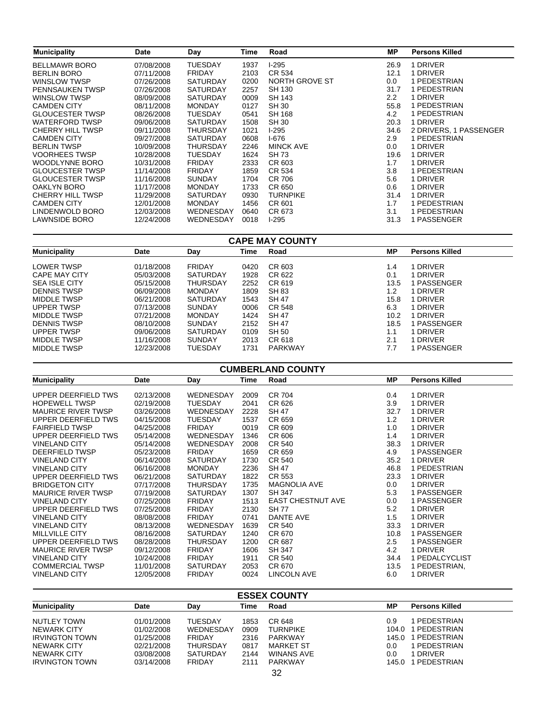| <b>Municipality</b>     | <b>Date</b> | Day             | Time | Road             | МP   | <b>Persons Killed</b>  |
|-------------------------|-------------|-----------------|------|------------------|------|------------------------|
| <b>BELLMAWR BORO</b>    | 07/08/2008  | <b>TUESDAY</b>  | 1937 | $1-295$          | 26.9 | 1 DRIVER               |
| <b>BERLIN BORO</b>      | 07/11/2008  | <b>FRIDAY</b>   | 2103 | CR 534           | 12.1 | 1 DRIVER               |
| WINSLOW TWSP            | 07/26/2008  | <b>SATURDAY</b> | 0200 | NORTH GROVE ST   | 0.0  | 1 PEDESTRIAN           |
| <b>PENNSAUKEN TWSP</b>  | 07/26/2008  | <b>SATURDAY</b> | 2257 | SH 130           | 31.7 | 1 PEDESTRIAN           |
| <b>WINSLOW TWSP</b>     | 08/09/2008  | <b>SATURDAY</b> | 0009 | <b>SH 143</b>    | 2.2  | 1 DRIVER               |
| <b>CAMDEN CITY</b>      | 08/11/2008  | <b>MONDAY</b>   | 0127 | <b>SH 30</b>     | 55.8 | 1 PEDESTRIAN           |
| <b>GLOUCESTER TWSP</b>  | 08/26/2008  | <b>TUESDAY</b>  | 0541 | <b>SH 168</b>    | 4.2  | 1 PEDESTRIAN           |
| <b>WATERFORD TWSP</b>   | 09/06/2008  | SATURDAY        | 1508 | <b>SH 30</b>     | 20.3 | 1 DRIVER               |
| <b>CHERRY HILL TWSP</b> | 09/11/2008  | <b>THURSDAY</b> | 1021 | $1-295$          | 34.6 | 2 DRIVERS, 1 PASSENGER |
| <b>CAMDEN CITY</b>      | 09/27/2008  | <b>SATURDAY</b> | 0608 | $1-676$          | 2.9  | 1 PEDESTRIAN           |
| <b>BERLIN TWSP</b>      | 10/09/2008  | THURSDAY        | 2246 | <b>MINCK AVE</b> | 0.0  | 1 DRIVER               |
| <b>VOORHEES TWSP</b>    | 10/28/2008  | <b>TUESDAY</b>  | 1624 | <b>SH 73</b>     | 19.6 | 1 DRIVER               |
| <b>WOODLYNNE BORO</b>   | 10/31/2008  | <b>FRIDAY</b>   | 2333 | CR 603           | 1.7  | 1 DRIVER               |
| <b>GLOUCESTER TWSP</b>  | 11/14/2008  | <b>FRIDAY</b>   | 1859 | CR 534           | 3.8  | 1 PEDESTRIAN           |
| <b>GLOUCESTER TWSP</b>  | 11/16/2008  | <b>SUNDAY</b>   | 1704 | CR 706           | 5.6  | 1 DRIVER               |
| OAKLYN BORO             | 11/17/2008  | <b>MONDAY</b>   | 1733 | CR 650           | 0.6  | 1 DRIVER               |
| <b>CHERRY HILL TWSP</b> | 11/29/2008  | <b>SATURDAY</b> | 0930 | <b>TURNPIKE</b>  | 31.4 | 1 DRIVER               |
| <b>CAMDEN CITY</b>      | 12/01/2008  | <b>MONDAY</b>   | 1456 | CR 601           | 1.7  | 1 PEDESTRIAN           |
| LINDENWOLD BORO         | 12/03/2008  | WEDNESDAY       | 0640 | CR 673           | 3.1  | 1 PEDESTRIAN           |
| <b>LAWNSIDE BORO</b>    | 12/24/2008  | WEDNESDAY       | 0018 | $1-295$          | 31.3 | 1 PASSENGER            |

#### **CAPE MAY COUNTY**

| <b>Municipality</b>  | Date       | Day             | Time | Road           | МP   | <b>Persons Killed</b> |
|----------------------|------------|-----------------|------|----------------|------|-----------------------|
|                      |            |                 |      |                |      | <b>DRIVER</b>         |
| <b>LOWER TWSP</b>    | 01/18/2008 | <b>FRIDAY</b>   | 0420 | CR 603         | 1.4  |                       |
| CAPE MAY CITY        | 05/03/2008 | <b>SATURDAY</b> | 1928 | CR 622         | 0.1  | 1 DRIVER              |
| <b>SEA ISLE CITY</b> | 05/15/2008 | <b>THURSDAY</b> | 2252 | CR 619         | 13.5 | 1 PASSENGER           |
| <b>DENNIS TWSP</b>   | 06/09/2008 | <b>MONDAY</b>   | 1809 | SH 83          | 1.2  | 1 DRIVER              |
| MIDDLE TWSP          | 06/21/2008 | <b>SATURDAY</b> | 1543 | SH 47          | 15.8 | 1 DRIVER              |
| <b>UPPER TWSP</b>    | 07/13/2008 | <b>SUNDAY</b>   | 0006 | CR 548         | 6.3  | 1 DRIVER              |
| MIDDLE TWSP          | 07/21/2008 | <b>MONDAY</b>   | 1424 | SH 47          | 10.2 | 1 DRIVER              |
| <b>DENNIS TWSP</b>   | 08/10/2008 | <b>SUNDAY</b>   | 2152 | SH 47          | 18.5 | 1 PASSENGER           |
| <b>UPPER TWSP</b>    | 09/06/2008 | <b>SATURDAY</b> | 0109 | SH 50          | 1.1  | 1 DRIVER              |
| MIDDLE TWSP          | 11/16/2008 | <b>SUNDAY</b>   | 2013 | CR 618         | 2.1  | 1 DRIVER              |
| MIDDLE TWSP          | 12/23/2008 | <b>TUESDAY</b>  | 1731 | <b>PARKWAY</b> | 7.7  | PASSENGER             |

| <b>CUMBERLAND COUNTY</b> |                                                                                                |                                                                                                                                   |                                              |                                                                                        |                                                 |  |  |  |
|--------------------------|------------------------------------------------------------------------------------------------|-----------------------------------------------------------------------------------------------------------------------------------|----------------------------------------------|----------------------------------------------------------------------------------------|-------------------------------------------------|--|--|--|
| Date                     | Day                                                                                            | Time                                                                                                                              | Road                                         | <b>MP</b>                                                                              | <b>Persons Killed</b>                           |  |  |  |
|                          |                                                                                                |                                                                                                                                   |                                              |                                                                                        | 1 DRIVER                                        |  |  |  |
|                          |                                                                                                |                                                                                                                                   |                                              |                                                                                        | 1 DRIVER                                        |  |  |  |
|                          |                                                                                                |                                                                                                                                   |                                              |                                                                                        | 1 DRIVER                                        |  |  |  |
|                          |                                                                                                |                                                                                                                                   |                                              |                                                                                        | 1 DRIVER                                        |  |  |  |
|                          |                                                                                                |                                                                                                                                   |                                              |                                                                                        | 1 DRIVER                                        |  |  |  |
|                          |                                                                                                |                                                                                                                                   |                                              |                                                                                        | 1 DRIVER                                        |  |  |  |
|                          |                                                                                                | 2008                                                                                                                              |                                              |                                                                                        | 1 DRIVER                                        |  |  |  |
| 05/23/2008               | <b>FRIDAY</b>                                                                                  | 1659                                                                                                                              | CR 659                                       | 4.9                                                                                    | 1 PASSENGER                                     |  |  |  |
| 06/14/2008               | <b>SATURDAY</b>                                                                                | 1730                                                                                                                              | CR 540                                       | 35.2                                                                                   | 1 DRIVER                                        |  |  |  |
| 06/16/2008               | <b>MONDAY</b>                                                                                  | 2236                                                                                                                              | <b>SH 47</b>                                 | 46.8                                                                                   | 1 PEDESTRIAN                                    |  |  |  |
| 06/21/2008               | <b>SATURDAY</b>                                                                                | 1822                                                                                                                              | CR 553                                       | 23.3                                                                                   | 1 DRIVER                                        |  |  |  |
| 07/17/2008               | <b>THURSDAY</b>                                                                                | 1735                                                                                                                              | <b>MAGNOLIA AVE</b>                          | $0.0\,$                                                                                | 1 DRIVER                                        |  |  |  |
| 07/19/2008               | <b>SATURDAY</b>                                                                                | 1307                                                                                                                              | <b>SH 347</b>                                | 5.3                                                                                    | 1 PASSENGER                                     |  |  |  |
| 07/25/2008               | <b>FRIDAY</b>                                                                                  | 1513                                                                                                                              | <b>EAST CHESTNUT AVE</b>                     | 0.0                                                                                    | 1 PASSENGER                                     |  |  |  |
| 07/25/2008               | <b>FRIDAY</b>                                                                                  | 2130                                                                                                                              | <b>SH 77</b>                                 | 5.2                                                                                    | 1 DRIVER                                        |  |  |  |
| 08/08/2008               | <b>FRIDAY</b>                                                                                  | 0741                                                                                                                              | DANTE AVE                                    | 1.5                                                                                    | 1 DRIVER                                        |  |  |  |
| 08/13/2008               | WEDNESDAY                                                                                      | 1639                                                                                                                              | CR 540                                       | 33.3                                                                                   | 1 DRIVER                                        |  |  |  |
| 08/16/2008               | <b>SATURDAY</b>                                                                                | 1240                                                                                                                              | CR 670                                       | 10.8                                                                                   | 1 PASSENGER                                     |  |  |  |
| 08/28/2008               | <b>THURSDAY</b>                                                                                | 1200                                                                                                                              | CR 687                                       | $2.5\,$                                                                                | 1 PASSENGER                                     |  |  |  |
| 09/12/2008               | <b>FRIDAY</b>                                                                                  | 1606                                                                                                                              | <b>SH 347</b>                                | 4.2                                                                                    | 1 DRIVER                                        |  |  |  |
| 10/24/2008               | <b>FRIDAY</b>                                                                                  | 1911                                                                                                                              | CR 540                                       | 34.4                                                                                   | 1 PEDALCYCLIST                                  |  |  |  |
| 11/01/2008               | <b>SATURDAY</b>                                                                                | 2053                                                                                                                              | CR 670                                       | 13.5                                                                                   | 1 PEDESTRIAN,                                   |  |  |  |
| 12/05/2008               | <b>FRIDAY</b>                                                                                  | 0024                                                                                                                              | LINCOLN AVE                                  | 6.0                                                                                    | 1 DRIVER                                        |  |  |  |
|                          | 02/13/2008<br>02/19/2008<br>03/26/2008<br>04/15/2008<br>04/25/2008<br>05/14/2008<br>05/14/2008 | <b>WEDNESDAY</b><br><b>TUESDAY</b><br><b>WEDNESDAY</b><br><b>TUESDAY</b><br><b>FRIDAY</b><br><b>WEDNESDAY</b><br><b>WEDNESDAY</b> | 2009<br>2041<br>2228<br>1537<br>0019<br>1346 | <b>CR 704</b><br>CR 626<br><b>SH 47</b><br>CR 659<br>CR 609<br>CR 606<br><b>CR 540</b> | 0.4<br>3.9<br>32.7<br>1.2<br>1.0<br>1.4<br>38.3 |  |  |  |

| <b>ESSEX COUNTY</b>   |            |                 |      |                   |       |                       |  |  |
|-----------------------|------------|-----------------|------|-------------------|-------|-----------------------|--|--|
| <b>Municipality</b>   | Date       | Dav             | Time | Road              | МP    | <b>Persons Killed</b> |  |  |
| NUTLEY TOWN           | 01/01/2008 | <b>TUESDAY</b>  | 1853 | CR 648            | 0.9   | PEDESTRIAN            |  |  |
| <b>NEWARK CITY</b>    | 01/02/2008 | WEDNESDAY       | 0909 | <b>TURNPIKE</b>   | 104.0 | PEDESTRIAN            |  |  |
| <b>IRVINGTON TOWN</b> | 01/25/2008 | FRIDAY          | 2316 | PARKWAY           | 145.0 | I PEDESTRIAN          |  |  |
| NEWARK CITY           | 02/21/2008 | <b>THURSDAY</b> | 0817 | <b>MARKET ST</b>  | 0.0   | I PEDESTRIAN          |  |  |
| <b>NEWARK CITY</b>    | 03/08/2008 | SATURDAY        | 2144 | <b>WINANS AVE</b> | 0.0   | <b>DRIVER</b>         |  |  |
| <b>IRVINGTON TOWN</b> | 03/14/2008 | FRIDAY          | 2111 | PARKWAY           | 145.0 | PEDESTRIAN            |  |  |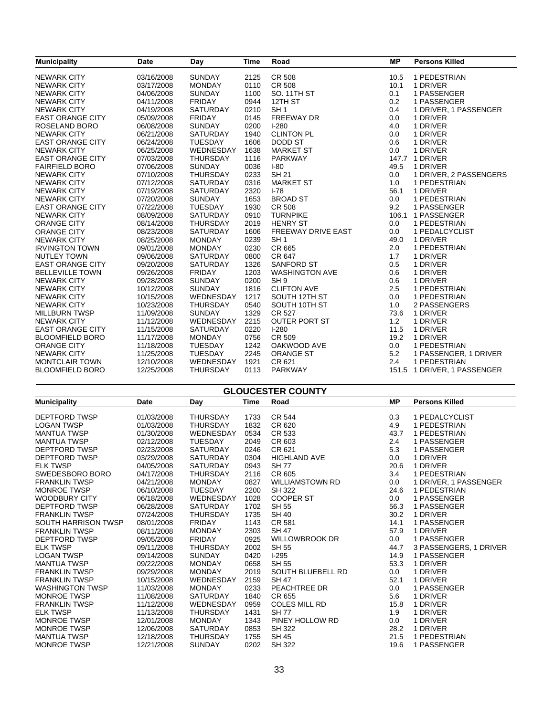| <b>Municipality</b>     | <b>Date</b> | Day             | Time | Road                      | <b>MP</b> | <b>Persons Killed</b>       |
|-------------------------|-------------|-----------------|------|---------------------------|-----------|-----------------------------|
| <b>NEWARK CITY</b>      | 03/16/2008  | <b>SUNDAY</b>   | 2125 | <b>CR 508</b>             | 10.5      | 1 PEDESTRIAN                |
| <b>NEWARK CITY</b>      | 03/17/2008  | <b>MONDAY</b>   | 0110 | CR 508                    | 10.1      | 1 DRIVER                    |
| <b>NEWARK CITY</b>      | 04/06/2008  | <b>SUNDAY</b>   | 1100 | SO. 11TH ST               | 0.1       | 1 PASSENGER                 |
| <b>NEWARK CITY</b>      | 04/11/2008  | <b>FRIDAY</b>   | 0944 | 12TH ST                   | 0.2       | 1 PASSENGER                 |
| <b>NEWARK CITY</b>      | 04/19/2008  | SATURDAY        | 0210 | SH <sub>1</sub>           | 0.4       | 1 DRIVER, 1 PASSENGER       |
| <b>EAST ORANGE CITY</b> | 05/09/2008  | <b>FRIDAY</b>   | 0145 | <b>FREEWAY DR</b>         | 0.0       | 1 DRIVER                    |
| ROSELAND BORO           | 06/08/2008  | <b>SUNDAY</b>   | 0200 | $1-280$                   | 4.0       | 1 DRIVER                    |
| <b>NEWARK CITY</b>      | 06/21/2008  | SATURDAY        | 1940 | <b>CLINTON PL</b>         | 0.0       | 1 DRIVER                    |
| <b>EAST ORANGE CITY</b> | 06/24/2008  | <b>TUESDAY</b>  | 1606 | <b>DODD ST</b>            | 0.6       | 1 DRIVER                    |
| <b>NEWARK CITY</b>      | 06/25/2008  | WEDNESDAY       | 1638 | <b>MARKET ST</b>          | 0.0       | 1 DRIVER                    |
| <b>EAST ORANGE CITY</b> | 07/03/2008  | <b>THURSDAY</b> | 1116 | <b>PARKWAY</b>            |           | 147.7 1 DRIVER              |
| <b>FAIRFIELD BORO</b>   | 07/06/2008  | <b>SUNDAY</b>   | 0036 | $I-80$                    | 49.5      | 1 DRIVER                    |
| <b>NEWARK CITY</b>      | 07/10/2008  | <b>THURSDAY</b> | 0233 | <b>SH 21</b>              | 0.0       | 1 DRIVER, 2 PASSENGERS      |
| <b>NEWARK CITY</b>      | 07/12/2008  | <b>SATURDAY</b> | 0316 | <b>MARKET ST</b>          | 1.0       | 1 PEDESTRIAN                |
| <b>NEWARK CITY</b>      | 07/19/2008  | <b>SATURDAY</b> | 2320 | $I - 78$                  | 56.1      | 1 DRIVER                    |
| <b>NEWARK CITY</b>      | 07/20/2008  | <b>SUNDAY</b>   | 1653 | <b>BROAD ST</b>           | 0.0       | 1 PEDESTRIAN                |
| <b>EAST ORANGE CITY</b> | 07/22/2008  | <b>TUESDAY</b>  | 1930 | <b>CR 508</b>             | 9.2       | 1 PASSENGER                 |
| <b>NEWARK CITY</b>      | 08/09/2008  | <b>SATURDAY</b> | 0910 | <b>TURNPIKE</b>           | 106.1     | 1 PASSENGER                 |
| <b>ORANGE CITY</b>      | 08/14/2008  | <b>THURSDAY</b> | 2019 | <b>HENRY ST</b>           | 0.0       | 1 PEDESTRIAN                |
| <b>ORANGE CITY</b>      | 08/23/2008  | <b>SATURDAY</b> | 1606 | <b>FREEWAY DRIVE EAST</b> | 0.0       | 1 PEDALCYCLIST              |
| <b>NEWARK CITY</b>      | 08/25/2008  | <b>MONDAY</b>   | 0239 | SH <sub>1</sub>           | 49.0      | 1 DRIVER                    |
| <b>IRVINGTON TOWN</b>   | 09/01/2008  | <b>MONDAY</b>   | 0230 | CR 665                    | 2.0       | 1 PEDESTRIAN                |
| <b>NUTLEY TOWN</b>      | 09/06/2008  | SATURDAY        | 0800 | CR 647                    | 1.7       | 1 DRIVER                    |
| <b>EAST ORANGE CITY</b> | 09/20/2008  | <b>SATURDAY</b> | 1326 | <b>SANFORD ST</b>         | 0.5       | 1 DRIVER                    |
| <b>BELLEVILLE TOWN</b>  | 09/26/2008  | <b>FRIDAY</b>   | 1203 | <b>WASHINGTON AVE</b>     | 0.6       | 1 DRIVER                    |
| <b>NEWARK CITY</b>      | 09/28/2008  | <b>SUNDAY</b>   | 0200 | SH <sub>9</sub>           | 0.6       | 1 DRIVER                    |
| <b>NEWARK CITY</b>      | 10/12/2008  | <b>SUNDAY</b>   | 1816 | <b>CLIFTON AVE</b>        | 2.5       | 1 PEDESTRIAN                |
| <b>NEWARK CITY</b>      | 10/15/2008  | WEDNESDAY       | 1217 | SOUTH 12TH ST             | 0.0       | 1 PEDESTRIAN                |
| <b>NEWARK CITY</b>      | 10/23/2008  | <b>THURSDAY</b> | 0540 | SOUTH 10TH ST             | 1.0       | 2 PASSENGERS                |
| <b>MILLBURN TWSP</b>    | 11/09/2008  | <b>SUNDAY</b>   | 1329 | CR 527                    | 73.6      | 1 DRIVER                    |
| <b>NEWARK CITY</b>      | 11/12/2008  | WEDNESDAY       | 2215 | <b>OUTER PORT ST</b>      | 1.2       | 1 DRIVER                    |
| <b>EAST ORANGE CITY</b> | 11/15/2008  | <b>SATURDAY</b> | 0220 | $1-280$                   | 11.5      | 1 DRIVER                    |
| <b>BLOOMFIELD BORO</b>  | 11/17/2008  | <b>MONDAY</b>   | 0756 | CR 509                    | 19.2      | 1 DRIVER                    |
| <b>ORANGE CITY</b>      | 11/18/2008  | <b>TUESDAY</b>  | 1242 | OAKWOOD AVE               | 0.0       | 1 PEDESTRIAN                |
| <b>NEWARK CITY</b>      | 11/25/2008  | <b>TUESDAY</b>  | 2245 | <b>ORANGE ST</b>          | 5.2       | 1 PASSENGER, 1 DRIVER       |
| <b>MONTCLAIR TOWN</b>   | 12/10/2008  | WEDNESDAY       | 1921 | CR 621                    | 2.4       | 1 PEDESTRIAN                |
| <b>BLOOMFIELD BORO</b>  | 12/25/2008  | <b>THURSDAY</b> | 0113 | <b>PARKWAY</b>            |           | 151.5 1 DRIVER, 1 PASSENGER |

#### **GLOUCESTER COUNTY**

| <b>Municipality</b>    | Date       | Day             | Time | Road                  | <b>MP</b> | <b>Persons Killed</b>  |
|------------------------|------------|-----------------|------|-----------------------|-----------|------------------------|
| <b>DEPTFORD TWSP</b>   | 01/03/2008 | <b>THURSDAY</b> | 1733 | CR 544                | 0.3       | 1 PEDALCYCLIST         |
| <b>LOGAN TWSP</b>      | 01/03/2008 | <b>THURSDAY</b> | 1832 | CR 620                | 4.9       | 1 PEDESTRIAN           |
| <b>MANTUA TWSP</b>     | 01/30/2008 | WEDNESDAY       | 0534 | CR 533                | 43.7      | 1 PEDESTRIAN           |
| <b>MANTUA TWSP</b>     | 02/12/2008 | <b>TUESDAY</b>  | 2049 | CR 603                | 2.4       | 1 PASSENGER            |
| DEPTFORD TWSP          | 02/23/2008 | <b>SATURDAY</b> | 0246 | CR 621                | 5.3       | 1 PASSENGER            |
| <b>DEPTFORD TWSP</b>   | 03/29/2008 | <b>SATURDAY</b> | 0304 | <b>HIGHLAND AVE</b>   | 0.0       | 1 DRIVER               |
| <b>ELK TWSP</b>        | 04/05/2008 | <b>SATURDAY</b> | 0943 | <b>SH77</b>           | 20.6      | 1 DRIVER               |
| SWEDESBORO BORO        | 04/17/2008 | <b>THURSDAY</b> | 2116 | CR 605                | 3.4       | 1 PEDESTRIAN           |
| <b>FRANKLIN TWSP</b>   | 04/21/2008 | <b>MONDAY</b>   | 0827 | WILLIAMSTOWN RD       | 0.0       | 1 DRIVER, 1 PASSENGER  |
| <b>MONROE TWSP</b>     | 06/10/2008 | <b>TUESDAY</b>  | 2200 | <b>SH 322</b>         | 24.6      | 1 PEDESTRIAN           |
| <b>WOODBURY CITY</b>   | 06/18/2008 | WEDNESDAY       | 1028 | <b>COOPER ST</b>      | 0.0       | 1 PASSENGER            |
| <b>DEPTFORD TWSP</b>   | 06/28/2008 | <b>SATURDAY</b> | 1702 | <b>SH 55</b>          | 56.3      | 1 PASSENGER            |
| <b>FRANKLIN TWSP</b>   | 07/24/2008 | <b>THURSDAY</b> | 1735 | <b>SH 40</b>          | 30.2      | 1 DRIVER               |
| SOUTH HARRISON TWSP    | 08/01/2008 | <b>FRIDAY</b>   | 1143 | CR 581                | 14.1      | 1 PASSENGER            |
| <b>FRANKLIN TWSP</b>   | 08/11/2008 | <b>MONDAY</b>   | 2303 | <b>SH 47</b>          | 57.9      | 1 DRIVER               |
| DEPTFORD TWSP          | 09/05/2008 | <b>FRIDAY</b>   | 0925 | <b>WILLOWBROOK DR</b> | 0.0       | 1 PASSENGER            |
| <b>ELK TWSP</b>        | 09/11/2008 | <b>THURSDAY</b> | 2002 | SH 55                 | 44.7      | 3 PASSENGERS, 1 DRIVER |
| <b>LOGAN TWSP</b>      | 09/14/2008 | <b>SUNDAY</b>   | 0420 | $1-295$               | 14.9      | 1 PASSENGER            |
| <b>MANTUA TWSP</b>     | 09/22/2008 | <b>MONDAY</b>   | 0658 | <b>SH 55</b>          | 53.3      | 1 DRIVER               |
| <b>FRANKLIN TWSP</b>   | 09/29/2008 | <b>MONDAY</b>   | 2019 | SOUTH BLUEBELL RD     | 0.0       | 1 DRIVER               |
| <b>FRANKLIN TWSP</b>   | 10/15/2008 | WEDNESDAY       | 2159 | <b>SH 47</b>          | 52.1      | 1 DRIVER               |
| <b>WASHINGTON TWSP</b> | 11/03/2008 | <b>MONDAY</b>   | 0233 | PEACHTREE DR          | 0.0       | 1 PASSENGER            |
| <b>MONROE TWSP</b>     | 11/08/2008 | <b>SATURDAY</b> | 1840 | CR 655                | 5.6       | 1 DRIVER               |
| <b>FRANKLIN TWSP</b>   | 11/12/2008 | WEDNESDAY       | 0959 | <b>COLES MILL RD</b>  | 15.8      | 1 DRIVER               |
| <b>ELK TWSP</b>        | 11/13/2008 | <b>THURSDAY</b> | 1431 | <b>SH77</b>           | 1.9       | 1 DRIVER               |
| <b>MONROE TWSP</b>     | 12/01/2008 | <b>MONDAY</b>   | 1343 | PINEY HOLLOW RD       | 0.0       | 1 DRIVER               |
| <b>MONROE TWSP</b>     | 12/06/2008 | SATURDAY        | 0853 | SH 322                | 28.2      | 1 DRIVER               |
| <b>MANTUA TWSP</b>     | 12/18/2008 | <b>THURSDAY</b> | 1755 | SH 45                 | 21.5      | 1 PEDESTRIAN           |
| <b>MONROE TWSP</b>     | 12/21/2008 | <b>SUNDAY</b>   | 0202 | <b>SH 322</b>         | 19.6      | 1 PASSENGER            |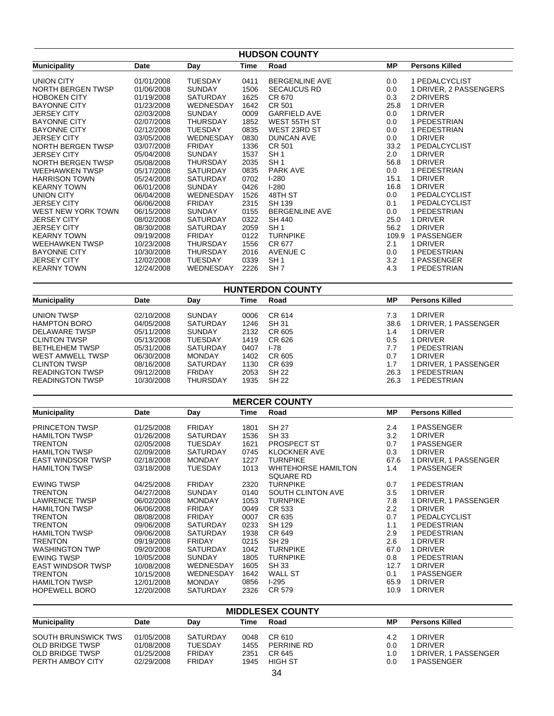|                                                  | <b>HUDSON COUNTY</b>     |                                   |              |                                         |                  |                              |  |  |
|--------------------------------------------------|--------------------------|-----------------------------------|--------------|-----------------------------------------|------------------|------------------------------|--|--|
| <b>Municipality</b>                              | Date                     | Day                               | Time         | Road                                    | <b>MP</b>        | <b>Persons Killed</b>        |  |  |
| <b>UNION CITY</b>                                | 01/01/2008               | <b>TUESDAY</b>                    | 0411         | <b>BERGENLINE AVE</b>                   | 0.0              | 1 PEDALCYCLIST               |  |  |
| NORTH BERGEN TWSP                                | 01/06/2008               | <b>SUNDAY</b>                     | 1506         | <b>SECAUCUS RD</b>                      | 0.0              | 1 DRIVER, 2 PASSENGERS       |  |  |
| <b>HOBOKEN CITY</b>                              | 01/19/2008               | <b>SATURDAY</b>                   | 1625         | CR 670                                  | 0.3              | 2 DRIVERS                    |  |  |
| <b>BAYONNE CITY</b>                              | 01/23/2008               | WEDNESDAY                         | 1642         | CR 501                                  | 25.8             | 1 DRIVER                     |  |  |
| <b>JERSEY CITY</b>                               | 02/03/2008               | <b>SUNDAY</b>                     | 0009         | <b>GARFIELD AVE</b>                     | 0.0              | 1 DRIVER                     |  |  |
| <b>BAYONNE CITY</b>                              | 02/07/2008               | <b>THURSDAY</b>                   | 1852         | WEST 55TH ST                            | 0.0              | 1 PEDESTRIAN                 |  |  |
| <b>BAYONNE CITY</b>                              | 02/12/2008               | <b>TUESDAY</b>                    | 0835         | WEST 23RD ST                            | 0.0              | 1 PEDESTRIAN                 |  |  |
| JERSEY CITY<br><b>NORTH BERGEN TWSP</b>          | 03/05/2008<br>03/07/2008 | WEDNESDAY<br><b>FRIDAY</b>        | 0830<br>1336 | <b>DUNCAN AVE</b><br>CR 501             | 0.0<br>33.2      | 1 DRIVER<br>1 PEDALCYCLIST   |  |  |
| <b>JERSEY CITY</b>                               | 05/04/2008               | <b>SUNDAY</b>                     | 1537         | SH <sub>1</sub>                         | 2.0              | 1 DRIVER                     |  |  |
| NORTH BERGEN TWSP                                | 05/08/2008               | <b>THURSDAY</b>                   | 2035         | SH <sub>1</sub>                         | 56.8             | 1 DRIVER                     |  |  |
| <b>WEEHAWKEN TWSP</b>                            | 05/17/2008               | <b>SATURDAY</b>                   | 0835         | <b>PARK AVE</b>                         | 0.0              | 1 PEDESTRIAN                 |  |  |
| <b>HARRISON TOWN</b>                             | 05/24/2008               | <b>SATURDAY</b>                   | 0702         | $I-280$                                 | 15.1             | 1 DRIVER                     |  |  |
| <b>KEARNY TOWN</b>                               | 06/01/2008               | <b>SUNDAY</b>                     | 0426         | $I-280$                                 | 16.8             | 1 DRIVER                     |  |  |
| <b>UNION CITY</b>                                | 06/04/2008               | WEDNESDAY                         | 1526         | 48TH ST                                 | 0.0              | 1 PEDALCYCLIST               |  |  |
| JERSEY CITY                                      | 06/06/2008               | <b>FRIDAY</b>                     | 2315         | SH 139                                  | 0.1              | 1 PEDALCYCLIST               |  |  |
| WEST NEW YORK TOWN                               | 06/15/2008               | <b>SUNDAY</b>                     | 0155         | <b>BERGENLINE AVE</b>                   | 0.0              | 1 PEDESTRIAN                 |  |  |
| <b>JERSEY CITY</b>                               | 08/02/2008               | SATURDAY                          | 0322         | <b>SH 440</b>                           | 25.0             | 1 DRIVER                     |  |  |
| JERSEY CITY                                      | 08/30/2008               | <b>SATURDAY</b>                   | 2059         | SH <sub>1</sub>                         | 56.2             | 1 DRIVER                     |  |  |
| <b>KEARNY TOWN</b>                               | 09/19/2008               | <b>FRIDAY</b>                     | 0122         | <b>TURNPIKE</b>                         |                  | 109.9 1 PASSENGER            |  |  |
| <b>WEEHAWKEN TWSP</b><br><b>BAYONNE CITY</b>     | 10/23/2008               | THURSDAY                          | 1556         | CR 677                                  | 2.1              | 1 DRIVER                     |  |  |
| JERSEY CITY                                      | 10/30/2008<br>12/02/2008 | <b>THURSDAY</b><br><b>TUESDAY</b> | 2016<br>0339 | <b>AVENUE C</b><br>SH <sub>1</sub>      | 0.0<br>3.2       | 1 PEDESTRIAN<br>1 PASSENGER  |  |  |
| <b>KEARNY TOWN</b>                               | 12/24/2008               | WEDNESDAY                         | 2226         | SH <sub>7</sub>                         | 4.3              | 1 PEDESTRIAN                 |  |  |
|                                                  |                          |                                   |              |                                         |                  |                              |  |  |
|                                                  |                          |                                   |              | <b>HUNTERDON COUNTY</b>                 |                  |                              |  |  |
| <b>Municipality</b>                              | Date                     | Day                               | Time         | Road                                    | <b>MP</b>        | <b>Persons Killed</b>        |  |  |
| <b>UNION TWSP</b>                                | 02/10/2008               | <b>SUNDAY</b>                     | 0006         | CR 614                                  | 7.3              | 1 DRIVER                     |  |  |
| <b>HAMPTON BORO</b>                              | 04/05/2008               | SATURDAY                          | 1246         | SH 31                                   | 38.6             | 1 DRIVER, 1 PASSENGER        |  |  |
| <b>DELAWARE TWSP</b>                             | 05/11/2008               | <b>SUNDAY</b>                     | 2132         | CR 605                                  | 1.4              | 1 DRIVER                     |  |  |
| <b>CLINTON TWSP</b>                              | 05/13/2008               | <b>TUESDAY</b>                    | 1419         | CR 626                                  | 0.5              | 1 DRIVER                     |  |  |
| <b>BETHLEHEM TWSP</b>                            | 05/31/2008               | SATURDAY                          | 0407         | $I-78$                                  | 7.7              | 1 PEDESTRIAN                 |  |  |
| <b>WEST AMWELL TWSP</b>                          | 06/30/2008               | <b>MONDAY</b>                     | 1402         | CR 605                                  | 0.7              | 1 DRIVER                     |  |  |
| <b>CLINTON TWSP</b>                              | 08/16/2008               | SATURDAY<br><b>FRIDAY</b>         | 1130         | CR 639                                  | 1.7              | 1 DRIVER, 1 PASSENGER        |  |  |
| <b>READINGTON TWSP</b><br><b>READINGTON TWSP</b> | 09/12/2008<br>10/30/2008 | <b>THURSDAY</b>                   | 2053<br>1935 | <b>SH 22</b><br><b>SH 22</b>            | 26.3<br>26.3     | 1 PEDESTRIAN<br>1 PEDESTRIAN |  |  |
|                                                  |                          |                                   |              |                                         |                  |                              |  |  |
|                                                  |                          |                                   |              | <b>MERCER COUNTY</b>                    |                  |                              |  |  |
| <b>Municipality</b>                              | Date                     | Day                               | Time         | Road                                    | <b>MP</b>        | <b>Persons Killed</b>        |  |  |
| <b>PRINCETON TWSP</b>                            | 01/25/2008               | <b>FRIDAY</b>                     | 1801         | <b>SH 27</b>                            | 2.4              | 1 PASSENGER                  |  |  |
| <b>HAMILTON TWSP</b>                             | 01/26/2008               | SATURDAY                          | 1536         | SH 33                                   | 3.2              | 1 DRIVER                     |  |  |
| <b>TRENTON</b>                                   | 02/05/2008               | <b>TUESDAY</b>                    | 1621         | PROSPECT ST                             | 0.7              | 1 PASSENGER                  |  |  |
| <b>HAMILTON TWSP</b>                             | 02/09/2008               | SATURDAY                          | 0745         | <b>KLOCKNER AVE</b>                     | 0.3              | 1 DRIVER                     |  |  |
| <b>EAST WINDSOR TWSP</b>                         | 02/18/2008               | <b>MONDAY</b>                     | 1227         | <b>TURNPIKE</b>                         | 67.6             | 1 DRIVER, 1 PASSENGER        |  |  |
| <b>HAMILTON TWSP</b>                             | 03/18/2008               | <b>TUESDAY</b>                    | 1013         | <b>WHITEHORSE HAMILTON</b><br>SQUARE RD | 1.4              | 1 PASSENGER                  |  |  |
| <b>EWING TWSP</b>                                | 04/25/2008               | FRIDAY                            | 2320         | <b>TURNPIKE</b>                         | 0.7              | 1 PEDESTRIAN                 |  |  |
| <b>TRENTON</b>                                   | 04/27/2008               | <b>SUNDAY</b>                     | 0140         | SOUTH CLINTON AVE                       | 3.5              | 1 DRIVER                     |  |  |
| <b>LAWRENCE TWSP</b>                             | 06/02/2008               | MONDAY                            | 1053         | <b>TURNPIKE</b>                         | 7.8              | 1 DRIVER, 1 PASSENGER        |  |  |
| <b>HAMILTON TWSP</b>                             | 06/06/2008               | <b>FRIDAY</b>                     | 0049         | CR 533                                  | $2.2\phantom{0}$ | 1 DRIVER                     |  |  |
| <b>TRENTON</b>                                   | 08/08/2008               | FRIDAY                            | 0007         | CR 635                                  | 0.7              | 1 PEDALCYCLIST               |  |  |
| <b>TRENTON</b>                                   | 09/06/2008               | <b>SATURDAY</b>                   | 0233         | SH 129                                  | 1.1              | 1 PEDESTRIAN                 |  |  |
| <b>HAMILTON TWSP</b>                             | 09/06/2008               | SATURDAY                          | 1938         | CR 649                                  | 2.9              | 1 PEDESTRIAN                 |  |  |
| <b>TRENTON</b><br><b>WASHINGTON TWP</b>          | 09/19/2008               | <b>FRIDAY</b><br><b>SATURDAY</b>  | 0215<br>1042 | SH 29                                   | 2.6<br>67.0      | 1 DRIVER<br>1 DRIVER         |  |  |
| <b>EWING TWSP</b>                                | 09/20/2008<br>10/05/2008 | <b>SUNDAY</b>                     | 1805         | <b>TURNPIKE</b><br><b>TURNPIKE</b>      | 0.8              | 1 PEDESTRIAN                 |  |  |
| EAST WINDSOR TWSP                                | 10/08/2008               | WEDNESDAY                         | 1605         | SH 33                                   | 12.7             | 1 DRIVER                     |  |  |
| <b>TRENTON</b>                                   | 10/15/2008               | WEDNESDAY                         | 1642         | <b>WALL ST</b>                          | 0.1              | 1 PASSENGER                  |  |  |
| <b>HAMILTON TWSP</b>                             | 12/01/2008               | MONDAY                            | 0856         | $1-295$                                 | 65.9             | 1 DRIVER                     |  |  |
| <b>HOPEWELL BORO</b>                             | 12/20/2008               | SATURDAY                          | 2326         | CR 579                                  | 10.9             | 1 DRIVER                     |  |  |
|                                                  |                          |                                   |              | <b>MIDDLESEX COUNTY</b>                 |                  |                              |  |  |
| <b>Municipality</b>                              | Date                     | Day                               | Time         | Road                                    | <b>MP</b>        | <b>Persons Killed</b>        |  |  |
|                                                  |                          |                                   |              |                                         |                  |                              |  |  |
| SOUTH BRUNSWICK TWS<br><b>OLD BRIDGE TWSP</b>    | 01/05/2008<br>01/08/2008 | SATURDAY<br><b>TUESDAY</b>        | 0048<br>1455 | CR 610<br>PERRINE RD                    | 4.2<br>0.0       | 1 DRIVER<br>1 DRIVER         |  |  |
| OLD BRIDGE TWSP                                  | 01/25/2008               | FRIDAY                            | 2351         | CR 645                                  | 1.0              | 1 DRIVER, 1 PASSENGER        |  |  |
|                                                  |                          |                                   |              |                                         |                  |                              |  |  |

34

CR 645 HIGH ST

0.0

1 PASSENGER

 2351 1945

OLD BRIDGE TWSP PERTH AMBOY CITY 01/25/2008 02/29/2008 FRIDAY FRIDAY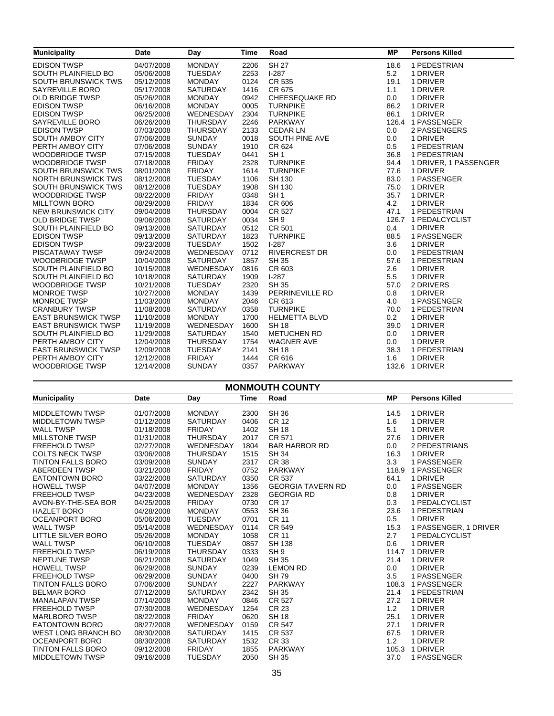| <b>Municipality</b>        | <b>Date</b> | Day             | <b>Time</b> | Road                  | <b>MP</b> | <b>Persons Killed</b> |
|----------------------------|-------------|-----------------|-------------|-----------------------|-----------|-----------------------|
| <b>EDISON TWSP</b>         | 04/07/2008  | <b>MONDAY</b>   | 2206        | <b>SH 27</b>          | 18.6      | 1 PEDESTRIAN          |
| SOUTH PLAINFIELD BO        | 05/06/2008  | <b>TUESDAY</b>  | 2253        | $I-287$               | 5.2       | 1 DRIVER              |
| SOUTH BRUNSWICK TWS        | 05/12/2008  | <b>MONDAY</b>   | 0124        | CR 535                | 19.1      | 1 DRIVER              |
| SAYREVILLE BORO            | 05/17/2008  | <b>SATURDAY</b> | 1416        | CR 675                | 1.1       | 1 DRIVER              |
| <b>OLD BRIDGE TWSP</b>     | 05/26/2008  | <b>MONDAY</b>   | 0942        | <b>CHEESEQUAKE RD</b> | 0.0       | 1 DRIVER              |
| <b>EDISON TWSP</b>         | 06/16/2008  | <b>MONDAY</b>   | 0005        | <b>TURNPIKE</b>       | 86.2      | 1 DRIVER              |
| <b>EDISON TWSP</b>         | 06/25/2008  | WEDNESDAY       | 2304        | <b>TURNPIKE</b>       | 86.1      | 1 DRIVER              |
| SAYREVILLE BORO            | 06/26/2008  | <b>THURSDAY</b> | 2246        | <b>PARKWAY</b>        |           | 126.4 1 PASSENGER     |
| <b>EDISON TWSP</b>         | 07/03/2008  | <b>THURSDAY</b> | 2133        | <b>CEDAR LN</b>       | 0.0       | 2 PASSENGERS          |
| <b>SOUTH AMBOY CITY</b>    | 07/06/2008  | <b>SUNDAY</b>   | 0018        | <b>SOUTH PINE AVE</b> | 0.0       | 1 DRIVER              |
| PERTH AMBOY CITY           | 07/06/2008  | <b>SUNDAY</b>   | 1910        | CR 624                | 0.5       | 1 PEDESTRIAN          |
| <b>WOODBRIDGE TWSP</b>     | 07/15/2008  | <b>TUESDAY</b>  | 0441        | SH <sub>1</sub>       | 36.8      | 1 PEDESTRIAN          |
| <b>WOODBRIDGE TWSP</b>     | 07/18/2008  | <b>FRIDAY</b>   | 2328        | <b>TURNPIKE</b>       | 94.4      | 1 DRIVER, 1 PASSENGER |
| SOUTH BRUNSWICK TWS        | 08/01/2008  | <b>FRIDAY</b>   | 1614        | <b>TURNPIKE</b>       | 77.6      | 1 DRIVER              |
| <b>NORTH BRUNSWICK TWS</b> | 08/12/2008  | <b>TUESDAY</b>  | 1106        | <b>SH 130</b>         | 83.0      | 1 PASSENGER           |
| SOUTH BRUNSWICK TWS        | 08/12/2008  | <b>TUESDAY</b>  | 1908        | <b>SH 130</b>         | 75.0      | 1 DRIVER              |
| <b>WOODBRIDGE TWSP</b>     | 08/22/2008  | <b>FRIDAY</b>   | 0348        | SH <sub>1</sub>       | 35.7      | 1 DRIVER              |
| <b>MILLTOWN BORO</b>       | 08/29/2008  | <b>FRIDAY</b>   | 1834        | CR 606                | 4.2       | 1 DRIVER              |
| NEW BRUNSWICK CITY         | 09/04/2008  | <b>THURSDAY</b> | 0004        | <b>CR 527</b>         | 47.1      | 1 PEDESTRIAN          |
| <b>OLD BRIDGE TWSP</b>     | 09/06/2008  | <b>SATURDAY</b> | 0034        | SH <sub>9</sub>       |           | 126.7 1 PEDALCYCLIST  |
| SOUTH PLAINFIELD BO        | 09/13/2008  | <b>SATURDAY</b> | 0512        | CR 501                | 0.4       | 1 DRIVER              |
| <b>EDISON TWSP</b>         | 09/13/2008  | <b>SATURDAY</b> | 1823        | <b>TURNPIKE</b>       | 88.5      | 1 PASSENGER           |
| <b>EDISON TWSP</b>         | 09/23/2008  | <b>TUESDAY</b>  | 1502        | $1-287$               | 3.6       | 1 DRIVER              |
| <b>PISCATAWAY TWSP</b>     | 09/24/2008  | WEDNESDAY       | 0712        | <b>RIVERCREST DR</b>  | 0.0       | 1 PEDESTRIAN          |
| <b>WOODBRIDGE TWSP</b>     | 10/04/2008  | <b>SATURDAY</b> | 1857        | <b>SH 35</b>          | 57.6      | 1 PEDESTRIAN          |
| SOUTH PLAINFIELD BO        | 10/15/2008  | WEDNESDAY       | 0816        | CR 603                | 2.6       | 1 DRIVER              |
| SOUTH PLAINFIELD BO        | 10/18/2008  | <b>SATURDAY</b> | 1909        | $1-287$               | 5.5       | 1 DRIVER              |
| <b>WOODBRIDGE TWSP</b>     | 10/21/2008  | <b>TUESDAY</b>  | 2320        | <b>SH 35</b>          | 57.0      | 2 DRIVERS             |
| <b>MONROE TWSP</b>         | 10/27/2008  | <b>MONDAY</b>   | 1439        | PERRINEVILLE RD       | 0.8       | 1 DRIVER              |
| <b>MONROE TWSP</b>         | 11/03/2008  | <b>MONDAY</b>   | 2046        | CR 613                | 4.0       | 1 PASSENGER           |
| <b>CRANBURY TWSP</b>       | 11/08/2008  | <b>SATURDAY</b> | 0358        | <b>TURNPIKE</b>       | 70.0      | 1 PEDESTRIAN          |
| <b>EAST BRUNSWICK TWSP</b> | 11/10/2008  | <b>MONDAY</b>   | 1700        | <b>HELMETTA BLVD</b>  | 0.2       | 1 DRIVER              |
| <b>EAST BRUNSWICK TWSP</b> | 11/19/2008  | WEDNESDAY       | 1600        | <b>SH 18</b>          | 39.0      | 1 DRIVER              |
| SOUTH PLAINFIELD BO        | 11/29/2008  | <b>SATURDAY</b> | 1540        | <b>METUCHEN RD</b>    | 0.0       | 1 DRIVER              |
| PERTH AMBOY CITY           | 12/04/2008  | <b>THURSDAY</b> | 1754        | <b>WAGNER AVE</b>     | 0.0       | 1 DRIVER              |
| <b>EAST BRUNSWICK TWSP</b> | 12/09/2008  | <b>TUESDAY</b>  | 2141        | <b>SH 18</b>          | 38.3      | 1 PEDESTRIAN          |
| PERTH AMBOY CITY           | 12/12/2008  | <b>FRIDAY</b>   | 1444        | CR 616                | 1.6       | 1 DRIVER              |
| <b>WOODBRIDGE TWSP</b>     | 12/14/2008  | <b>SUNDAY</b>   | 0357        | <b>PARKWAY</b>        |           | 132.6 1 DRIVER        |
|                            |             |                 |             |                       |           |                       |

| <b>MONMOUTH COUNTY</b>     |             |                 |             |                          |           |                       |  |
|----------------------------|-------------|-----------------|-------------|--------------------------|-----------|-----------------------|--|
| <b>Municipality</b>        | <b>Date</b> | Day             | <b>Time</b> | Road                     | <b>MP</b> | <b>Persons Killed</b> |  |
| <b>MIDDLETOWN TWSP</b>     | 01/07/2008  | <b>MONDAY</b>   | 2300        | <b>SH 36</b>             | 14.5      | 1 DRIVER              |  |
| <b>MIDDLETOWN TWSP</b>     | 01/12/2008  | <b>SATURDAY</b> | 0406        | <b>CR 12</b>             | 1.6       | 1 DRIVER              |  |
| <b>WALL TWSP</b>           | 01/18/2008  | <b>FRIDAY</b>   | 1402        | <b>SH 18</b>             | 5.1       | 1 DRIVER              |  |
| <b>MILLSTONE TWSP</b>      | 01/31/2008  | <b>THURSDAY</b> | 2017        | CR 571                   | 27.6      | 1 DRIVER              |  |
| <b>FREEHOLD TWSP</b>       | 02/27/2008  | WEDNESDAY       | 1804        | <b>BAR HARBOR RD</b>     | 0.0       | 2 PEDESTRIANS         |  |
| <b>COLTS NECK TWSP</b>     | 03/06/2008  | <b>THURSDAY</b> | 1515        | <b>SH 34</b>             | 16.3      | 1 DRIVER              |  |
| <b>TINTON FALLS BORO</b>   | 03/09/2008  | <b>SUNDAY</b>   | 2317        | <b>CR 38</b>             | 3.3       | 1 PASSENGER           |  |
| <b>ABERDEEN TWSP</b>       | 03/21/2008  | <b>FRIDAY</b>   | 0752        | PARKWAY                  |           | 118.9 1 PASSENGER     |  |
| <b>EATONTOWN BORO</b>      | 03/22/2008  | SATURDAY        | 0350        | <b>CR 537</b>            | 64.1      | 1 DRIVER              |  |
| <b>HOWELL TWSP</b>         | 04/07/2008  | <b>MONDAY</b>   | 1356        | <b>GEORGIA TAVERN RD</b> | 0.0       | 1 PASSENGER           |  |
| <b>FREEHOLD TWSP</b>       | 04/23/2008  | WEDNESDAY       | 2328        | <b>GEORGIA RD</b>        | 0.8       | 1 DRIVER              |  |
| AVON-BY-THE-SEA BOR        | 04/25/2008  | <b>FRIDAY</b>   | 0730        | <b>CR 17</b>             | 0.3       | 1 PEDALCYCLIST        |  |
| <b>HAZLET BORO</b>         | 04/28/2008  | <b>MONDAY</b>   | 0553        | <b>SH 36</b>             | 23.6      | 1 PEDESTRIAN          |  |
| OCEANPORT BORO             | 05/06/2008  | <b>TUESDAY</b>  | 0701        | <b>CR 11</b>             | 0.5       | 1 DRIVER              |  |
| <b>WALL TWSP</b>           | 05/14/2008  | WEDNESDAY       | 0114        | <b>CR 549</b>            | 15.3      | 1 PASSENGER, 1 DRIVER |  |
| <b>LITTLE SILVER BORO</b>  | 05/26/2008  | <b>MONDAY</b>   | 1058        | <b>CR 11</b>             | 2.7       | 1 PEDALCYCLIST        |  |
| <b>WALL TWSP</b>           | 06/10/2008  | <b>TUESDAY</b>  | 0857        | <b>SH 138</b>            | 0.6       | 1 DRIVER              |  |
| <b>FREEHOLD TWSP</b>       | 06/19/2008  | <b>THURSDAY</b> | 0333        | SH <sub>9</sub>          |           | 114.7 1 DRIVER        |  |
| <b>NEPTUNE TWSP</b>        | 06/21/2008  | <b>SATURDAY</b> | 1049        | <b>SH 35</b>             | 21.4      | 1 DRIVER              |  |
| <b>HOWELL TWSP</b>         | 06/29/2008  | <b>SUNDAY</b>   | 0239        | <b>LEMON RD</b>          | 0.0       | 1 DRIVER              |  |
| <b>FREEHOLD TWSP</b>       | 06/29/2008  | <b>SUNDAY</b>   | 0400        | <b>SH79</b>              | 3.5       | 1 PASSENGER           |  |
| <b>TINTON FALLS BORO</b>   | 07/06/2008  | <b>SUNDAY</b>   | 2227        | <b>PARKWAY</b>           | 108.3     | 1 PASSENGER           |  |
| <b>BELMAR BORO</b>         | 07/12/2008  | <b>SATURDAY</b> | 2342        | <b>SH 35</b>             | 21.4      | 1 PEDESTRIAN          |  |
| <b>MANALAPAN TWSP</b>      | 07/14/2008  | <b>MONDAY</b>   | 0846        | CR 527                   | 27.2      | 1 DRIVER              |  |
| <b>FREEHOLD TWSP</b>       | 07/30/2008  | WEDNESDAY       | 1254        | <b>CR 23</b>             | 1.2       | 1 DRIVER              |  |
| <b>MARLBORO TWSP</b>       | 08/22/2008  | <b>FRIDAY</b>   | 0620        | <b>SH 18</b>             | 25.1      | 1 DRIVER              |  |
| <b>EATONTOWN BORO</b>      | 08/27/2008  | WEDNESDAY       | 0159        | <b>CR 547</b>            | 27.1      | 1 DRIVER              |  |
| <b>WEST LONG BRANCH BO</b> | 08/30/2008  | <b>SATURDAY</b> | 1415        | <b>CR 537</b>            | 67.5      | 1 DRIVER              |  |
| <b>OCEANPORT BORO</b>      | 08/30/2008  | <b>SATURDAY</b> | 1532        | CR 33                    | 1.2       | 1 DRIVER              |  |
| <b>TINTON FALLS BORO</b>   | 09/12/2008  | <b>FRIDAY</b>   | 1855        | PARKWAY                  | 105.3     | 1 DRIVER              |  |
| <b>MIDDLETOWN TWSP</b>     | 09/16/2008  | <b>TUESDAY</b>  | 2050        | <b>SH 35</b>             | 37.0      | 1 PASSENGER           |  |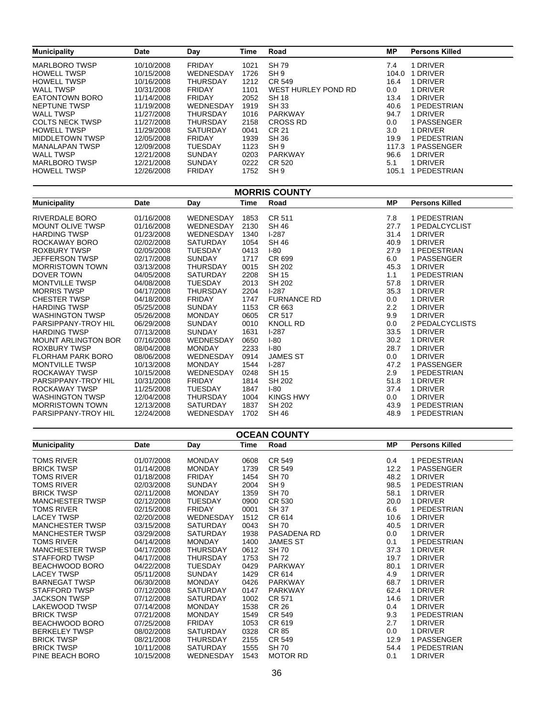| <b>Municipality</b>    | <b>Date</b> | Day             | Time | Road                | МP    | <b>Persons Killed</b> |
|------------------------|-------------|-----------------|------|---------------------|-------|-----------------------|
| <b>MARLBORO TWSP</b>   | 10/10/2008  | <b>FRIDAY</b>   | 1021 | <b>SH 79</b>        | 7.4   | <b>DRIVER</b>         |
| <b>HOWELL TWSP</b>     | 10/15/2008  | WEDNESDAY       | 1726 | SH <sub>9</sub>     | 104.0 | <b>DRIVER</b>         |
| <b>HOWELL TWSP</b>     | 10/16/2008  | THURSDAY        | 1212 | CR 549              | 16.4  | <b>DRIVER</b>         |
| <b>WALL TWSP</b>       | 10/31/2008  | <b>FRIDAY</b>   | 1101 | WEST HURLEY POND RD | 0.0   | 1 DRIVER              |
| <b>EATONTOWN BORO</b>  | 11/14/2008  | <b>FRIDAY</b>   | 2052 | <b>SH 18</b>        | 13.4  | 1 DRIVER              |
| NEPTUNE TWSP           | 11/19/2008  | WEDNESDAY       | 1919 | SH 33               | 40.6  | 1 PEDESTRIAN          |
| <b>WALL TWSP</b>       | 11/27/2008  | THURSDAY        | 1016 | <b>PARKWAY</b>      | 94.7  | 1 DRIVER              |
| <b>COLTS NECK TWSP</b> | 11/27/2008  | <b>THURSDAY</b> | 2158 | <b>CROSS RD</b>     | 0.0   | 1 PASSENGER           |
| <b>HOWELL TWSP</b>     | 11/29/2008  | <b>SATURDAY</b> | 0041 | CR 21               | 3.0   | 1 DRIVER              |
| MIDDLETOWN TWSP        | 12/05/2008  | <b>FRIDAY</b>   | 1939 | <b>SH 36</b>        | 19.9  | <b>PEDESTRIAN</b>     |
| <b>MANALAPAN TWSP</b>  | 12/09/2008  | <b>TUESDAY</b>  | 1123 | SH <sub>9</sub>     | 117.3 | PASSENGER             |
| <b>WALL TWSP</b>       | 12/21/2008  | <b>SUNDAY</b>   | 0203 | <b>PARKWAY</b>      | 96.6  | 1 DRIVER              |
| <b>MARLBORO TWSP</b>   | 12/21/2008  | <b>SUNDAY</b>   | 0222 | CR 520              | 5.1   | 1 DRIVER              |
| <b>HOWELL TWSP</b>     | 12/26/2008  | <b>FRIDAY</b>   | 1752 | SH <sub>9</sub>     | 105.1 | PEDESTRIAN            |

| <b>MORRIS COUNTY</b>       |            |                  |      |                    |           |                       |  |  |
|----------------------------|------------|------------------|------|--------------------|-----------|-----------------------|--|--|
| <b>Municipality</b>        | Date       | Day              | Time | Road               | <b>MP</b> | <b>Persons Killed</b> |  |  |
| RIVERDALE BORO             | 01/16/2008 | WEDNESDAY        | 1853 | CR 511             | 7.8       | 1 PEDESTRIAN          |  |  |
| <b>MOUNT OLIVE TWSP</b>    | 01/16/2008 | WEDNESDAY        | 2130 | SH 46              | 27.7      | 1 PEDALCYCLIST        |  |  |
| <b>HARDING TWSP</b>        | 01/23/2008 | <b>WEDNESDAY</b> | 1340 | $1-287$            | 31.4      | 1 DRIVER              |  |  |
| ROCKAWAY BORO              | 02/02/2008 | SATURDAY         | 1054 | <b>SH 46</b>       | 40.9      | 1 DRIVER              |  |  |
| ROXBURY TWSP               | 02/05/2008 | <b>TUESDAY</b>   | 0413 | $I-80$             | 27.9      | 1 PEDESTRIAN          |  |  |
| <b>JEFFERSON TWSP</b>      | 02/17/2008 | <b>SUNDAY</b>    | 1717 | CR 699             | 6.0       | 1 PASSENGER           |  |  |
| <b>MORRISTOWN TOWN</b>     | 03/13/2008 | <b>THURSDAY</b>  | 0015 | SH 202             | 45.3      | 1 DRIVER              |  |  |
| DOVER TOWN                 | 04/05/2008 | <b>SATURDAY</b>  | 2208 | <b>SH 15</b>       | 1.1       | 1 PEDESTRIAN          |  |  |
| <b>MONTVILLE TWSP</b>      | 04/08/2008 | <b>TUESDAY</b>   | 2013 | SH 202             | 57.8      | 1 DRIVER              |  |  |
| <b>MORRIS TWSP</b>         | 04/17/2008 | <b>THURSDAY</b>  | 2204 | $1-287$            | 35.3      | 1 DRIVER              |  |  |
| <b>CHESTER TWSP</b>        | 04/18/2008 | <b>FRIDAY</b>    | 1747 | <b>FURNANCE RD</b> | 0.0       | 1 DRIVER              |  |  |
| <b>HARDING TWSP</b>        | 05/25/2008 | <b>SUNDAY</b>    | 1153 | CR 663             | 2.2       | 1 DRIVER              |  |  |
| <b>WASHINGTON TWSP</b>     | 05/26/2008 | <b>MONDAY</b>    | 0605 | CR 517             | 9.9       | 1 DRIVER              |  |  |
| PARSIPPANY-TROY HIL        | 06/29/2008 | <b>SUNDAY</b>    | 0010 | <b>KNOLL RD</b>    | 0.0       | 2 PEDALCYCLISTS       |  |  |
| <b>HARDING TWSP</b>        | 07/13/2008 | <b>SUNDAY</b>    | 1631 | $1-287$            | 33.5      | 1 DRIVER              |  |  |
| <b>MOUNT ARLINGTON BOR</b> | 07/16/2008 | WEDNESDAY        | 0650 | $I-80$             | 30.2      | 1 DRIVER              |  |  |
| <b>ROXBURY TWSP</b>        | 08/04/2008 | <b>MONDAY</b>    | 2233 | $I-80$             | 28.7      | 1 DRIVER              |  |  |
| <b>FLORHAM PARK BORO</b>   | 08/06/2008 | WEDNESDAY        | 0914 | <b>JAMES ST</b>    | 0.0       | 1 DRIVER              |  |  |
| <b>MONTVILLE TWSP</b>      | 10/13/2008 | <b>MONDAY</b>    | 1544 | $1-287$            | 47.2      | 1 PASSENGER           |  |  |
| ROCKAWAY TWSP              | 10/15/2008 | WEDNESDAY        | 0248 | <b>SH 15</b>       | 2.9       | 1 PEDESTRIAN          |  |  |
| PARSIPPANY-TROY HIL        | 10/31/2008 | <b>FRIDAY</b>    | 1814 | SH 202             | 51.8      | 1 DRIVER              |  |  |
| ROCKAWAY TWSP              | 11/25/2008 | <b>TUESDAY</b>   | 1847 | $I-80$             | 37.4      | 1 DRIVER              |  |  |
| <b>WASHINGTON TWSP</b>     | 12/04/2008 | <b>THURSDAY</b>  | 1004 | KINGS HWY          | 0.0       | 1 DRIVER              |  |  |
| <b>MORRISTOWN TOWN</b>     | 12/13/2008 | <b>SATURDAY</b>  | 1837 | SH 202             | 43.9      | 1 PEDESTRIAN          |  |  |
| PARSIPPANY-TROY HIL        | 12/24/2008 | WEDNESDAY        | 1702 | <b>SH 46</b>       | 48.9      | 1 PEDESTRIAN          |  |  |

| <b>OCEAN COUNTY</b>    |            |                  |      |                 |           |                       |  |  |
|------------------------|------------|------------------|------|-----------------|-----------|-----------------------|--|--|
| <b>Municipality</b>    | Date       | Day              | Time | Road            | <b>MP</b> | <b>Persons Killed</b> |  |  |
| <b>TOMS RIVER</b>      | 01/07/2008 | <b>MONDAY</b>    | 0608 | CR 549          | 0.4       | 1 PEDESTRIAN          |  |  |
| <b>BRICK TWSP</b>      | 01/14/2008 | <b>MONDAY</b>    | 1739 | CR 549          | 12.2      | 1 PASSENGER           |  |  |
| <b>TOMS RIVER</b>      | 01/18/2008 | <b>FRIDAY</b>    | 1454 | <b>SH 70</b>    | 48.2      | 1 DRIVER              |  |  |
| <b>TOMS RIVER</b>      | 02/03/2008 | <b>SUNDAY</b>    | 2004 | SH <sub>9</sub> | 98.5      | 1 PEDESTRIAN          |  |  |
| <b>BRICK TWSP</b>      | 02/11/2008 | <b>MONDAY</b>    | 1359 | <b>SH 70</b>    | 58.1      | 1 DRIVER              |  |  |
| <b>MANCHESTER TWSP</b> | 02/12/2008 | <b>TUESDAY</b>   | 0900 | CR 530          | 20.0      | 1 DRIVER              |  |  |
| TOMS RIVER             | 02/15/2008 | <b>FRIDAY</b>    | 0001 | <b>SH 37</b>    | 6.6       | 1 PEDESTRIAN          |  |  |
| <b>LACEY TWSP</b>      | 02/20/2008 | WEDNESDAY        | 1512 | CR 614          | 10.6      | 1 DRIVER              |  |  |
| <b>MANCHESTER TWSP</b> | 03/15/2008 | <b>SATURDAY</b>  | 0043 | <b>SH 70</b>    | 40.5      | 1 DRIVER              |  |  |
| <b>MANCHESTER TWSP</b> | 03/29/2008 | SATURDAY         | 1938 | PASADENA RD     | 0.0       | 1 DRIVER              |  |  |
| TOMS RIVER             | 04/14/2008 | <b>MONDAY</b>    | 1400 | <b>JAMES ST</b> | 0.1       | 1 PEDESTRIAN          |  |  |
| <b>MANCHESTER TWSP</b> | 04/17/2008 | <b>THURSDAY</b>  | 0612 | <b>SH 70</b>    | 37.3      | 1 DRIVER              |  |  |
| STAFFORD TWSP          | 04/17/2008 | <b>THURSDAY</b>  | 1753 | <b>SH72</b>     | 19.7      | 1 DRIVER              |  |  |
| BEACHWOOD BORO         | 04/22/2008 | <b>TUESDAY</b>   | 0429 | PARKWAY         | 80.1      | 1 DRIVER              |  |  |
| <b>LACEY TWSP</b>      | 05/11/2008 | <b>SUNDAY</b>    | 1429 | CR 614          | 4.9       | 1 DRIVER              |  |  |
| <b>BARNEGAT TWSP</b>   | 06/30/2008 | <b>MONDAY</b>    | 0426 | <b>PARKWAY</b>  | 68.7      | 1 DRIVER              |  |  |
| STAFFORD TWSP          | 07/12/2008 | <b>SATURDAY</b>  | 0147 | PARKWAY         | 62.4      | 1 DRIVER              |  |  |
| <b>JACKSON TWSP</b>    | 07/12/2008 | <b>SATURDAY</b>  | 1002 | CR 571          | 14.6      | 1 DRIVER              |  |  |
| LAKEWOOD TWSP          | 07/14/2008 | <b>MONDAY</b>    | 1538 | <b>CR 26</b>    | 0.4       | 1 DRIVER              |  |  |
| <b>BRICK TWSP</b>      | 07/21/2008 | <b>MONDAY</b>    | 1549 | CR 549          | 9.3       | 1 PEDESTRIAN          |  |  |
| BEACHWOOD BORO         | 07/25/2008 | <b>FRIDAY</b>    | 1053 | CR 619          | 2.7       | 1 DRIVER              |  |  |
| <b>BERKELEY TWSP</b>   | 08/02/2008 | <b>SATURDAY</b>  | 0328 | CR 85           | 0.0       | 1 DRIVER              |  |  |
| <b>BRICK TWSP</b>      | 08/21/2008 | <b>THURSDAY</b>  | 2155 | CR 549          | 12.9      | 1 PASSENGER           |  |  |
| <b>BRICK TWSP</b>      | 10/11/2008 | <b>SATURDAY</b>  | 1555 | <b>SH 70</b>    | 54.4      | 1 PEDESTRIAN          |  |  |
| PINE BEACH BORO        | 10/15/2008 | <b>WEDNESDAY</b> | 1543 | <b>MOTOR RD</b> | 0.1       | 1 DRIVER              |  |  |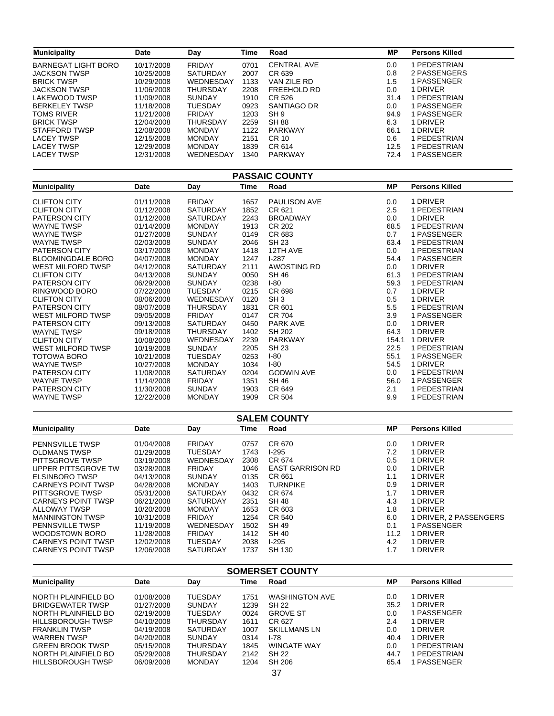| <b>Municipality</b>        | <b>Date</b> | Day             | <b>Time</b> | Road                  | <b>MP</b> | <b>Persons Killed</b> |
|----------------------------|-------------|-----------------|-------------|-----------------------|-----------|-----------------------|
| <b>BARNEGAT LIGHT BORO</b> | 10/17/2008  | <b>FRIDAY</b>   | 0701        | <b>CENTRAL AVE</b>    | 0.0       | 1 PEDESTRIAN          |
| <b>JACKSON TWSP</b>        | 10/25/2008  | <b>SATURDAY</b> | 2007        | CR 639                | 0.8       | 2 PASSENGERS          |
| <b>BRICK TWSP</b>          | 10/29/2008  | WEDNESDAY       | 1133        | VAN ZILE RD           | 1.5       | 1 PASSENGER           |
| <b>JACKSON TWSP</b>        | 11/06/2008  | <b>THURSDAY</b> | 2208        | FREEHOLD RD           | 0.0       | 1 DRIVER              |
| <b>LAKEWOOD TWSP</b>       | 11/09/2008  | <b>SUNDAY</b>   | 1910        | CR 526                | 31.4      | 1 PEDESTRIAN          |
| <b>BERKELEY TWSP</b>       | 11/18/2008  | <b>TUESDAY</b>  | 0923        | SANTIAGO DR           | 0.0       | 1 PASSENGER           |
| <b>TOMS RIVER</b>          | 11/21/2008  | <b>FRIDAY</b>   | 1203        | SH <sub>9</sub>       | 94.9      | 1 PASSENGER           |
| <b>BRICK TWSP</b>          | 12/04/2008  | <b>THURSDAY</b> | 2259        | <b>SH 88</b>          | 6.3       | 1 DRIVER              |
| <b>STAFFORD TWSP</b>       | 12/08/2008  | <b>MONDAY</b>   | 1122        | <b>PARKWAY</b>        | 66.1      | 1 DRIVER              |
| <b>LACEY TWSP</b>          | 12/15/2008  | <b>MONDAY</b>   | 2151        | <b>CR 10</b>          | 0.6       | 1 PEDESTRIAN          |
| <b>LACEY TWSP</b>          | 12/29/2008  | <b>MONDAY</b>   | 1839        | CR 614                | 12.5      | 1 PEDESTRIAN          |
| <b>LACEY TWSP</b>          | 12/31/2008  | WEDNESDAY       | 1340        | PARKWAY               | 72.4      | 1 PASSENGER           |
|                            |             |                 |             | <b>PASSAIC COUNTY</b> |           |                       |
| <b>Municipality</b>        | Date        | Day             | <b>Time</b> | Road                  | <b>MP</b> | <b>Persons Killed</b> |
|                            |             |                 |             |                       |           |                       |
| <b>CLIFTON CITY</b>        | 01/11/2008  | <b>FRIDAY</b>   | 1657        | PAULISON AVE          | 0.0       | 1 DRIVER              |
| <b>CLIFTON CITY</b>        | 01/12/2008  | <b>SATURDAY</b> | 1852        | CR 621                | 2.5       | 1 PEDESTRIAN          |
| <b>PATERSON CITY</b>       | 01/12/2008  | <b>SATURDAY</b> | 2243        | <b>BROADWAY</b>       | 0.0       | 1 DRIVER              |
| <b>WAYNE TWSP</b>          | 01/14/2008  | <b>MONDAY</b>   | 1913        | <b>CR 202</b>         | 68.5      | 1 PEDESTRIAN          |
| <b>WAYNE TWSP</b>          | 01/27/2008  | <b>SUNDAY</b>   | 0149        | CR 683                | 0.7       | 1 PASSENGER           |
| <b>WAYNE TWSP</b>          | 02/03/2008  | <b>SUNDAY</b>   | 2046        | <b>SH 23</b>          | 63.4      | 1 PEDESTRIAN          |
| PATERSON CITY              | 03/17/2008  | <b>MONDAY</b>   | 1418        | 12TH AVE              | 0.0       | 1 PEDESTRIAN          |
| <b>BLOOMINGDALE BORO</b>   | 04/07/2008  | <b>MONDAY</b>   | 1247        | $1-287$               | 54.4      | 1 PASSENGER           |
| <b>WEST MILFORD TWSP</b>   | 04/12/2008  | <b>SATURDAY</b> | 2111        | <b>AWOSTING RD</b>    | 0.0       | 1 DRIVER              |
| <b>CLIFTON CITY</b>        | 04/13/2008  | <b>SUNDAY</b>   | 0050        | <b>SH 46</b>          | 61.3      | 1 PEDESTRIAN          |
| <b>PATERSON CITY</b>       | 06/29/2008  | <b>SUNDAY</b>   | 0238        | $I - 80$              | 59.3      | 1 PEDESTRIAN          |
| RINGWOOD BORO              | 07/22/2008  | <b>TUESDAY</b>  | 0215        | CR 698                | 0.7       | 1 DRIVER              |
| <b>CLIFTON CITY</b>        | 08/06/2008  | WEDNESDAY       | 0120        | SH <sub>3</sub>       | 0.5       | 1 DRIVER              |
| PATERSON CITY              | 08/07/2008  | <b>THURSDAY</b> | 1831        | CR 601                | 5.5       | 1 PEDESTRIAN          |
| WEST MILFORD TWSP          | 09/05/2008  | <b>FRIDAY</b>   | 0147        | <b>CR 704</b>         | 3.9       | 1 PASSENGER           |
| PATERSON CITY              | 09/13/2008  | SATURDAY        | 0450        | PARK AVE              | 0.0       | 1 DRIVER              |
| <b>WAYNE TWSP</b>          | 09/18/2008  | <b>THURSDAY</b> | 1402        | <b>SH 202</b>         | 64.3      | 1 DRIVER              |
| <b>CLIFTON CITY</b>        | 10/08/2008  | WEDNESDAY       | 2239        | <b>PARKWAY</b>        |           | 154.1 1 DRIVER        |
| <b>WEST MILFORD TWSP</b>   | 10/19/2008  | <b>SUNDAY</b>   | 2205        | <b>SH 23</b>          | 22.5      | 1 PEDESTRIAN          |
| <b>TOTOWA BORO</b>         | 10/21/2008  | <b>TUESDAY</b>  | 0253        | $I-80$                | 55.1      | 1 PASSENGER           |
| <b>WAYNE TWSP</b>          | 10/27/2008  | <b>MONDAY</b>   | 1034        | $I-80$                | 54.5      | 1 DRIVER              |
| PATERSON CITY              | 11/08/2008  | SATURDAY        | 0204        | <b>GODWIN AVE</b>     | 0.0       | 1 PEDESTRIAN          |
| <b>WAYNE TWSP</b>          | 11/14/2008  | <b>FRIDAY</b>   | 1351        | SH 46                 | 56.0      | 1 PASSENGER           |
| PATERSON CITY              | 11/30/2008  | <b>SUNDAY</b>   | 1903        | CR 649                | 2.1       | 1 PEDESTRIAN          |

| <b>SALEM COUNTY</b>       |            |                 |      |                         |      |                        |  |  |  |
|---------------------------|------------|-----------------|------|-------------------------|------|------------------------|--|--|--|
| <b>Municipality</b>       | Date       | Day             | Time | Road                    | MР   | <b>Persons Killed</b>  |  |  |  |
| <b>PENNSVILLE TWSP</b>    | 01/04/2008 | <b>FRIDAY</b>   | 0757 | CR 670                  | 0.0  | 1 DRIVER               |  |  |  |
| OLDMANS TWSP              | 01/29/2008 | <b>TUESDAY</b>  | 1743 | $1-295$                 | 7.2  | 1 DRIVER               |  |  |  |
| PITTSGROVE TWSP           | 03/19/2008 | WEDNESDAY       | 2308 | CR 674                  | 0.5  | 1 DRIVER               |  |  |  |
| UPPER PITTSGROVE TW       | 03/28/2008 | <b>FRIDAY</b>   | 1046 | <b>EAST GARRISON RD</b> | 0.0  | 1 DRIVER               |  |  |  |
| ELSINBORO TWSP            | 04/13/2008 | <b>SUNDAY</b>   | 0135 | CR 661                  | 1.1  | 1 DRIVER               |  |  |  |
| <b>CARNEYS POINT TWSP</b> | 04/28/2008 | <b>MONDAY</b>   | 1403 | <b>TURNPIKE</b>         | 0.9  | 1 DRIVER               |  |  |  |
| PITTSGROVE TWSP           | 05/31/2008 | <b>SATURDAY</b> | 0432 | CR 674                  | 1.7  | 1 DRIVER               |  |  |  |
| <b>CARNEYS POINT TWSP</b> | 06/21/2008 | <b>SATURDAY</b> | 2351 | <b>SH 48</b>            | 4.3  | 1 DRIVER               |  |  |  |
| ALLOWAY TWSP              | 10/20/2008 | <b>MONDAY</b>   | 1653 | CR 603                  | 1.8  | 1 DRIVER               |  |  |  |
| <b>MANNINGTON TWSP</b>    | 10/31/2008 | <b>FRIDAY</b>   | 1254 | CR 540                  | 6.0  | 1 DRIVER, 2 PASSENGERS |  |  |  |
| <b>PENNSVILLE TWSP</b>    | 11/19/2008 | WEDNESDAY       | 1502 | SH 49                   | 0.1  | 1 PASSENGER            |  |  |  |
| WOODSTOWN BORO            | 11/28/2008 | <b>FRIDAY</b>   | 1412 | <b>SH 40</b>            | 11.2 | 1 DRIVER               |  |  |  |
| <b>CARNEYS POINT TWSP</b> | 12/02/2008 | <b>TUESDAY</b>  | 2038 | $1-295$                 | 4.2  | 1 DRIVER               |  |  |  |
| <b>CARNEYS POINT TWSP</b> | 12/06/2008 | <b>SATURDAY</b> | 1737 | SH 130                  | 1.7  | 1 DRIVER               |  |  |  |

CR 504

9.9

1 PEDESTRIAN

1909

WAYNE TWSP

12/22/2008

MONDAY

| <b>SOMERSET COUNTY</b>   |            |                 |      |                       |      |                       |  |  |  |
|--------------------------|------------|-----------------|------|-----------------------|------|-----------------------|--|--|--|
| <b>Municipality</b>      | Date       | Day             | Time | Road                  | МP   | <b>Persons Killed</b> |  |  |  |
| NORTH PLAINFIELD BO      | 01/08/2008 | TUESDAY         | 1751 | <b>WASHINGTON AVE</b> | 0.0  | 1 DRIVER              |  |  |  |
| <b>BRIDGEWATER TWSP</b>  | 01/27/2008 | <b>SUNDAY</b>   | 1239 | SH 22                 | 35.2 | 1 DRIVER              |  |  |  |
| NORTH PLAINFIELD BO      | 02/19/2008 | <b>TUESDAY</b>  | 0024 | <b>GROVE ST</b>       | 0.0  | 1 PASSENGER           |  |  |  |
| <b>HILLSBOROUGH TWSP</b> | 04/10/2008 | THURSDAY        | 1611 | CR 627                | 2.4  | 1 DRIVER              |  |  |  |
| <b>FRANKLIN TWSP</b>     | 04/19/2008 | <b>SATURDAY</b> | 1007 | <b>SKILLMANS LN</b>   | 0.0  | 1 DRIVER              |  |  |  |
| <b>WARREN TWSP</b>       | 04/20/2008 | <b>SUNDAY</b>   | 0314 | I-78                  | 40.4 | 1 DRIVER              |  |  |  |
| <b>GREEN BROOK TWSP</b>  | 05/15/2008 | THURSDAY        | 1845 | <b>WINGATE WAY</b>    | 0.0  | 1 PEDESTRIAN          |  |  |  |
| NORTH PLAINFIELD BO      | 05/29/2008 | THURSDAY        | 2142 | SH 22                 | 44.7 | 1 PEDESTRIAN          |  |  |  |
| HILLSBOROUGH TWSP        | 06/09/2008 | <b>MONDAY</b>   | 1204 | SH 206                | 65.4 | 1 PASSENGER           |  |  |  |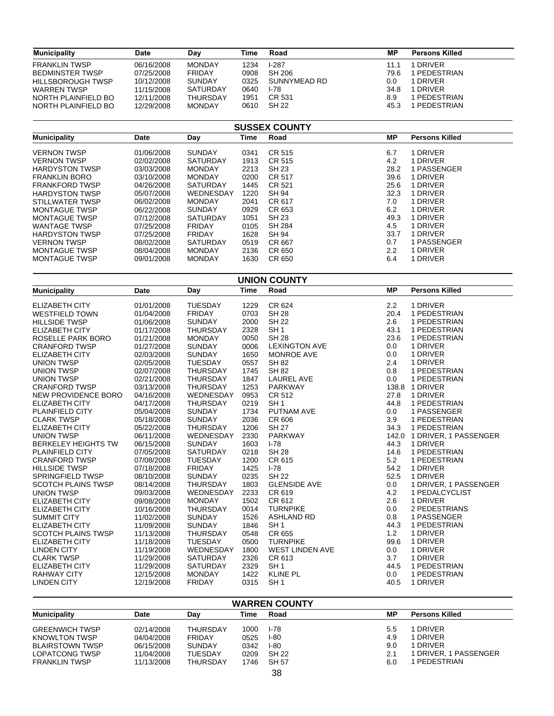| <b>Municipality</b>    | Date       | Dav             | Time | Road         | МP   | Persons Killed |
|------------------------|------------|-----------------|------|--------------|------|----------------|
| <b>FRANKLIN TWSP</b>   | 06/16/2008 | <b>MONDAY</b>   | 1234 | $1-287$      | 11.1 | <b>DRIVER</b>  |
| <b>BEDMINSTER TWSP</b> | 07/25/2008 | <b>FRIDAY</b>   | 0908 | SH 206       | 79.6 | PEDESTRIAN     |
| HILLSBOROUGH TWSP      | 10/12/2008 | <b>SUNDAY</b>   | 0325 | SUNNYMEAD RD | 0.0  | 1 DRIVER       |
| <b>WARREN TWSP</b>     | 11/15/2008 | <b>SATURDAY</b> | 0640 | I-78         | 34.8 | 1 DRIVER       |
| NORTH PLAINFIELD BO    | 12/11/2008 | <b>THURSDAY</b> | 1951 | CR 531       | 8.9  | PEDESTRIAN     |
| NORTH PLAINFIELD BO    | 12/29/2008 | <b>MONDAY</b>   | 0610 | SH 22        | 45.3 | PEDESTRIAN     |

| <b>SUSSEX COUNTY</b>  |            |                 |      |              |      |                       |  |  |  |
|-----------------------|------------|-----------------|------|--------------|------|-----------------------|--|--|--|
| <b>Municipality</b>   | Date       | Day             | Time | Road         | МP   | <b>Persons Killed</b> |  |  |  |
| <b>VERNON TWSP</b>    | 01/06/2008 | <b>SUNDAY</b>   | 0341 | CR 515       | 6.7  | 1 DRIVER              |  |  |  |
| <b>VERNON TWSP</b>    | 02/02/2008 | <b>SATURDAY</b> | 1913 | CR 515       | 4.2  | 1 DRIVER              |  |  |  |
| <b>HARDYSTON TWSP</b> | 03/03/2008 | <b>MONDAY</b>   | 2213 | <b>SH 23</b> | 28.2 | 1 PASSENGER           |  |  |  |
| <b>FRANKLIN BORO</b>  | 03/10/2008 | <b>MONDAY</b>   | 0200 | CR 517       | 39.6 | 1 DRIVER              |  |  |  |
| <b>FRANKFORD TWSP</b> | 04/26/2008 | <b>SATURDAY</b> | 1445 | CR 521       | 25.6 | 1 DRIVER              |  |  |  |
| <b>HARDYSTON TWSP</b> | 05/07/2008 | WEDNESDAY       | 1220 | <b>SH 94</b> | 32.3 | 1 DRIVER              |  |  |  |
| STILLWATER TWSP       | 06/02/2008 | <b>MONDAY</b>   | 2041 | CR 617       | 7.0  | 1 DRIVER              |  |  |  |
| <b>MONTAGUE TWSP</b>  | 06/22/2008 | <b>SUNDAY</b>   | 0929 | CR 653       | 6.2  | 1 DRIVER              |  |  |  |
| <b>MONTAGUE TWSP</b>  | 07/12/2008 | <b>SATURDAY</b> | 1051 | SH 23        | 49.3 | 1 DRIVER              |  |  |  |
| <b>WANTAGE TWSP</b>   | 07/25/2008 | <b>FRIDAY</b>   | 0105 | SH 284       | 4.5  | 1 DRIVER              |  |  |  |
| <b>HARDYSTON TWSP</b> | 07/25/2008 | <b>FRIDAY</b>   | 1628 | <b>SH 94</b> | 33.7 | 1 DRIVER              |  |  |  |
| <b>VERNON TWSP</b>    | 08/02/2008 | <b>SATURDAY</b> | 0519 | CR 667       | 0.7  | 1 PASSENGER           |  |  |  |
| <b>MONTAGUE TWSP</b>  | 08/04/2008 | <b>MONDAY</b>   | 2136 | CR 650       | 2.2  | 1 DRIVER              |  |  |  |
| <b>MONTAGUE TWSP</b>  | 09/01/2008 | <b>MONDAY</b>   | 1630 | CR 650       | 6.4  | 1 DRIVER              |  |  |  |

| <b>UNION COUNTY</b>        |            |                 |             |                        |           |                             |  |  |  |
|----------------------------|------------|-----------------|-------------|------------------------|-----------|-----------------------------|--|--|--|
| <b>Municipality</b>        | Date       | Day             | <b>Time</b> | Road                   | <b>MP</b> | <b>Persons Killed</b>       |  |  |  |
| <b>ELIZABETH CITY</b>      | 01/01/2008 | <b>TUESDAY</b>  | 1229        | CR 624                 | 2.2       | 1 DRIVER                    |  |  |  |
| <b>WESTFIELD TOWN</b>      | 01/04/2008 | <b>FRIDAY</b>   | 0703        | <b>SH 28</b>           | 20.4      | 1 PEDESTRIAN                |  |  |  |
| <b>HILLSIDE TWSP</b>       | 01/06/2008 | <b>SUNDAY</b>   | 2000        | <b>SH 22</b>           | 2.6       | 1 PEDESTRIAN                |  |  |  |
| ELIZABETH CITY             | 01/17/2008 | <b>THURSDAY</b> | 2328        | SH <sub>1</sub>        | 43.1      | 1 PEDESTRIAN                |  |  |  |
| ROSELLE PARK BORO          | 01/21/2008 | <b>MONDAY</b>   | 0050        | <b>SH 28</b>           | 23.6      | 1 PEDESTRIAN                |  |  |  |
| <b>CRANFORD TWSP</b>       | 01/27/2008 | <b>SUNDAY</b>   | 0006        | <b>LEXINGTON AVE</b>   | 0.0       | 1 DRIVER                    |  |  |  |
| <b>ELIZABETH CITY</b>      | 02/03/2008 | <b>SUNDAY</b>   | 1650        | <b>MONROE AVE</b>      | 0.0       | 1 DRIVER                    |  |  |  |
| <b>UNION TWSP</b>          | 02/05/2008 | <b>TUESDAY</b>  | 0557        | <b>SH 82</b>           | 2.4       | 1 DRIVER                    |  |  |  |
| <b>UNION TWSP</b>          | 02/07/2008 | <b>THURSDAY</b> | 1745        | <b>SH 82</b>           | 0.8       | 1 PEDESTRIAN                |  |  |  |
| <b>UNION TWSP</b>          | 02/21/2008 | <b>THURSDAY</b> | 1847        | <b>LAUREL AVE</b>      | 0.0       | 1 PEDESTRIAN                |  |  |  |
| <b>CRANFORD TWSP</b>       | 03/13/2008 | <b>THURSDAY</b> | 1253        | <b>PARKWAY</b>         |           | 138.8 1 DRIVER              |  |  |  |
| NEW PROVIDENCE BORO        | 04/16/2008 | WEDNESDAY       | 0953        | CR 512                 | 27.8      | 1 DRIVER                    |  |  |  |
| <b>ELIZABETH CITY</b>      | 04/17/2008 | <b>THURSDAY</b> | 0219        | SH <sub>1</sub>        | 44.8      | 1 PEDESTRIAN                |  |  |  |
| PLAINFIELD CITY            | 05/04/2008 | <b>SUNDAY</b>   | 1734        | PUTNAM AVE             | 0.0       | 1 PASSENGER                 |  |  |  |
| <b>CLARK TWSP</b>          | 05/18/2008 | <b>SUNDAY</b>   | 2036        | CR 606                 | 3.9       | 1 PEDESTRIAN                |  |  |  |
| <b>ELIZABETH CITY</b>      | 05/22/2008 | <b>THURSDAY</b> | 1206        | <b>SH 27</b>           | 34.3      | 1 PEDESTRIAN                |  |  |  |
| <b>UNION TWSP</b>          | 06/11/2008 | WEDNESDAY       | 2330        | <b>PARKWAY</b>         |           | 142.0 1 DRIVER, 1 PASSENGER |  |  |  |
| <b>BERKELEY HEIGHTS TW</b> | 06/15/2008 | <b>SUNDAY</b>   | 1603        | $I - 78$               | 44.3      | 1 DRIVER                    |  |  |  |
| PLAINFIELD CITY            | 07/05/2008 | <b>SATURDAY</b> | 0218        | <b>SH 28</b>           | 14.6      | 1 PEDESTRIAN                |  |  |  |
| <b>CRANFORD TWSP</b>       | 07/08/2008 | <b>TUESDAY</b>  | 1200        | CR 615                 | 5.2       | 1 PEDESTRIAN                |  |  |  |
| <b>HILLSIDE TWSP</b>       | 07/18/2008 | <b>FRIDAY</b>   | 1425        | $I - 78$               | 54.2      | 1 DRIVER                    |  |  |  |
| <b>SPRINGFIELD TWSP</b>    | 08/10/2008 | <b>SUNDAY</b>   | 0235        | <b>SH 22</b>           | 52.5      | 1 DRIVER                    |  |  |  |
| <b>SCOTCH PLAINS TWSP</b>  | 08/14/2008 | <b>THURSDAY</b> | 1803        | <b>GLENSIDE AVE</b>    | 0.0       | 1 DRIVER, 1 PASSENGER       |  |  |  |
| <b>UNION TWSP</b>          | 09/03/2008 | WEDNESDAY       | 2233        | CR 619                 | 4.2       | 1 PEDALCYCLIST              |  |  |  |
| <b>ELIZABETH CITY</b>      | 09/08/2008 | <b>MONDAY</b>   | 1502        | CR 612                 | 2.6       | 1 DRIVER                    |  |  |  |
| <b>ELIZABETH CITY</b>      | 10/16/2008 | <b>THURSDAY</b> | 0014        | <b>TURNPIKE</b>        | 0.0       | 2 PEDESTRIANS               |  |  |  |
| <b>SUMMIT CITY</b>         | 11/02/2008 | <b>SUNDAY</b>   | 1526        | <b>ASHLAND RD</b>      | 0.8       | 1 PASSENGER                 |  |  |  |
| <b>ELIZABETH CITY</b>      | 11/09/2008 | <b>SUNDAY</b>   | 1846        | SH <sub>1</sub>        | 44.3      | 1 PEDESTRIAN                |  |  |  |
| <b>SCOTCH PLAINS TWSP</b>  | 11/13/2008 | <b>THURSDAY</b> | 0548        | CR 655                 | 1.2       | 1 DRIVER                    |  |  |  |
| <b>ELIZABETH CITY</b>      | 11/18/2008 | <b>TUESDAY</b>  | 0500        | <b>TURNPIKE</b>        | 99.6      | 1 DRIVER                    |  |  |  |
| <b>LINDEN CITY</b>         | 11/19/2008 | WEDNESDAY       | 1800        | <b>WEST LINDEN AVE</b> | 0.0       | 1 DRIVER                    |  |  |  |
| <b>CLARK TWSP</b>          | 11/29/2008 | <b>SATURDAY</b> | 2326        | CR 613                 | 3.7       | 1 DRIVER                    |  |  |  |
| <b>ELIZABETH CITY</b>      | 11/29/2008 | <b>SATURDAY</b> | 2329        | SH <sub>1</sub>        | 44.5      | 1 PEDESTRIAN                |  |  |  |
| <b>RAHWAY CITY</b>         | 12/15/2008 | <b>MONDAY</b>   | 1422        | <b>KLINE PL</b>        | 0.0       | 1 PEDESTRIAN                |  |  |  |
| <b>LINDEN CITY</b>         | 12/19/2008 | <b>FRIDAY</b>   | 0315        | SH <sub>1</sub>        | 40.5      | 1 DRIVER                    |  |  |  |

| <b>WARREN COUNTY</b>   |            |                 |      |              |     |                       |  |  |  |
|------------------------|------------|-----------------|------|--------------|-----|-----------------------|--|--|--|
| <b>Municipality</b>    | Date       | Dav             | Time | Road         | МP  | <b>Persons Killed</b> |  |  |  |
| <b>GREENWICH TWSP</b>  | 02/14/2008 | <b>THURSDAY</b> | 1000 | I-78         | 5.5 | <b>DRIVER</b>         |  |  |  |
| <b>KNOWLTON TWSP</b>   | 04/04/2008 | <b>FRIDAY</b>   | 0525 | $1-80$       | 4.9 | <b>DRIVER</b>         |  |  |  |
| <b>BLAIRSTOWN TWSP</b> | 06/15/2008 | <b>SUNDAY</b>   | 0342 | $1-80$       | 9.0 | I DRIVFR              |  |  |  |
| LOPATCONG TWSP         | 11/04/2008 | <b>TUESDAY</b>  | 0209 | SH 22        | 2.1 | 1 DRIVER. 1 PASSENGER |  |  |  |
| <b>FRANKLIN TWSP</b>   | 11/13/2008 | <b>THURSDAY</b> | 1746 | <b>SH 57</b> | 6.0 | PEDESTRIAN            |  |  |  |